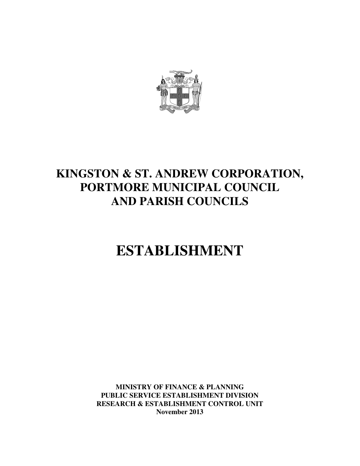

# **KINGSTON & ST. ANDREW CORPORATION, PORTMORE MUNICIPAL COUNCIL AND PARISH COUNCILS**

# **ESTABLISHMENT**

**MINISTRY OF FINANCE & PLANNING PUBLIC SERVICE ESTABLISHMENT DIVISION RESEARCH & ESTABLISHMENT CONTROL UNIT November 2013**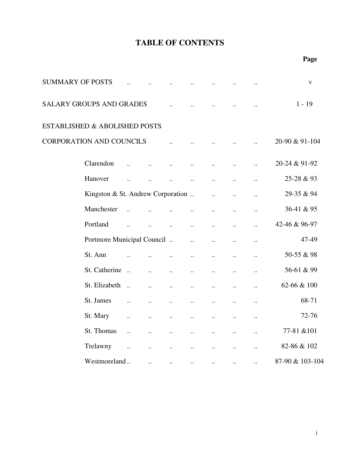| <b>SUMMARY OF POSTS</b> |                                   |                       |                      |                      |                      |                      |                      |                      | $\mathbf V$     |
|-------------------------|-----------------------------------|-----------------------|----------------------|----------------------|----------------------|----------------------|----------------------|----------------------|-----------------|
|                         | <b>SALARY GROUPS AND GRADES</b>   |                       |                      |                      |                      |                      |                      |                      | $1 - 19$        |
|                         | ESTABLISHED & ABOLISHED POSTS     |                       |                      |                      |                      |                      |                      |                      |                 |
|                         | <b>CORPORATION AND COUNCILS</b>   |                       |                      |                      |                      |                      |                      |                      | 20-90 & 91-104  |
|                         | Clarendon                         |                       |                      |                      | $\ddot{\phantom{0}}$ |                      | $\ddot{\phantom{0}}$ | $\ddot{\phantom{a}}$ | 20-24 & 91-92   |
|                         | Hanover                           |                       |                      |                      | $\ddot{\phantom{a}}$ | $\ddot{\phantom{a}}$ | $\ddot{\phantom{a}}$ | $\ldots$             | 25-28 & 93      |
|                         | Kingston & St. Andrew Corporation |                       |                      |                      |                      | $\ddot{\phantom{a}}$ | $\ddot{\phantom{a}}$ | $\ddot{\phantom{a}}$ | 29-35 & 94      |
|                         | Manchester                        | $\ddot{\phantom{a}}$  |                      |                      | $\ddot{\phantom{a}}$ | $\ddotsc$            | $\ddotsc$            | $\ldots$             | 36-41 & 95      |
|                         | Portland                          |                       | $\ddot{\phantom{a}}$ | $\ddot{\phantom{a}}$ | $\ddot{\phantom{a}}$ | $\ddot{\phantom{a}}$ | $\ddot{\phantom{a}}$ | $\ddot{\phantom{a}}$ | 42-46 & 96-97   |
|                         | Portmore Municipal Council        |                       |                      |                      | $\ddot{\phantom{a}}$ | $\ddot{\phantom{a}}$ | $\ddot{\phantom{a}}$ | $\ldots$             | 47-49           |
|                         | St. Ann                           |                       | $\ddot{\phantom{a}}$ |                      | $\ddot{\phantom{a}}$ | $\ddot{\phantom{a}}$ | $\ddot{\phantom{a}}$ | $\ddot{\phantom{a}}$ | 50-55 & 98      |
|                         | St. Catherine                     |                       | $\ddot{\phantom{a}}$ | $\ddot{\phantom{a}}$ | $\ddot{\phantom{a}}$ | $\ddot{\phantom{a}}$ | $\ddot{\phantom{a}}$ | $\ddot{\phantom{0}}$ | 56-61 & 99      |
|                         | St. Elizabeth                     | $\dddot{\phantom{1}}$ | $\ddot{\phantom{a}}$ | $\ddot{\phantom{a}}$ | $\ddot{\phantom{a}}$ | $\ddot{\phantom{a}}$ | $\ddot{\phantom{a}}$ | $\ddot{\phantom{a}}$ | 62-66 & 100     |
|                         | St. James                         | $\ddot{\phantom{a}}$  | $\ddot{\phantom{a}}$ | $\ddot{\phantom{a}}$ | $\ddot{\phantom{a}}$ | $\ddot{\phantom{a}}$ | $\ddot{\phantom{a}}$ | $\ddot{\phantom{0}}$ | 68-71           |
|                         | St. Mary                          | $\ddot{\phantom{a}}$  | $\ddotsc$            | $\ddot{\phantom{a}}$ | $\ddot{\phantom{a}}$ | $\ddot{\phantom{a}}$ | $\ddot{\phantom{a}}$ | $\ddot{\phantom{a}}$ | 72-76           |
|                         | St. Thomas                        | $\dddot{\phantom{0}}$ | $\ddot{\phantom{a}}$ | $\ddot{\phantom{a}}$ | $\ddot{\phantom{a}}$ | $\ddot{\phantom{0}}$ | $\ddot{\phantom{a}}$ | $\ddot{\phantom{0}}$ | 77-81 & 101     |
|                         | Trelawny                          | $\ddot{\phantom{a}}$  | $\ddot{\phantom{a}}$ | $\ddot{\phantom{a}}$ |                      |                      | $\ddot{\phantom{a}}$ | $\ddot{\phantom{0}}$ | 82-86 & 102     |
|                         | Westmoreland                      |                       | $\ldots$             | $\cdot$ .            | $\ldots$             | $\ddotsc$            | $\cdot$ .            | $\ddotsc$            | 87-90 & 103-104 |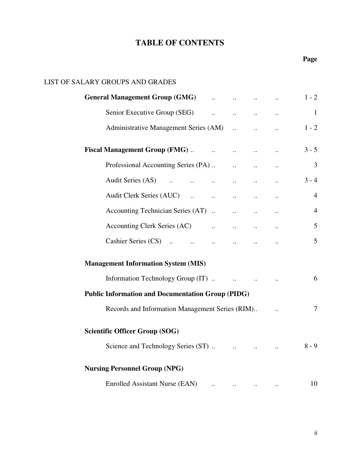### LIST OF SALARY GROUPS AND GRADES

| <b>General Management Group (GMG)</b>                                                                                 |  |                                                |          | $1 - 2$        |
|-----------------------------------------------------------------------------------------------------------------------|--|------------------------------------------------|----------|----------------|
|                                                                                                                       |  | $\ddots$                                       |          | $\mathbf{1}$   |
| Administrative Management Series (AM)                                                                                 |  | $\dddot{\phantom{0}}$                          |          | $1 - 2$        |
| Fiscal Management Group (FMG)                                                                                         |  |                                                |          | $3 - 5$        |
| Professional Accounting Series (PA)                                                                                   |  |                                                |          | 3              |
| Audit Series (AS)<br>$\mathcal{L}^{\text{max}}$ and $\mathcal{L}^{\text{max}}$<br>and the contract of the contract of |  | $\ddots$                                       | $\ldots$ | $3 - 4$        |
| Audit Clerk Series (AUC)                                                                                              |  |                                                |          | $\overline{4}$ |
| Accounting Technician Series (AT)                                                                                     |  |                                                |          | $\overline{4}$ |
|                                                                                                                       |  |                                                |          | 5              |
| Cashier Series (CS)                                                                                                   |  |                                                |          | 5              |
| <b>Management Information System (MIS)</b>                                                                            |  |                                                |          |                |
| Information Technology Group (IT)                                                                                     |  |                                                |          | 6              |
| <b>Public Information and Documentation Group (PIDG)</b>                                                              |  |                                                |          |                |
| Records and Information Management Series (RIM)                                                                       |  |                                                |          | $\tau$         |
| <b>Scientific Officer Group (SOG)</b>                                                                                 |  |                                                |          |                |
| Science and Technology Series (ST)                                                                                    |  | $\mathbf{u}$ and $\mathbf{u}$ and $\mathbf{u}$ |          | $8 - 9$        |
| <b>Nursing Personnel Group (NPG)</b>                                                                                  |  |                                                |          |                |
| Enrolled Assistant Nurse (EAN)                                                                                        |  | $\ldots$                                       |          | 10             |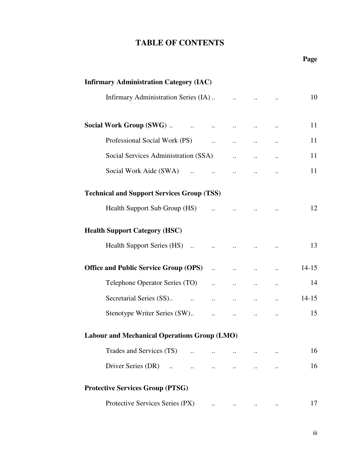### **Page**

| <b>Infirmary Administration Category (IAC)</b>          |                                                |           |                                                                                                                 |                      |           |
|---------------------------------------------------------|------------------------------------------------|-----------|-----------------------------------------------------------------------------------------------------------------|----------------------|-----------|
|                                                         |                                                |           |                                                                                                                 |                      | 10        |
|                                                         |                                                | $\ddots$  |                                                                                                                 |                      | 11        |
|                                                         |                                                |           |                                                                                                                 |                      | 11        |
| Social Services Administration (SSA)                    |                                                |           | $\ddotsc$                                                                                                       | $\ddotsc$            | 11        |
| Social Work Aide (SWA)<br>$\mathbf{r}$ and $\mathbf{r}$ |                                                |           | $\mathbf{u}_\mathrm{in}$ and $\mathbf{u}_\mathrm{in}$ and $\mathbf{u}_\mathrm{in}$ and $\mathbf{u}_\mathrm{in}$ | $\ddotsc$            | 11        |
| <b>Technical and Support Services Group (TSS)</b>       |                                                |           |                                                                                                                 |                      |           |
| Health Support Sub Group (HS)                           | $\mathbf{u}$ and $\mathbf{u}$ and $\mathbf{u}$ |           |                                                                                                                 |                      | 12        |
| <b>Health Support Category (HSC)</b>                    |                                                |           |                                                                                                                 |                      |           |
|                                                         |                                                |           |                                                                                                                 |                      | 13        |
| Office and Public Service Group (OPS)                   |                                                | $\ddotsc$ | $\dddot{\phantom{0}}$                                                                                           | $\ddot{\phantom{a}}$ | $14 - 15$ |
| Telephone Operator Series (TO)                          | $\mathbf{H}^{(1)}$ and $\mathbf{H}^{(2)}$      | $\ddots$  | $\ddots$                                                                                                        | $\ldots$             | 14        |
|                                                         |                                                |           | $\mathbf{a}$ , and $\mathbf{a}$ , and $\mathbf{a}$                                                              | $\ddotsc$            | $14 - 15$ |
|                                                         |                                                |           | $\mathcal{L}^{\text{max}}$ and $\mathcal{L}^{\text{max}}$                                                       |                      | 15        |
| <b>Labour and Mechanical Operations Group (LMO)</b>     |                                                |           |                                                                                                                 |                      |           |
| Trades and Services (TS)                                | $\ddots$                                       |           |                                                                                                                 | $\ddotsc$            | 16        |
| Driver Series (DR)                                      |                                                |           |                                                                                                                 |                      | 16        |
| <b>Protective Services Group (PTSG)</b>                 |                                                |           |                                                                                                                 |                      |           |
| Protective Services Series (PX)                         |                                                |           |                                                                                                                 |                      | 17        |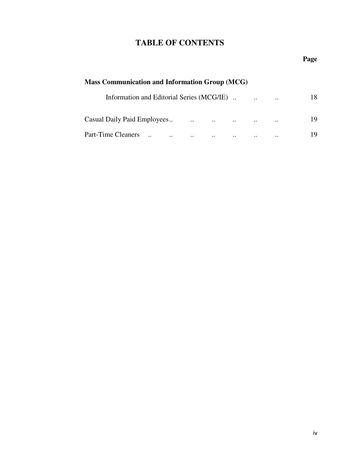### **Page**

| <b>Mass Communication and Information Group (MCG)</b> |           |          |           |           |    |  |  |  |  |  |  |
|-------------------------------------------------------|-----------|----------|-----------|-----------|----|--|--|--|--|--|--|
| Information and Editorial Series (MCG/IE).            |           |          | $\cdot$ . | $\ddotsc$ | 18 |  |  |  |  |  |  |
| $\mathbf{r}$ and $\mathbf{r}$                         |           | $\cdots$ | $\ddotsc$ | $\cdot$ . | 19 |  |  |  |  |  |  |
| Part-Time Cleaners<br>$\ddotsc$<br>$\cdot$ .          | $\ddotsc$ |          | $\cdot$ . | $\cdot$ . | 19 |  |  |  |  |  |  |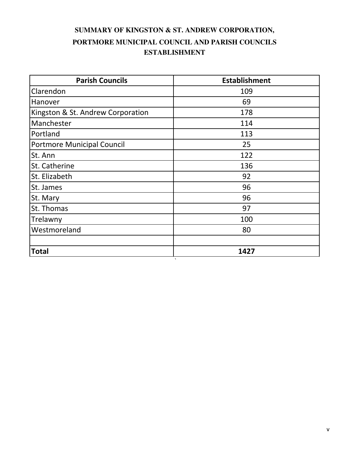### **SUMMARY OF KINGSTON & ST. ANDREW CORPORATION, ESTABLISHMENT PORTMORE MUNICIPAL COUNCIL AND PARISH COUNCILS**

| <b>Parish Councils</b>            | <b>Establishment</b> |
|-----------------------------------|----------------------|
| Clarendon                         | 109                  |
| Hanover                           | 69                   |
| Kingston & St. Andrew Corporation | 178                  |
| Manchester                        | 114                  |
| Portland                          | 113                  |
| <b>Portmore Municipal Council</b> | 25                   |
| St. Ann                           | 122                  |
| St. Catherine                     | 136                  |
| St. Elizabeth                     | 92                   |
| St. James                         | 96                   |
| St. Mary                          | 96                   |
| St. Thomas                        | 97                   |
| Trelawny                          | 100                  |
| Westmoreland                      | 80                   |
| <b>Total</b><br>$\sqrt{2}$        | 1427                 |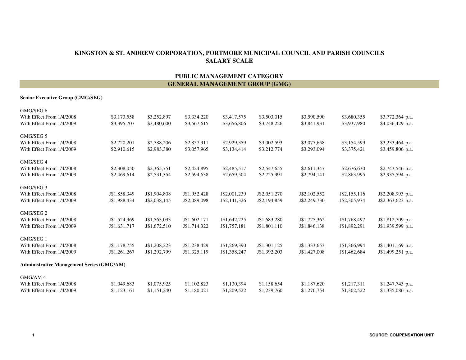#### **SALARY SCALEKINGSTON & ST. ANDREW CORPORATION, PORTMORE MUNICIPAL COUNCIL AND PARISH COUNCILS**

#### **PUBLIC MANAGEMENT CATEGORYGENERAL MANAGEMENT GROUP (GMG)**

#### **Senior Executive Group (GMG/SEG)**

| GMG/SEG 6                                        |              |              |              |              |              |              |              |                   |
|--------------------------------------------------|--------------|--------------|--------------|--------------|--------------|--------------|--------------|-------------------|
| With Effect From 1/4/2008                        | \$3,173,558  | \$3,252,897  | \$3,334,220  | \$3,417,575  | \$3,503,015  | \$3,590,590  | \$3,680,355  | \$3,772,364 p.a.  |
| With Effect From 1/4/2009                        | \$3,395,707  | \$3,480,600  | \$3,567,615  | \$3,656,806  | \$3,748,226  | \$3,841,931  | \$3,937,980  | \$4,036,429 p.a.  |
| GMG/SEG 5                                        |              |              |              |              |              |              |              |                   |
| With Effect From 1/4/2008                        | \$2,720,201  | \$2,788,206  | \$2,857,911  | \$2,929,359  | \$3,002,593  | \$3,077,658  | \$3,154,599  | \$3,233,464 p.a.  |
| With Effect From 1/4/2009                        | \$2,910,615  | \$2,983,380  | \$3,057,965  | \$3,134,414  | \$3,212,774  | \$3,293,094  | \$3,375,421  | \$3,459,806 p.a.  |
| GMG/SEG 4                                        |              |              |              |              |              |              |              |                   |
| With Effect From 1/4/2008                        | \$2,308,050  | \$2,365,751  | \$2,424,895  | \$2,485,517  | \$2,547,655  | \$2,611,347  | \$2,676,630  | \$2,743,546 p.a.  |
| With Effect From 1/4/2009                        | \$2,469,614  | \$2,531,354  | \$2,594,638  | \$2,659,504  | \$2,725,991  | \$2,794,141  | \$2,863,995  | \$2,935,594 p.a.  |
| GMG/SEG 3                                        |              |              |              |              |              |              |              |                   |
| With Effect From 1/4/2008                        | J\$1,858,349 | J\$1,904,808 | J\$1,952,428 | J\$2,001,239 | J\$2,051,270 | J\$2,102,552 | J\$2,155,116 | J\$2,208,993 p.a. |
| With Effect From 1/4/2009                        | J\$1,988,434 | J\$2,038,145 | J\$2,089,098 | J\$2,141,326 | J\$2,194,859 | J\$2,249,730 | J\$2,305,974 | J\$2,363,623 p.a. |
| GMG/SEG 2                                        |              |              |              |              |              |              |              |                   |
| With Effect From 1/4/2008                        | J\$1,524,969 | J\$1,563,093 | J\$1,602,171 | J\$1,642,225 | J\$1,683,280 | J\$1,725,362 | J\$1,768,497 | J\$1,812,709 p.a. |
| With Effect From 1/4/2009                        | J\$1,631,717 | J\$1,672,510 | J\$1,714,322 | J\$1,757,181 | J\$1,801,110 | J\$1,846,138 | J\$1,892,291 | J\$1,939,599 p.a. |
| GMG/SEG 1                                        |              |              |              |              |              |              |              |                   |
| With Effect From 1/4/2008                        | J\$1,178,755 | J\$1,208,223 | J\$1,238,429 | J\$1,269,390 | J\$1,301,125 | J\$1,333,653 | J\$1,366,994 | J\$1,401,169 p.a. |
| With Effect From 1/4/2009                        | J\$1,261,267 | J\$1,292,799 | J\$1,325,119 | J\$1,358,247 | J\$1,392,203 | J\$1,427,008 | J\$1,462,684 | J\$1,499,251 p.a. |
| <b>Administrative Management Series (GMG/AM)</b> |              |              |              |              |              |              |              |                   |
| GMG/AM 4                                         |              |              |              |              |              |              |              |                   |
| With Effect From 1/4/2008                        | \$1,049,683  | \$1,075,925  | \$1,102,823  | \$1,130,394  | \$1,158,654  | \$1,187,620  | \$1,217,311  | \$1,247,743 p.a.  |
| With Effect From 1/4/2009                        | \$1,123,161  | \$1,151,240  | \$1,180,021  | \$1,209,522  | \$1,239,760  | \$1,270,754  | \$1,302,522  | \$1,335,086 p.a.  |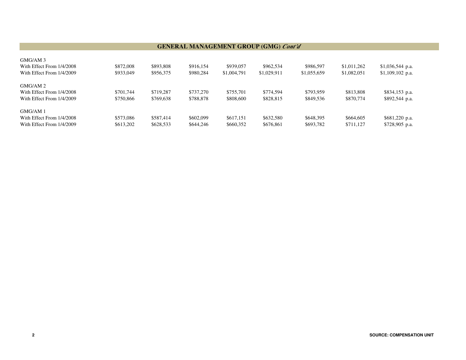#### **GENERAL MANAGEMENT GROUP (GMG)** *Cont'd*

| GMG/AM 3                  |           |           |           |             |             |             |             |                   |
|---------------------------|-----------|-----------|-----------|-------------|-------------|-------------|-------------|-------------------|
| With Effect From 1/4/2008 | \$872,008 | \$893,808 | \$916.154 | \$939,057   | \$962,534   | \$986,597   | \$1,011,262 | $$1,036,544$ p.a. |
| With Effect From 1/4/2009 | \$933,049 | \$956,375 | \$980,284 | \$1,004,791 | \$1,029,911 | \$1,055,659 | \$1,082,051 | $$1,109,102$ p.a. |
| GMG/AM 2                  |           |           |           |             |             |             |             |                   |
| With Effect From 1/4/2008 | \$701,744 | \$719.287 | \$737,270 | \$755,701   | \$774.594   | \$793.959   | \$813,808   | \$834,153 p.a.    |
| With Effect From 1/4/2009 | \$750,866 | \$769,638 | \$788.878 | \$808,600   | \$828,815   | \$849,536   | \$870,774   | \$892,544 p.a.    |
| GMG/AM 1                  |           |           |           |             |             |             |             |                   |
| With Effect From 1/4/2008 | \$573,086 | \$587.414 | \$602,099 | \$617.151   | \$632,580   | \$648,395   | \$664,605   | \$681,220 p.a.    |
| With Effect From 1/4/2009 | \$613,202 | \$628,533 | \$644,246 | \$660,352   | \$676,861   | \$693,782   | \$711.127   | $$728,905$ p.a.   |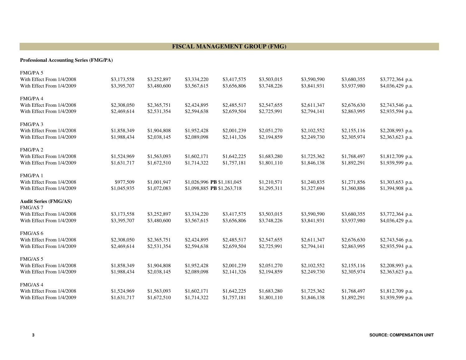#### **FISCAL MANAGEMENT GROUP (FMG)**

#### **Professional Accounting Series (FMG/PA)**

| FMG/PA 5                     |             |             |                            |             |             |             |             |                   |
|------------------------------|-------------|-------------|----------------------------|-------------|-------------|-------------|-------------|-------------------|
| With Effect From 1/4/2008    | \$3,173,558 | \$3,252,897 | \$3,334,220                | \$3,417,575 | \$3,503,015 | \$3,590,590 | \$3,680,355 | \$3,772,364 p.a.  |
| With Effect From 1/4/2009    | \$3,395,707 | \$3,480,600 | \$3,567,615                | \$3,656,806 | \$3,748,226 | \$3,841,931 | \$3,937,980 | \$4,036,429 p.a.  |
| FMG/PA4                      |             |             |                            |             |             |             |             |                   |
| With Effect From 1/4/2008    | \$2,308,050 | \$2,365,751 | \$2,424,895                | \$2,485,517 | \$2,547,655 | \$2,611,347 | \$2,676,630 | \$2,743,546 p.a.  |
| With Effect From 1/4/2009    | \$2,469,614 | \$2,531,354 | \$2,594,638                | \$2,659,504 | \$2,725,991 | \$2,794,141 | \$2,863,995 | \$2,935,594 p.a.  |
| FMG/PA 3                     |             |             |                            |             |             |             |             |                   |
| With Effect From 1/4/2008    | \$1,858,349 | \$1,904,808 | \$1,952,428                | \$2,001,239 | \$2,051,270 | \$2,102,552 | \$2,155,116 | \$2,208,993 p.a.  |
| With Effect From 1/4/2009    | \$1,988,434 | \$2,038,145 | \$2,089,098                | \$2,141,326 | \$2,194,859 | \$2,249,730 | \$2,305,974 | $$2,363,623$ p.a. |
| FMG/PA 2                     |             |             |                            |             |             |             |             |                   |
| With Effect From 1/4/2008    | \$1,524,969 | \$1,563,093 | \$1,602,171                | \$1,642,225 | \$1,683,280 | \$1,725,362 | \$1,768,497 | \$1,812,709 p.a.  |
| With Effect From 1/4/2009    | \$1,631,717 | \$1,672,510 | \$1,714,322                | \$1,757,181 | \$1,801,110 | \$1,846,138 | \$1,892,291 | \$1,939,599 p.a.  |
| FMG/PA 1                     |             |             |                            |             |             |             |             |                   |
| With Effect From 1/4/2008    | \$977,509   | \$1,001,947 | \$1,026,996 PB \$1,181,045 |             | \$1,210,571 | \$1,240,835 | \$1,271,856 | \$1,303,653 p.a.  |
| With Effect From 1/4/2009    | \$1,045,935 | \$1,072,083 | \$1,098,885 PB \$1,263,718 |             | \$1,295,311 | \$1,327,694 | \$1,360,886 | \$1,394,908 p.a.  |
| <b>Audit Series (FMG/AS)</b> |             |             |                            |             |             |             |             |                   |
| FMG/AS <sub>7</sub>          |             |             |                            |             |             |             |             |                   |
| With Effect From 1/4/2008    | \$3,173,558 | \$3,252,897 | \$3,334,220                | \$3,417,575 | \$3,503,015 | \$3,590,590 | \$3,680,355 | \$3,772,364 p.a.  |
| With Effect From 1/4/2009    | \$3,395,707 | \$3,480,600 | \$3,567,615                | \$3,656,806 | \$3,748,226 | \$3,841,931 | \$3,937,980 | \$4,036,429 p.a.  |
| FMG/AS 6                     |             |             |                            |             |             |             |             |                   |
| With Effect From 1/4/2008    | \$2,308,050 | \$2,365,751 | \$2,424,895                | \$2,485,517 | \$2,547,655 | \$2,611,347 | \$2,676,630 | \$2,743,546 p.a.  |
| With Effect From 1/4/2009    | \$2,469,614 | \$2,531,354 | \$2,594,638                | \$2,659,504 | \$2,725,991 | \$2,794,141 | \$2,863,995 | \$2,935,594 p.a.  |
| FMG/AS 5                     |             |             |                            |             |             |             |             |                   |
| With Effect From 1/4/2008    | \$1,858,349 | \$1,904,808 | \$1,952,428                | \$2,001,239 | \$2,051,270 | \$2,102,552 | \$2,155,116 | \$2,208,993 p.a.  |
| With Effect From 1/4/2009    | \$1,988,434 | \$2,038,145 | \$2,089,098                | \$2,141,326 | \$2,194,859 | \$2,249,730 | \$2,305,974 | \$2,363,623 p.a.  |
| FMG/AS 4                     |             |             |                            |             |             |             |             |                   |
| With Effect From 1/4/2008    | \$1,524,969 | \$1,563,093 | \$1,602,171                | \$1,642,225 | \$1,683,280 | \$1,725,362 | \$1,768,497 | $$1,812,709$ p.a. |
| With Effect From 1/4/2009    | \$1,631,717 | \$1,672,510 | \$1,714,322                | \$1,757,181 | \$1,801,110 | \$1,846,138 | \$1,892,291 | \$1,939,599 p.a.  |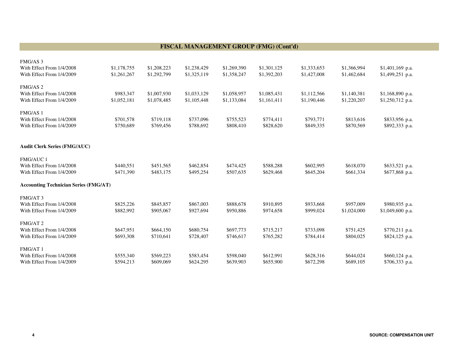#### **FISCAL MANAGEMENT GROUP (FMG) (Cont'd)**

| <b>FMG/AS3</b>                               |             |             |             |             |             |             |             |                   |
|----------------------------------------------|-------------|-------------|-------------|-------------|-------------|-------------|-------------|-------------------|
| With Effect From 1/4/2008                    | \$1,178,755 | \$1,208,223 | \$1,238,429 | \$1,269,390 | \$1,301,125 | \$1,333,653 | \$1,366,994 | $$1,401,169$ p.a. |
| With Effect From 1/4/2009                    | \$1,261,267 | \$1,292,799 | \$1,325,119 | \$1,358,247 | \$1,392,203 | \$1,427,008 | \$1,462,684 | \$1,499,251 p.a.  |
|                                              |             |             |             |             |             |             |             |                   |
| FMG/AS <sub>2</sub>                          |             |             |             |             |             |             |             |                   |
| With Effect From 1/4/2008                    | \$983,347   | \$1,007,930 | \$1,033,129 | \$1,058,957 | \$1,085,431 | \$1,112,566 | \$1,140,381 | \$1,168,890 p.a.  |
| With Effect From 1/4/2009                    | \$1,052,181 | \$1,078,485 | \$1,105,448 | \$1,133,084 | \$1,161,411 | \$1,190,446 | \$1,220,207 | $$1,250,712$ p.a. |
|                                              |             |             |             |             |             |             |             |                   |
| FMG/AS 1                                     |             |             |             |             |             |             |             |                   |
| With Effect From 1/4/2008                    | \$701,578   | \$719,118   | \$737,096   | \$755,523   | \$774,411   | \$793,771   | \$813,616   | \$833,956 p.a.    |
| With Effect From 1/4/2009                    | \$750,689   | \$769,456   | \$788,692   | \$808,410   | \$828,620   | \$849,335   | \$870,569   | \$892,333 p.a.    |
|                                              |             |             |             |             |             |             |             |                   |
|                                              |             |             |             |             |             |             |             |                   |
| <b>Audit Clerk Series (FMG/AUC)</b>          |             |             |             |             |             |             |             |                   |
| <b>FMG/AUC1</b>                              |             |             |             |             |             |             |             |                   |
| With Effect From 1/4/2008                    | \$440,551   | \$451,565   | \$462,854   | \$474,425   | \$588,288   | \$602,995   | \$618,070   | \$633,521 p.a.    |
| With Effect From 1/4/2009                    | \$471,390   | \$483,175   | \$495,254   | \$507,635   | \$629,468   | \$645,204   | \$661,334   | \$677,868 p.a.    |
|                                              |             |             |             |             |             |             |             |                   |
| <b>Accounting Technician Series (FMG/AT)</b> |             |             |             |             |             |             |             |                   |
|                                              |             |             |             |             |             |             |             |                   |
| FMG/AT3                                      |             |             |             |             |             |             |             |                   |
| With Effect From 1/4/2008                    | \$825,226   | \$845,857   | \$867,003   | \$888,678   | \$910,895   | \$933,668   | \$957,009   | \$980,935 p.a.    |
| With Effect From 1/4/2009                    | \$882,992   | \$905,067   | \$927,694   | \$950,886   | \$974,658   | \$999,024   | \$1,024,000 | \$1,049,600 p.a.  |
|                                              |             |             |             |             |             |             |             |                   |
| FMG/AT 2<br>With Effect From 1/4/2008        |             |             |             |             |             |             |             |                   |
|                                              | \$647,951   | \$664,150   | \$680,754   | \$697,773   | \$715,217   | \$733,098   | \$751,425   | \$770,211 p.a.    |
| With Effect From 1/4/2009                    | \$693,308   | \$710,641   | \$728,407   | \$746,617   | \$765,282   | \$784,414   | \$804,025   | \$824,125 p.a.    |
| FMG/AT 1                                     |             |             |             |             |             |             |             |                   |
| With Effect From 1/4/2008                    | \$555,340   | \$569,223   | \$583,454   | \$598,040   | \$612,991   | \$628,316   | \$644,024   | $$660,124$ p.a.   |
| With Effect From 1/4/2009                    | \$594,213   | \$609,069   | \$624,295   | \$639,903   | \$655,900   | \$672,298   | \$689,105   | $$706,333$ p.a.   |
|                                              |             |             |             |             |             |             |             |                   |

**4**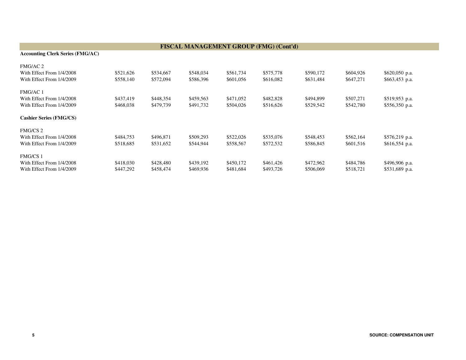| <b>Accounting Clerk Series (FMG/AC)</b> |           |           |           |           |           |           |           |                 |
|-----------------------------------------|-----------|-----------|-----------|-----------|-----------|-----------|-----------|-----------------|
| FMG/AC 2                                |           |           |           |           |           |           |           |                 |
| With Effect From 1/4/2008               | \$521,626 | \$534,667 | \$548,034 | \$561,734 | \$575,778 | \$590,172 | \$604,926 | \$620,050 p.a.  |
| With Effect From 1/4/2009               | \$558,140 | \$572,094 | \$586,396 | \$601,056 | \$616,082 | \$631,484 | \$647,271 | $$663,453$ p.a. |
| FMG/AC 1                                |           |           |           |           |           |           |           |                 |
| With Effect From 1/4/2008               | \$437,419 | \$448,354 | \$459,563 | \$471,052 | \$482,828 | \$494,899 | \$507,271 | \$519,953 p.a.  |
| With Effect From 1/4/2009               | \$468,038 | \$479,739 | \$491,732 | \$504,026 | \$516,626 | \$529,542 | \$542,780 | $$556,350$ p.a. |
| <b>Cashier Series (FMG/CS)</b>          |           |           |           |           |           |           |           |                 |
| <b>FMG/CS 2</b>                         |           |           |           |           |           |           |           |                 |
| With Effect From 1/4/2008               | \$484,753 | \$496,871 | \$509,293 | \$522,026 | \$535,076 | \$548,453 | \$562,164 | \$576,219 p.a.  |
| With Effect From 1/4/2009               | \$518,685 | \$531,652 | \$544,944 | \$558,567 | \$572,532 | \$586,845 | \$601,516 | $$616,554$ p.a. |
| <b>FMG/CS 1</b>                         |           |           |           |           |           |           |           |                 |
| With Effect From 1/4/2008               | \$418,030 | \$428,480 | \$439,192 | \$450,172 | \$461,426 | \$472,962 | \$484,786 | \$496,906 p.a.  |
| With Effect From 1/4/2009               | \$447,292 | \$458,474 | \$469,936 | \$481,684 | \$493,726 | \$506,069 | \$518,721 | \$531,689 p.a.  |

#### **FISCAL MANAGEMENT GROUP (FMG) (Cont'd)**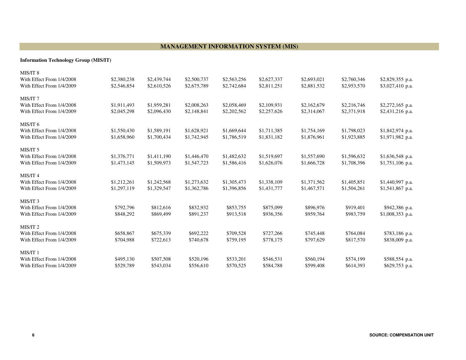#### **MANAGEMENT INFORMATION SYSTEM (MIS)**

#### **Information Technology Group (MIS/IT)**

| MIS/IT <sub>8</sub><br>With Effect From 1/4/2008<br>With Effect From 1/4/2009 | \$2,380,238<br>\$2,546,854 | \$2,439,744<br>\$2,610,526 | \$2,500,737<br>\$2,675,789 | \$2,563,256<br>\$2,742,684 | \$2,627,337<br>\$2,811,251 | \$2,693,021<br>\$2,881,532 | \$2,760,346<br>\$2,953,570 | \$2,829,355 p.a.<br>\$3,027,410 p.a.  |
|-------------------------------------------------------------------------------|----------------------------|----------------------------|----------------------------|----------------------------|----------------------------|----------------------------|----------------------------|---------------------------------------|
| MIS/IT <sub>7</sub><br>With Effect From 1/4/2008<br>With Effect From 1/4/2009 | \$1,911,493<br>\$2,045,298 | \$1,959,281<br>\$2,096,430 | \$2,008,263<br>\$2,148,841 | \$2,058,469<br>\$2,202,562 | \$2,109,931<br>\$2,257,626 | \$2,162,679<br>\$2,314,067 | \$2,216,746<br>\$2,371,918 | \$2,272,165 p.a.<br>$$2,431,216$ p.a. |
| MIS/IT 6<br>With Effect From 1/4/2008<br>With Effect From 1/4/2009            | \$1,550,430<br>\$1,658,960 | \$1,589,191<br>\$1,700,434 | \$1,628,921<br>\$1,742,945 | \$1,669,644<br>\$1,786,519 | \$1,711,385<br>\$1,831,182 | \$1,754,169<br>\$1,876,961 | \$1,798,023<br>\$1,923,885 | $$1,842,974$ p.a.<br>\$1,971,982 p.a. |
| MIS/IT 5<br>With Effect From 1/4/2008<br>With Effect From 1/4/2009            | \$1,376,771<br>\$1,473,145 | \$1,411,190<br>\$1,509,973 | \$1,446,470<br>\$1,547,723 | \$1,482,632<br>\$1,586,416 | \$1,519,697<br>\$1,626,076 | \$1,557,690<br>\$1,666,728 | \$1,596,632<br>\$1,708,396 | \$1,636,548 p.a.<br>\$1,751,106 p.a.  |
| MIS/IT 4<br>With Effect From 1/4/2008<br>With Effect From 1/4/2009            | \$1,212,261<br>\$1,297,119 | \$1,242,568<br>\$1,329,547 | \$1,273,632<br>\$1,362,786 | \$1,305,473<br>\$1,396,856 | \$1,338,109<br>\$1,431,777 | \$1,371,562<br>\$1,467,571 | \$1,405,851<br>\$1,504,261 | \$1,440,997 p.a.<br>$$1,541,867$ p.a. |
| MIS/IT <sub>3</sub><br>With Effect From 1/4/2008<br>With Effect From 1/4/2009 | \$792,796<br>\$848,292     | \$812,616<br>\$869,499     | \$832,932<br>\$891,237     | \$853,755<br>\$913,518     | \$875,099<br>\$936,356     | \$896,976<br>\$959,764     | \$919,401<br>\$983,759     | \$942,386 p.a.<br>\$1,008,353 p.a.    |
| MIS/IT <sub>2</sub><br>With Effect From 1/4/2008<br>With Effect From 1/4/2009 | \$658,867<br>\$704,988     | \$675,339<br>\$722,613     | \$692,222<br>\$740,678     | \$709,528<br>\$759,195     | \$727,266<br>\$778,175     | \$745,448<br>\$797,629     | \$764,084<br>\$817,570     | \$783,186 p.a.<br>\$838,009 p.a.      |
| MIS/IT 1<br>With Effect From 1/4/2008<br>With Effect From 1/4/2009            | \$495,130<br>\$529,789     | \$507,508<br>\$543,034     | \$520,196<br>\$556,610     | \$533,201<br>\$570,525     | \$546,531<br>\$584,788     | \$560,194<br>\$599,408     | \$574,199<br>\$614,393     | \$588,554 p.a.<br>\$629,753 p.a.      |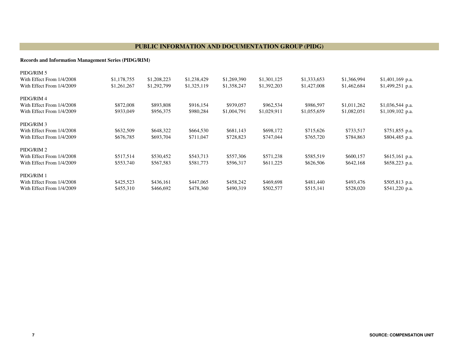#### **PUBLIC INFORMATION AND DOCUMENTATION GROUP (PIDG)**

#### **Records and Information Management Series (PIDG/RIM)**

| PIDG/RIM 5<br>With Effect From 1/4/2008<br>With Effect From 1/4/2009 | \$1,178,755<br>\$1,261,267 | \$1,208,223<br>\$1,292,799 | \$1,238,429<br>\$1,325,119 | \$1,269,390<br>\$1,358,247 | \$1,301,125<br>\$1,392,203 | \$1,333,653<br>\$1,427,008 | \$1,366,994<br>\$1,462,684 | \$1,401,169 p.a.<br>$$1,499,251$ p.a. |
|----------------------------------------------------------------------|----------------------------|----------------------------|----------------------------|----------------------------|----------------------------|----------------------------|----------------------------|---------------------------------------|
| PIDG/RIM 4<br>With Effect From 1/4/2008                              | \$872,008                  | \$893,808                  | \$916,154                  | \$939,057                  | \$962,534                  | \$986,597                  | \$1,011,262                | \$1,036,544 p.a.                      |
| With Effect From 1/4/2009                                            | \$933,049                  | \$956,375                  | \$980,284                  | \$1,004,791                | \$1,029,911                | \$1,055,659                | \$1,082,051                | $$1,109,102$ p.a.                     |
| PIDG/RIM 3                                                           |                            |                            |                            |                            |                            |                            |                            |                                       |
| With Effect From 1/4/2008                                            | \$632,509                  | \$648,322                  | \$664,530                  | \$681,143                  | \$698,172                  | \$715,626                  | \$733,517                  | \$751,855 p.a.                        |
| With Effect From 1/4/2009                                            | \$676,785                  | \$693,704                  | \$711,047                  | \$728,823                  | \$747,044                  | \$765,720                  | \$784,863                  | \$804,485 p.a.                        |
| PIDG/RIM 2                                                           |                            |                            |                            |                            |                            |                            |                            |                                       |
| With Effect From 1/4/2008                                            | \$517,514                  | \$530,452                  | \$543,713                  | \$557,306                  | \$571,238                  | \$585,519                  | \$600,157                  | \$615,161 p.a.                        |
| With Effect From 1/4/2009                                            | \$553,740                  | \$567,583                  | \$581,773                  | \$596,317                  | \$611,225                  | \$626,506                  | \$642,168                  | \$658,223 p.a.                        |
| PIDG/RIM 1                                                           |                            |                            |                            |                            |                            |                            |                            |                                       |
| With Effect From 1/4/2008                                            | \$425,523                  | \$436,161                  | \$447,065                  | \$458,242                  | \$469,698                  | \$481,440                  | \$493,476                  | \$505,813 p.a.                        |
| With Effect From 1/4/2009                                            | \$455,310                  | \$466,692                  | \$478,360                  | \$490,319                  | \$502,577                  | \$515,141                  | \$528,020                  | $$541,220$ p.a.                       |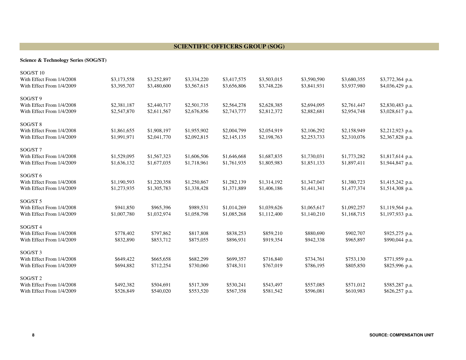#### **SCIENTIFIC OFFICERS GROUP (SOG)**

#### **Science & Technology Series (SOG/ST)**

| SOG/ST <sub>10</sub>      |             |             |             |             |             |             |             |                   |
|---------------------------|-------------|-------------|-------------|-------------|-------------|-------------|-------------|-------------------|
| With Effect From 1/4/2008 | \$3,173,558 | \$3,252,897 | \$3,334,220 | \$3,417,575 | \$3,503,015 | \$3,590,590 | \$3,680,355 | \$3,772,364 p.a.  |
| With Effect From 1/4/2009 | \$3,395,707 | \$3,480,600 | \$3,567,615 | \$3,656,806 | \$3,748,226 | \$3,841,931 | \$3,937,980 | \$4,036,429 p.a.  |
| SOG/ST 9                  |             |             |             |             |             |             |             |                   |
| With Effect From 1/4/2008 | \$2,381,187 | \$2,440,717 | \$2,501,735 | \$2,564,278 | \$2,628,385 | \$2,694,095 | \$2,761,447 | \$2,830,483 p.a.  |
| With Effect From 1/4/2009 | \$2,547,870 | \$2,611,567 | \$2,676,856 | \$2,743,777 | \$2,812,372 | \$2,882,681 | \$2,954,748 | \$3,028,617 p.a.  |
| SOG/ST 8                  |             |             |             |             |             |             |             |                   |
| With Effect From 1/4/2008 | \$1,861,655 | \$1,908,197 | \$1,955,902 | \$2,004,799 | \$2,054,919 | \$2,106,292 | \$2,158,949 | \$2,212,923 p.a.  |
| With Effect From 1/4/2009 | \$1,991,971 | \$2,041,770 | \$2,092,815 | \$2,145,135 | \$2,198,763 | \$2,253,733 | \$2,310,076 | \$2,367,828 p.a.  |
| SOG/ST7                   |             |             |             |             |             |             |             |                   |
| With Effect From 1/4/2008 | \$1,529,095 | \$1,567,323 | \$1,606,506 | \$1,646,668 | \$1,687,835 | \$1,730,031 | \$1,773,282 | \$1,817,614 p.a.  |
| With Effect From 1/4/2009 | \$1,636,132 | \$1,677,035 | \$1,718,961 | \$1,761,935 | \$1,805,983 | \$1,851,133 | \$1,897,411 | \$1,944,847 p.a.  |
| SOG/ST 6                  |             |             |             |             |             |             |             |                   |
| With Effect From 1/4/2008 | \$1,190,593 | \$1,220,358 | \$1,250,867 | \$1,282,139 | \$1,314,192 | \$1,347,047 | \$1,380,723 | \$1,415,242 p.a.  |
| With Effect From 1/4/2009 | \$1,273,935 | \$1,305,783 | \$1,338,428 | \$1,371,889 | \$1,406,186 | \$1,441,341 | \$1,477,374 | $$1,514,308$ p.a. |
| SOG/ST 5                  |             |             |             |             |             |             |             |                   |
| With Effect From 1/4/2008 | \$941,850   | \$965,396   | \$989,531   | \$1,014,269 | \$1,039,626 | \$1,065,617 | \$1,092,257 | \$1,119,564 p.a.  |
| With Effect From 1/4/2009 | \$1,007,780 | \$1,032,974 | \$1,058,798 | \$1,085,268 | \$1,112,400 | \$1,140,210 | \$1,168,715 | \$1,197,933 p.a.  |
| SOG/ST 4                  |             |             |             |             |             |             |             |                   |
| With Effect From 1/4/2008 | \$778,402   | \$797,862   | \$817,808   | \$838,253   | \$859,210   | \$880,690   | \$902,707   | \$925,275 p.a.    |
| With Effect From 1/4/2009 | \$832,890   | \$853,712   | \$875,055   | \$896,931   | \$919,354   | \$942,338   | \$965,897   | \$990,044 p.a.    |
| SOG/ST <sub>3</sub>       |             |             |             |             |             |             |             |                   |
| With Effect From 1/4/2008 | \$649,422   | \$665,658   | \$682,299   | \$699,357   | \$716,840   | \$734,761   | \$753,130   | \$771,959 p.a.    |
| With Effect From 1/4/2009 | \$694,882   | \$712,254   | \$730,060   | \$748,311   | \$767,019   | \$786,195   | \$805,850   | \$825,996 p.a.    |
| SOG/ST <sub>2</sub>       |             |             |             |             |             |             |             |                   |
| With Effect From 1/4/2008 | \$492,382   | \$504,691   | \$517,309   | \$530,241   | \$543,497   | \$557,085   | \$571,012   | \$585,287 p.a.    |
| With Effect From 1/4/2009 | \$526,849   | \$540,020   | \$553,520   | \$567,358   | \$581,542   | \$596,081   | \$610,983   | \$626,257 p.a.    |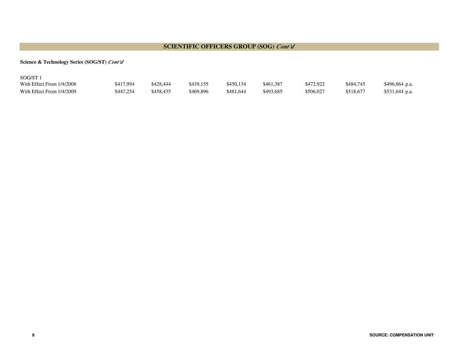#### **SCIENTIFIC OFFICERS GROUP (SOG)** *Cont'd*

#### **Science & Technology Series (SOG/ST)** *Cont'd*

| SOG/ST                    |           |           |           |           |           |           |           |                 |
|---------------------------|-----------|-----------|-----------|-----------|-----------|-----------|-----------|-----------------|
| With Effect From 1/4/2008 | \$417,994 | \$428,444 | \$439.155 | \$450.134 | \$461.387 | \$472,922 | \$484.745 | $$496,864$ p.a. |
| With Effect From 1/4/2009 | \$447.254 | \$458,435 | \$469,896 | \$481,644 | \$493.685 | \$506.027 | \$518,677 | $$531,644$ p.a. |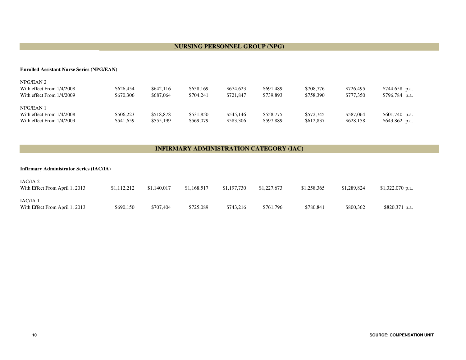#### **NURSING PERSONNEL GROUP (NPG)**

#### **Enrolled Assistant Nurse Series (NPG/EAN)**

| NPG/EAN 2                 |           |           |           |           |           |           |           |                 |
|---------------------------|-----------|-----------|-----------|-----------|-----------|-----------|-----------|-----------------|
| With effect From 1/4/2008 | \$626,454 | \$642,116 | \$658,169 | \$674,623 | \$691.489 | \$708,776 | \$726,495 | $$744,658$ p.a. |
| With effect From 1/4/2009 | \$670,306 | \$687,064 | \$704.241 | \$721,847 | \$739,893 | \$758,390 | \$777,350 | $$796,784$ p.a. |
| NPG/EAN 1                 |           |           |           |           |           |           |           |                 |
| With effect From 1/4/2008 | \$506,223 | \$518.878 | \$531,850 | \$545,146 | \$558,775 | \$572,745 | \$587,064 | $$601,740$ p.a. |
| With effect From 1/4/2009 | \$541,659 | \$555,199 | \$569,079 | \$583,306 | \$597,889 | \$612,837 | \$628,158 | $$643,862$ p.a. |

#### **INFIRMARY ADMINISTRATION CATEGORY (IAC)**

| <b>Infirmary Administrator Series (IAC/IA)</b> |             |             |             |             |             |             |             |                   |  |  |  |
|------------------------------------------------|-------------|-------------|-------------|-------------|-------------|-------------|-------------|-------------------|--|--|--|
| IAC/IA 2<br>With Effect From April 1, 2013     | \$1,112,212 | \$1,140,017 | \$1,168,517 | \$1,197,730 | \$1,227,673 | \$1,258,365 | \$1,289,824 | $$1,322,070$ p.a. |  |  |  |
| IAC/IA 1<br>With Effect From April 1, 2013     | \$690,150   | \$707.404   | \$725,089   | \$743,216   | \$761,796   | \$780,841   | \$800,362   | \$820,371 p.a.    |  |  |  |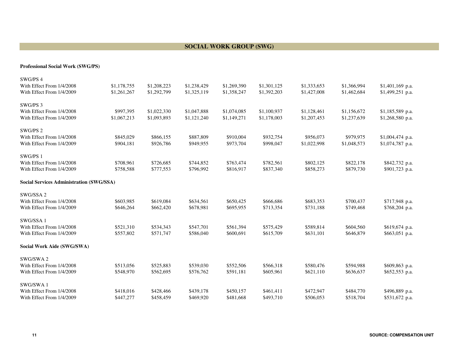#### **SOCIAL WORK GROUP (SWG)**

#### **Professional Social Work (SWG/PS)**

| \$1,401,169 p.a.  |
|-------------------|
| \$1,499,251 p.a.  |
|                   |
|                   |
| \$1,185,589 p.a.  |
| \$1,268,580 p.a.  |
|                   |
|                   |
| \$1,004,474 p.a.  |
| $$1,074,787$ p.a. |
|                   |
|                   |
| \$842,732 p.a.    |
| \$901,723 p.a.    |
|                   |
|                   |
|                   |
| \$717,948 p.a.    |
| \$768,204 p.a.    |
|                   |
|                   |
| \$619,674 p.a.    |
| \$663,051 p.a.    |
|                   |
|                   |
|                   |
| \$609,863 p.a.    |
| \$652,553 p.a.    |
|                   |
|                   |
|                   |
| \$496,889 p.a.    |
|                   |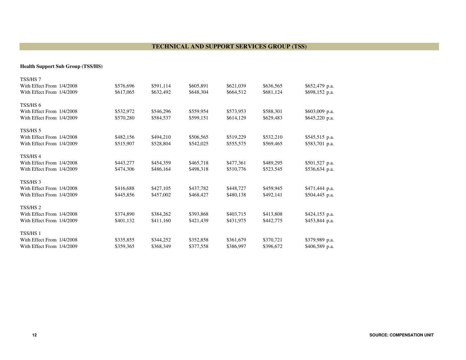#### **TECHNICAL AND SUPPORT SERVICES GROUP (TSS)**

**Health Support Sub Group (TSS/HS)**

| TSS/HS 7                  |           |           |           |           |           |                 |
|---------------------------|-----------|-----------|-----------|-----------|-----------|-----------------|
| With Effect From 1/4/2008 | \$576,696 | \$591,114 | \$605,891 | \$621,039 | \$636,565 | \$652,479 p.a.  |
| With Effect From 1/4/2009 | \$617,065 | \$632,492 | \$648,304 | \$664,512 | \$681,124 | \$698,152 p.a.  |
| TSS/HS <sub>6</sub>       |           |           |           |           |           |                 |
| With Effect From 1/4/2008 | \$532,972 | \$546,296 | \$559,954 | \$573,953 | \$588,301 | $$603,009$ p.a. |
| With Effect From 1/4/2009 | \$570,280 | \$584,537 | \$599,151 | \$614,129 | \$629,483 | $$645,220$ p.a. |
| TSS/HS <sub>5</sub>       |           |           |           |           |           |                 |
| With Effect From 1/4/2008 | \$482,156 | \$494,210 | \$506,565 | \$519,229 | \$532,210 | \$545,515 p.a.  |
| With Effect From 1/4/2009 | \$515,907 | \$528,804 | \$542,025 | \$555,575 | \$569,465 | \$583,701 p.a.  |
| TSS/HS4                   |           |           |           |           |           |                 |
| With Effect From 1/4/2008 | \$443,277 | \$454,359 | \$465,718 | \$477,361 | \$489,295 | \$501,527 p.a.  |
| With Effect From 1/4/2009 | \$474,306 | \$486,164 | \$498,318 | \$510,776 | \$523,545 | $$536,634$ p.a. |
| TSS/HS <sub>3</sub>       |           |           |           |           |           |                 |
| With Effect From 1/4/2008 | \$416,688 | \$427,105 | \$437,782 | \$448,727 | \$459,945 | \$471,444 p.a.  |
| With Effect From 1/4/2009 | \$445,856 | \$457,002 | \$468,427 | \$480,138 | \$492,141 | \$504,445 p.a.  |
| TSS/HS 2                  |           |           |           |           |           |                 |
| With Effect From 1/4/2008 | \$374,890 | \$384,262 | \$393,868 | \$403,715 | \$413,808 | \$424,153 p.a.  |
| With Effect From 1/4/2009 | \$401,132 | \$411,160 | \$421,439 | \$431,975 | \$442,775 | \$453,844 p.a.  |
| TSS/HS 1                  |           |           |           |           |           |                 |
| With Effect From 1/4/2008 | \$335,855 | \$344,252 | \$352,858 | \$361,679 | \$370,721 | \$379,989 p.a.  |
| With Effect From 1/4/2009 | \$359,365 | \$368,349 | \$377,558 | \$386,997 | \$396,672 | \$406,589 p.a.  |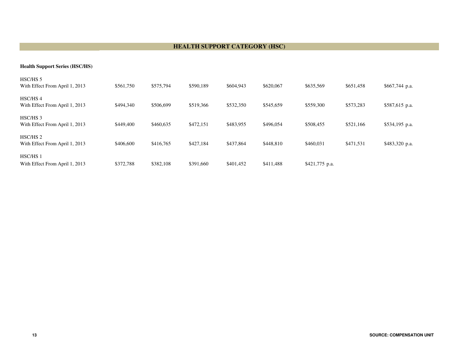#### **HEALTH SUPPORT CATEGORY (HSC)**

#### **Health Support Series (HSC/HS)**

| HSC/HS <sub>5</sub><br>With Effect From April 1, 2013 | \$561,750 | \$575,794 | \$590,189 | \$604,943 | \$620,067 | \$635,569      | \$651,458 | $$667,744$ p.a. |
|-------------------------------------------------------|-----------|-----------|-----------|-----------|-----------|----------------|-----------|-----------------|
| HSC/HS4<br>With Effect From April 1, 2013             | \$494,340 | \$506,699 | \$519,366 | \$532,350 | \$545,659 | \$559,300      | \$573,283 | \$587,615 p.a.  |
| HSC/HS <sub>3</sub><br>With Effect From April 1, 2013 | \$449,400 | \$460,635 | \$472.151 | \$483,955 | \$496,054 | \$508,455      | \$521,166 | \$534,195 p.a.  |
| HSC/HS <sub>2</sub><br>With Effect From April 1, 2013 | \$406,600 | \$416,765 | \$427.184 | \$437,864 | \$448,810 | \$460,031      | \$471,531 | \$483,320 p.a.  |
| HSC/HS <sub>1</sub><br>With Effect From April 1, 2013 | \$372,788 | \$382,108 | \$391,660 | \$401,452 | \$411,488 | \$421,775 p.a. |           |                 |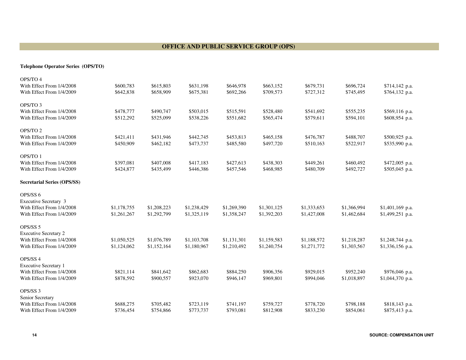#### **OFFICE AND PUBLIC SERVICE GROUP (OPS)**

**Telephone Operator Series (OPS/TO)** 

| OPS/TO 4                                               |                        |                        |                        |                        |                        |                        |                        |                   |
|--------------------------------------------------------|------------------------|------------------------|------------------------|------------------------|------------------------|------------------------|------------------------|-------------------|
| With Effect From 1/4/2008                              | \$600,783              | \$615,803              | \$631,198              | \$646,978              | \$663,152              | \$679,731              | \$696,724              | \$714,142 p.a.    |
| With Effect From 1/4/2009                              | \$642,838              | \$658,909              | \$675,381              | \$692,266              | \$709,573              | \$727,312              | \$745,495              | \$764,132 p.a.    |
| OPS/TO 3                                               |                        |                        |                        |                        |                        |                        |                        |                   |
| With Effect From 1/4/2008                              | \$478,777              | \$490,747              | \$503,015              | \$515,591              | \$528,480              | \$541,692              | \$555,235              | \$569,116 p.a.    |
| With Effect From 1/4/2009                              | \$512,292              | \$525,099              | \$538,226              | \$551,682              | \$565,474              | \$579,611              | \$594,101              | \$608,954 p.a.    |
|                                                        |                        |                        |                        |                        |                        |                        |                        |                   |
| OPS/TO 2                                               |                        |                        |                        |                        |                        |                        |                        |                   |
| With Effect From 1/4/2008                              | \$421,411              | \$431,946              | \$442,745              | \$453,813              | \$465,158              | \$476,787              | \$488,707              | \$500,925 p.a.    |
| With Effect From 1/4/2009                              | \$450,909              | \$462,182              | \$473,737              | \$485,580              | \$497,720              | \$510,163              | \$522,917              | \$535,990 p.a.    |
| OPS/TO 1                                               |                        |                        |                        |                        |                        |                        |                        |                   |
| With Effect From 1/4/2008                              | \$397,081              | \$407,008              | \$417,183              | \$427,613              | \$438,303              | \$449,261              | \$460,492              | \$472,005 p.a.    |
| With Effect From 1/4/2009                              | \$424,877              | \$435,499              | \$446,386              | \$457,546              | \$468,985              | \$480,709              | \$492,727              | \$505,045 p.a.    |
|                                                        |                        |                        |                        |                        |                        |                        |                        |                   |
| <b>Secretarial Series (OPS/SS)</b>                     |                        |                        |                        |                        |                        |                        |                        |                   |
| OPS/SS 6                                               |                        |                        |                        |                        |                        |                        |                        |                   |
| <b>Executive Secretary 3</b>                           |                        |                        |                        |                        |                        |                        |                        |                   |
| With Effect From 1/4/2008                              | \$1,178,755            | \$1,208,223            | \$1,238,429            | \$1,269,390            | \$1,301,125            | \$1,333,653            | \$1,366,994            | $$1,401,169$ p.a. |
| With Effect From 1/4/2009                              | \$1,261,267            | \$1,292,799            | \$1,325,119            | \$1,358,247            | \$1,392,203            | \$1,427,008            | \$1,462,684            | $$1,499,251$ p.a. |
|                                                        |                        |                        |                        |                        |                        |                        |                        |                   |
| OPS/SS 5                                               |                        |                        |                        |                        |                        |                        |                        |                   |
| <b>Executive Secretary 2</b>                           |                        |                        |                        |                        |                        |                        |                        |                   |
| With Effect From 1/4/2008                              | \$1,050,525            | \$1,076,789            | \$1,103,708            | \$1,131,301            | \$1,159,583            | \$1,188,572            | \$1,218,287            | \$1,248,744 p.a.  |
| With Effect From 1/4/2009                              | \$1,124,062            | \$1,152,164            | \$1,180,967            | \$1,210,492            | \$1,240,754            | \$1,271,772            | \$1,303,567            | \$1,336,156 p.a.  |
| OPS/SS 4                                               |                        |                        |                        |                        |                        |                        |                        |                   |
| <b>Executive Secretary 1</b>                           |                        |                        |                        |                        |                        |                        |                        |                   |
| With Effect From 1/4/2008                              | \$821,114              | \$841,642              | \$862,683              | \$884,250              | \$906,356              | \$929,015              | \$952,240              | \$976,046 p.a.    |
| With Effect From 1/4/2009                              | \$878,592              | \$900,557              | \$923,070              | \$946,147              | \$969,801              | \$994,046              | \$1,018,897            | \$1,044,370 p.a.  |
|                                                        |                        |                        |                        |                        |                        |                        |                        |                   |
| OPS/SS 3                                               |                        |                        |                        |                        |                        |                        |                        |                   |
| Senior Secretary                                       |                        |                        |                        |                        |                        |                        |                        |                   |
| With Effect From 1/4/2008<br>With Effect From 1/4/2009 | \$688,275<br>\$736,454 | \$705,482<br>\$754,866 | \$723,119<br>\$773,737 | \$741,197<br>\$793,081 | \$759,727<br>\$812,908 | \$778,720<br>\$833,230 | \$798,188<br>\$854,061 | \$818,143 p.a.    |
|                                                        |                        |                        |                        |                        |                        |                        |                        | \$875,413 p.a.    |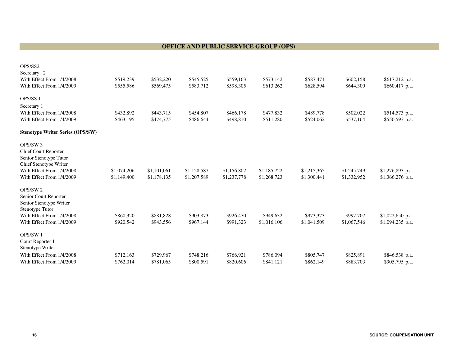#### **OFFICE AND PUBLIC SERVICE GROUP (OPS)**

| OPS/SS2                                                |                        |                        |                        |                        |                        |                        |                        |                                  |
|--------------------------------------------------------|------------------------|------------------------|------------------------|------------------------|------------------------|------------------------|------------------------|----------------------------------|
| Secretary 2                                            |                        |                        |                        |                        |                        |                        |                        |                                  |
| With Effect From 1/4/2008<br>With Effect From 1/4/2009 | \$519,239<br>\$555,586 | \$532,220<br>\$569,475 | \$545,525<br>\$583,712 | \$559,163<br>\$598,305 | \$573,142<br>\$613,262 | \$587,471<br>\$628,594 | \$602,158<br>\$644,309 | \$617,212 p.a.<br>\$660,417 p.a. |
|                                                        |                        |                        |                        |                        |                        |                        |                        |                                  |
| OPS/SS <sub>1</sub>                                    |                        |                        |                        |                        |                        |                        |                        |                                  |
| Secretary 1                                            |                        |                        |                        |                        |                        |                        |                        |                                  |
| With Effect From 1/4/2008                              | \$432,892              | \$443,715              | \$454,807              | \$466,178              | \$477,832              | \$489,778              | \$502,022              | \$514,573 p.a.                   |
| With Effect From 1/4/2009                              | \$463,195              | \$474,775              | \$486,644              | \$498,810              | \$511,280              | \$524,062              | \$537,164              | \$550,593 p.a.                   |
| <b>Stenotype Writer Series (OPS/SW)</b>                |                        |                        |                        |                        |                        |                        |                        |                                  |
| OPS/SW <sub>3</sub>                                    |                        |                        |                        |                        |                        |                        |                        |                                  |
| <b>Chief Court Reporter</b>                            |                        |                        |                        |                        |                        |                        |                        |                                  |
| Senior Stenotype Tutor                                 |                        |                        |                        |                        |                        |                        |                        |                                  |
| Chief Stenotype Writer                                 |                        |                        |                        |                        |                        |                        |                        |                                  |
| With Effect From 1/4/2008                              | \$1,074,206            | \$1,101,061            | \$1,128,587            | \$1,156,802            | \$1,185,722            | \$1,215,365            | \$1,245,749            | \$1,276,893 p.a.                 |
| With Effect From 1/4/2009                              | \$1,149,400            | \$1,178,135            | \$1,207,589            | \$1,237,778            | \$1,268,723            | \$1,300,441            | \$1,332,952            | \$1,366,276 p.a.                 |
| OPS/SW <sub>2</sub>                                    |                        |                        |                        |                        |                        |                        |                        |                                  |
| Senior Court Reporter                                  |                        |                        |                        |                        |                        |                        |                        |                                  |
| Senior Stenotype Writer                                |                        |                        |                        |                        |                        |                        |                        |                                  |
| Stenotype Tutor                                        |                        |                        |                        |                        |                        |                        |                        |                                  |
| With Effect From 1/4/2008                              | \$860,320              | \$881,828              | \$903,873              | \$926,470              | \$949,632              | \$973,373              | \$997,707              | \$1,022,650 p.a.                 |
| With Effect From 1/4/2009                              | \$920,542              | \$943,556              | \$967,144              | \$991,323              | \$1,016,106            | \$1,041,509            | \$1,067,546            | \$1,094,235 p.a.                 |
| OPS/SW1                                                |                        |                        |                        |                        |                        |                        |                        |                                  |
| Court Reporter 1                                       |                        |                        |                        |                        |                        |                        |                        |                                  |
| Stenotype Writer                                       |                        |                        |                        |                        |                        |                        |                        |                                  |
| With Effect From 1/4/2008                              | \$712,163              | \$729,967              | \$748,216              | \$766,921              | \$786,094              | \$805,747              | \$825,891              | \$846,538 p.a.                   |
| With Effect From 1/4/2009                              | \$762,014              | \$781,065              | \$800,591              | \$820,606              | \$841,121              | \$862,149              | \$883,703              | \$905,795 p.a.                   |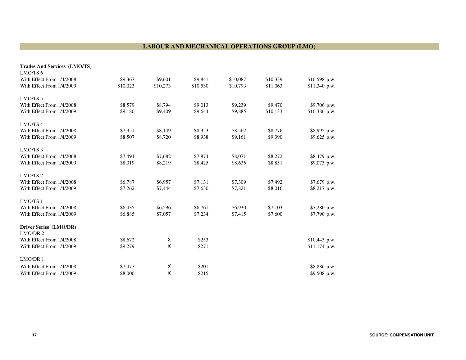#### **LABOUR AND MECHANICAL OPERATIONS GROUP (LMO)**

| <b>Trades And Services (LMO/TS)</b> |          |          |          |          |          |                |
|-------------------------------------|----------|----------|----------|----------|----------|----------------|
| LMO/TS 6                            |          |          |          |          |          |                |
| With Effect From 1/4/2008           | \$9,367  | \$9,601  | \$9,841  | \$10,087 | \$10,339 | \$10,598 p.w.  |
| With Effect From 1/4/2009           | \$10,023 | \$10,273 | \$10,530 | \$10,793 | \$11,063 | \$11,340 p.w.  |
| LMO/TS <sub>5</sub>                 |          |          |          |          |          |                |
| With Effect From 1/4/2008           | \$8,579  | \$8,794  | \$9,013  | \$9,239  | \$9,470  | \$9,706 p.w.   |
| With Effect From 1/4/2009           | \$9,180  | \$9,409  | \$9,644  | \$9,885  | \$10,133 | \$10,386 p.w.  |
| LMO/TS <sub>4</sub>                 |          |          |          |          |          |                |
| With Effect From 1/4/2008           | \$7,951  | \$8,149  | \$8,353  | \$8,562  | \$8,776  | \$8,995 p.w.   |
| With Effect From 1/4/2009           | \$8,507  | \$8,720  | \$8,938  | \$9,161  | \$9,390  | $$9,625$ p.w.  |
| LMO/TS <sub>3</sub>                 |          |          |          |          |          |                |
| With Effect From 1/4/2008           | \$7,494  | \$7,682  | \$7,874  | \$8,071  | \$8,272  | \$8,479 p.w.   |
| With Effect From 1/4/2009           | \$8,019  | \$8,219  | \$8,425  | \$8,636  | \$8,851  | \$9,073 p.w.   |
| LMO/TS <sub>2</sub>                 |          |          |          |          |          |                |
| With Effect From 1/4/2008           | \$6,787  | \$6,957  | \$7,131  | \$7,309  | \$7,492  | \$7,679 p.w.   |
| With Effect From 1/4/2009           | \$7,262  | \$7,444  | \$7,630  | \$7,821  | \$8,016  | $$8,217$ p.w.  |
| LMO/TS 1                            |          |          |          |          |          |                |
| With Effect From 1/4/2008           | \$6,435  | \$6,596  | \$6,761  | \$6,930  | \$7,103  | \$7,280 p.w.   |
| With Effect From 1/4/2009           | \$6,885  | \$7,057  | \$7,234  | \$7,415  | \$7,600  | \$7,790 p.w.   |
| Driver Series (LMO/DR)              |          |          |          |          |          |                |
| LMO/DR 2                            |          |          |          |          |          |                |
| With Effect From 1/4/2008           | \$8,672  | X        | \$253    |          |          | \$10,443 p.w.  |
| With Effect From 1/4/2009           | \$9,279  | X        | \$271    |          |          | $$11,174$ p.w. |
| LMO/DR1                             |          |          |          |          |          |                |
| With Effect From 1/4/2008           | \$7,477  | Χ        | \$201    |          |          | \$8,886 p.w.   |
| With Effect From 1/4/2009           | \$8,000  | X        | \$215    |          |          | \$9,508 p.w.   |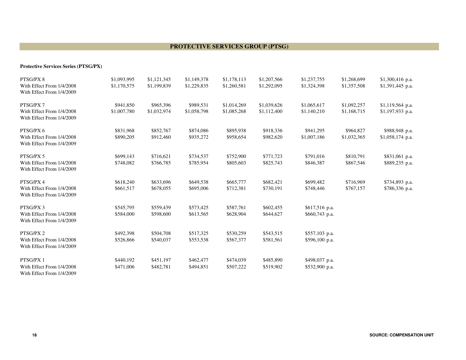#### **PROTECTIVE SERVICES GROUP (PTSG)**

#### **Protective Services Series (PTSG/PX)**

| PTSG/PX 8                                              | \$1,093,995 | \$1,121,345 | \$1,149,378 | \$1,178,113 | \$1,207,566 | \$1,237,755     | \$1,268,699 | \$1,300,416 p.a.  |
|--------------------------------------------------------|-------------|-------------|-------------|-------------|-------------|-----------------|-------------|-------------------|
| With Effect From 1/4/2008<br>With Effect From 1/4/2009 | \$1,170,575 | \$1,199,839 | \$1,229,835 | \$1,260,581 | \$1,292,095 | \$1,324,398     | \$1,357,508 | \$1,391,445 p.a.  |
| PTSG/PX7                                               | \$941,850   | \$965,396   | \$989,531   | \$1,014,269 | \$1,039,626 | \$1,065,617     | \$1,092,257 | $$1,119,564$ p.a. |
| With Effect From 1/4/2008<br>With Effect From 1/4/2009 | \$1,007,780 | \$1,032,974 | \$1,058,798 | \$1,085,268 | \$1,112,400 | \$1,140,210     | \$1,168,715 | \$1,197,933 p.a.  |
| PTSG/PX 6                                              | \$831,968   | \$852,767   | \$874,086   | \$895,938   | \$918,336   | \$941,295       | \$964,827   | \$988,948 p.a.    |
| With Effect From 1/4/2008<br>With Effect From 1/4/2009 | \$890,205   | \$912,460   | \$935,272   | \$958,654   | \$982,620   | \$1,007,186     | \$1,032,365 | $$1,058,174$ p.a. |
| PTSG/PX 5                                              | \$699,143   | \$716,621   | \$734,537   | \$752,900   | \$771,723   | \$791,016       | \$810,791   | \$831,061 p.a.    |
| With Effect From 1/4/2008<br>With Effect From 1/4/2009 | \$748,082   | \$766,785   | \$785,954   | \$805,603   | \$825,743   | \$846,387       | \$867,546   | \$889,235 p.a.    |
| PTSG/PX 4                                              | \$618,240   | \$633,696   | \$649,538   | \$665,777   | \$682,421   | \$699,482       | \$716,969   | \$734,893 p.a.    |
| With Effect From 1/4/2008<br>With Effect From 1/4/2009 | \$661,517   | \$678,055   | \$695,006   | \$712,381   | \$730,191   | \$748,446       | \$767.157   | \$786,336 p.a.    |
| PTSG/PX 3                                              | \$545,795   | \$559,439   | \$573,425   | \$587,761   | \$602,455   | \$617,516 p.a.  |             |                   |
| With Effect From 1/4/2008<br>With Effect From 1/4/2009 | \$584,000   | \$598,600   | \$613,565   | \$628,904   | \$644,627   | $$660,743$ p.a. |             |                   |
| PTSG/PX 2                                              | \$492,398   | \$504,708   | \$517,325   | \$530,259   | \$543,515   | \$557,103 p.a.  |             |                   |
| With Effect From 1/4/2008<br>With Effect From 1/4/2009 | \$526,866   | \$540,037   | \$553,538   | \$567,377   | \$581,561   | \$596,100 p.a.  |             |                   |
| PTSG/PX 1                                              | \$440,192   | \$451,197   | \$462,477   | \$474,039   | \$485,890   | \$498,037 p.a.  |             |                   |
| With Effect From 1/4/2008<br>With Effect From 1/4/2009 | \$471,006   | \$482,781   | \$494,851   | \$507,222   | \$519,902   | \$532,900 p.a.  |             |                   |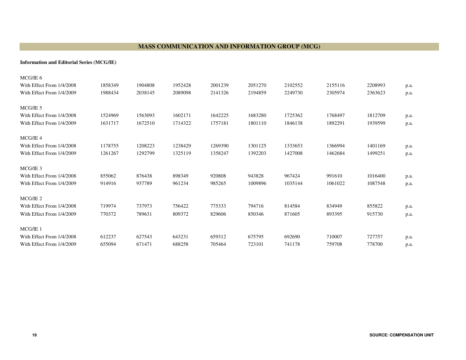#### **MASS COMMUNICATION AND INFORMATION GROUP (MCG)**

**Information and Editorial Series (MCG/IE)**

| MCG/IE 6                  |         |         |         |         |         |         |         |         |      |
|---------------------------|---------|---------|---------|---------|---------|---------|---------|---------|------|
| With Effect From 1/4/2008 | 1858349 | 1904808 | 1952428 | 2001239 | 2051270 | 2102552 | 2155116 | 2208993 | p.a. |
| With Effect From 1/4/2009 | 1988434 | 2038145 | 2089098 | 2141326 | 2194859 | 2249730 | 2305974 | 2363623 | p.a. |
|                           |         |         |         |         |         |         |         |         |      |
| MCG/IE 5                  |         |         |         |         |         |         |         |         |      |
| With Effect From 1/4/2008 | 1524969 | 1563093 | 1602171 | 1642225 | 1683280 | 1725362 | 1768497 | 1812709 | p.a. |
| With Effect From 1/4/2009 | 1631717 | 1672510 | 1714322 | 1757181 | 1801110 | 1846138 | 1892291 | 1939599 | p.a. |
| MCG/IE 4                  |         |         |         |         |         |         |         |         |      |
| With Effect From 1/4/2008 | 1178755 | 1208223 | 1238429 | 1269390 | 1301125 | 1333653 | 1366994 | 1401169 |      |
|                           |         |         |         |         |         |         |         |         | p.a. |
| With Effect From 1/4/2009 | 1261267 | 1292799 | 1325119 | 1358247 | 1392203 | 1427008 | 1462684 | 1499251 | p.a. |
| MCG/IE 3                  |         |         |         |         |         |         |         |         |      |
| With Effect From 1/4/2008 | 855062  | 876438  | 898349  | 920808  | 943828  | 967424  | 991610  | 1016400 | p.a. |
| With Effect From 1/4/2009 | 914916  | 937789  | 961234  | 985265  | 1009896 | 1035144 | 1061022 | 1087548 | p.a. |
| MCG/IE <sub>2</sub>       |         |         |         |         |         |         |         |         |      |
| With Effect From 1/4/2008 | 719974  | 737973  | 756422  | 775333  | 794716  | 814584  | 834949  | 855822  |      |
|                           |         |         |         |         |         |         |         |         | p.a. |
| With Effect From 1/4/2009 | 770372  | 789631  | 809372  | 829606  | 850346  | 871605  | 893395  | 915730  | p.a. |
| MCG/IE 1                  |         |         |         |         |         |         |         |         |      |
| With Effect From 1/4/2008 | 612237  | 627543  | 643231  | 659312  | 675795  | 692690  | 710007  | 727757  | p.a. |
| With Effect From 1/4/2009 | 655094  | 671471  | 688258  | 705464  | 723101  | 741178  | 759708  | 778700  | p.a. |
|                           |         |         |         |         |         |         |         |         |      |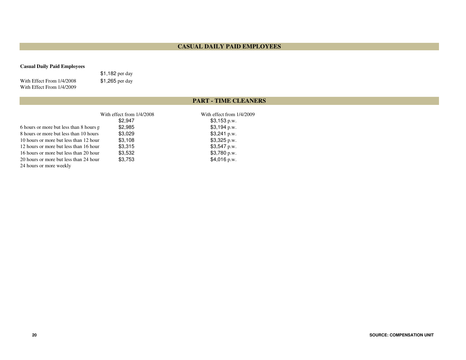#### **CASUAL DAILY PAID EMPLOYEES**

#### **Casual Daily Paid Employees**

With Effect From 1/4/2008With Effect From 1/4/2009

\$1,182 per day\$1,265 per day

#### **PART - TIME CLEANERS**

|                                         | With effect from $1/4/2008$ | With effect from 1/4/2009 |
|-----------------------------------------|-----------------------------|---------------------------|
|                                         | \$2.947                     | \$3,153 p.w.              |
| 6 hours or more but less than 8 hours p | \$2,985                     | $$3,194$ p.w.             |
| 8 hours or more but less than 10 hours  | \$3,029                     | \$3,241 p.w.              |
| 10 hours or more but less than 12 hour  | \$3,108                     | \$3,325 p.w.              |
| 12 hours or more but less than 16 hour  | \$3,315                     | $$3,547$ p.w.             |
| 16 hours or more but less than 20 hour  | \$3,532                     | \$3,780 p.w.              |
| 20 hours or more but less than 24 hour  | \$3.753                     | $$4,016$ p.w.             |
| 24 hours or more weekly                 |                             |                           |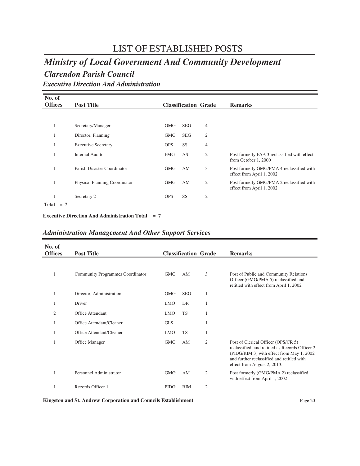### LIST OF ESTABLISHED POSTS

### *Ministry of Local Government And Community Development*

### *Clarendon Parish Council*

*Executive Direction And Administration*

| No. of         |       |                               |            |            |                             |                                                                        |
|----------------|-------|-------------------------------|------------|------------|-----------------------------|------------------------------------------------------------------------|
| <b>Offices</b> |       | <b>Post Title</b>             |            |            | <b>Classification Grade</b> | <b>Remarks</b>                                                         |
|                |       |                               |            |            |                             |                                                                        |
| -1             |       | Secretary/Manager             | <b>GMG</b> | <b>SEG</b> | $\overline{4}$              |                                                                        |
|                |       | Director, Planning            | <b>GMG</b> | <b>SEG</b> | $\overline{2}$              |                                                                        |
|                |       | <b>Executive Secretary</b>    | <b>OPS</b> | SS         | $\overline{4}$              |                                                                        |
|                |       | Internal Auditor              | <b>FMG</b> | AS         | $\overline{2}$              | Post formerly FAA 3 reclassified with effect<br>from October 1, 2000   |
|                |       | Parish Disaster Coordinator   | <b>GMG</b> | AM         | 3                           | Post formerly GMG/PMA 4 reclassified with<br>effect from April 1, 2002 |
| л.             |       | Physical Planning Coordinator | <b>GMG</b> | AM         | $\overline{2}$              | Post formerly GMG/PMA 2 reclassified with<br>effect from April 1, 2002 |
|                |       | Secretary 2                   | <b>OPS</b> | SS         | $\overline{2}$              |                                                                        |
| Total          | $= 7$ |                               |            |            |                             |                                                                        |

**Executive Direction And Administration Total = 7**

|  | <b>Administration Management And Other Support Services</b> |  |  |
|--|-------------------------------------------------------------|--|--|
|--|-------------------------------------------------------------|--|--|

| No. of<br><b>Offices</b> | <b>Post Title</b>                |             | <b>Classification Grade</b> |                | <b>Remarks</b>                                                                                                                                                                                                  |
|--------------------------|----------------------------------|-------------|-----------------------------|----------------|-----------------------------------------------------------------------------------------------------------------------------------------------------------------------------------------------------------------|
|                          | Community Programmes Coordinator | <b>GMG</b>  | AM                          | 3              | Post of Public and Community Relations<br>Officer (GMG/PMA 5) reclassified and<br>retitled with effect from April 1, 2002                                                                                       |
|                          | Director, Administration         | <b>GMG</b>  | <b>SEG</b>                  | 1              |                                                                                                                                                                                                                 |
| 1                        | Driver                           | <b>LMO</b>  | <b>DR</b>                   | 1              |                                                                                                                                                                                                                 |
| 2                        | Office Attendant                 | <b>LMO</b>  | <b>TS</b>                   | 1              |                                                                                                                                                                                                                 |
|                          | Office Attendant/Cleaner         | <b>GLS</b>  |                             | 1              |                                                                                                                                                                                                                 |
|                          | Office Attendant/Cleaner         | <b>LMO</b>  | <b>TS</b>                   | 1              |                                                                                                                                                                                                                 |
|                          | Office Manager                   | <b>GMG</b>  | AM                          | $\overline{2}$ | Post of Clerical Officer (OPS/CR 5)<br>reclassified and retitled as Records Officer 2<br>(PIDG/RIM 3) with effect from May 1, 2002<br>and further reclassified and retitled with<br>effect from August 2, 2013. |
|                          | Personnel Administrator          | GMG         | AM                          | $\overline{2}$ | Post formerly (GMG/PMA 2) reclassified<br>with effect from April 1, 2002                                                                                                                                        |
|                          | Records Officer 1                | <b>PIDG</b> | <b>RIM</b>                  | $\overline{2}$ |                                                                                                                                                                                                                 |

**Kingston and St. Andrew Corporation and Councils Establishment** Page 20 Page 20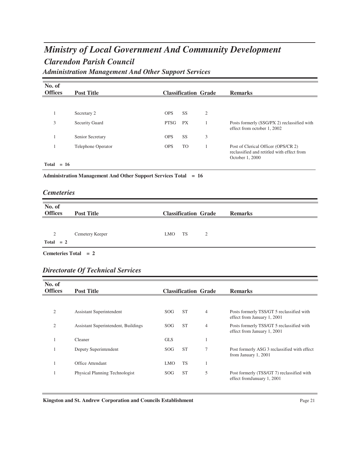### *Clarendon Parish Council Ministry of Local Government And Community Development Administration Management And Other Support Services*

| No. of<br><b>Offices</b> | <b>Post Title</b>     |             |           | <b>Classification Grade</b> | <b>Remarks</b>                                                                                       |
|--------------------------|-----------------------|-------------|-----------|-----------------------------|------------------------------------------------------------------------------------------------------|
|                          |                       |             |           |                             |                                                                                                      |
|                          | Secretary 2           | <b>OPS</b>  | <b>SS</b> | $\overline{2}$              |                                                                                                      |
| 3                        | <b>Security Guard</b> | <b>PTSG</b> | <b>PX</b> |                             | Posts formerly (SSG/PX 2) reclassified with<br>effect from october 1, 2002                           |
|                          | Senior Secretary      | <b>OPS</b>  | <b>SS</b> | 3                           |                                                                                                      |
|                          | Telephone Operator    | <b>OPS</b>  | <b>TO</b> |                             | Post of Clerical Officer (OPS/CR 2)<br>reclassified and retitled with effect from<br>October 1, 2000 |
| Total<br>$= 16$          |                       |             |           |                             |                                                                                                      |

**Administration Management And Other Support Services Total = 16**

| <b>Cemeteries</b> |  |
|-------------------|--|
|                   |  |

| No. of<br><b>Offices</b> | <b>Post Title</b> | <b>Classification Grade</b> | <b>Remarks</b> |
|--------------------------|-------------------|-----------------------------|----------------|
| 2<br>$Total = 2$         | Cemetery Keeper   | TS<br><b>LMO</b><br>2       |                |

**Cemeteries Total = 2**

#### *Directorate Of Technical Services*

| No. of<br><b>Offices</b> | <b>Post Title</b>                   |            |           | <b>Classification Grade</b> | <b>Remarks</b>                                                            |
|--------------------------|-------------------------------------|------------|-----------|-----------------------------|---------------------------------------------------------------------------|
|                          |                                     |            |           |                             |                                                                           |
| $\overline{2}$           | Assistant Superintendent            | SOG        | <b>ST</b> | $\overline{4}$              | Posts formerly TSS/GT 5 reclassified with<br>effect from January 1, 2001  |
| $\overline{2}$           | Assistant Superintendent, Buildings | SOG.       | <b>ST</b> | $\overline{4}$              | Posts formerly TSS/GT 5 reclassified with<br>effect from January 1, 2001  |
|                          | Cleaner                             | <b>GLS</b> |           |                             |                                                                           |
|                          | Deputy Superintendent               | SOG.       | <b>ST</b> | 7                           | Post formerly ASG 3 reclassified with effect<br>from January 1, 2001      |
|                          | Office Attendant                    | <b>LMO</b> | <b>TS</b> |                             |                                                                           |
|                          | Physical Planning Technologist      | SOG.       | <b>ST</b> | 5                           | Post formerly (TSS/GT 7) reclassified with<br>effect from January 1, 2001 |

**Kingston and St. Andrew Corporation and Councils Establishment** Page 21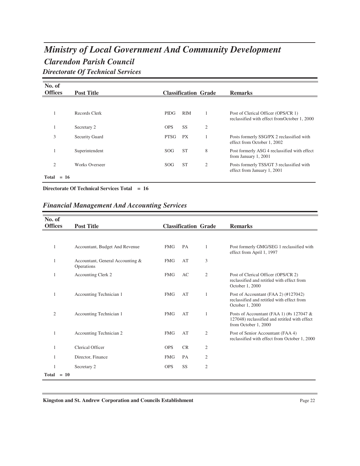### *Clarendon Parish Council Ministry of Local Government And Community Development Directorate Of Technical Services*

| No. of<br><b>Offices</b> | <b>Post Title</b>     |             | <b>Classification Grade</b> |   | <b>Remarks</b>                                                                       |
|--------------------------|-----------------------|-------------|-----------------------------|---|--------------------------------------------------------------------------------------|
|                          |                       |             |                             |   |                                                                                      |
|                          | Records Clerk         | <b>PIDG</b> | <b>RIM</b>                  |   | Post of Clerical Officer (OPS/CR 1)<br>reclassified with effect from October 1, 2000 |
|                          | Secretary 2           | <b>OPS</b>  | <b>SS</b>                   | 2 |                                                                                      |
| 3                        | <b>Security Guard</b> | <b>PTSG</b> | <b>PX</b>                   |   | Posts formerly SSG/PX 2 reclassified with<br>effect from October 1, 2002             |
|                          | Superintendent        | SOG         | <b>ST</b>                   | 8 | Post formerly ASG 4 reclassified with effect<br>from January 1, 2001                 |
| $\mathfrak{2}$           | <b>Works Overseer</b> | SOG         | <b>ST</b>                   | 2 | Posts formerly TSS/GT 3 reclassified with<br>effect from January 1, 2001             |
| $= 16$<br>Total          |                       |             |                             |   |                                                                                      |

**Directorate Of Technical Services Total = 16**

#### *Financial Management And Accounting Services*

| No. of         |                                                |            |           |                             |                                                                                                                      |
|----------------|------------------------------------------------|------------|-----------|-----------------------------|----------------------------------------------------------------------------------------------------------------------|
| <b>Offices</b> | <b>Post Title</b>                              |            |           | <b>Classification Grade</b> | <b>Remarks</b>                                                                                                       |
|                |                                                |            |           |                             |                                                                                                                      |
| 1              | Accountant, Budget And Revenue                 | <b>FMG</b> | PA        | 1                           | Post formerly GMG/SEG 1 reclassified with<br>effect from April 1, 1997                                               |
| 1              | Accountant, General Accounting &<br>Operations | <b>FMG</b> | AT        | 3                           |                                                                                                                      |
| 1              | Accounting Clerk 2                             | <b>FMG</b> | AC        | $\overline{2}$              | Post of Clerical Officer (OPS/CR 2)<br>reclassified and retitled with effect from<br>October 1, 2000                 |
|                | Accounting Technician 1                        | <b>FMG</b> | AT        | $\mathbf{1}$                | Post of Accountant (FAA 2) (#127042)<br>reclassified and retitled with effect from<br>October 1, 2000                |
| $\overline{2}$ | Accounting Technician 1                        | <b>FMG</b> | AT        | 1                           | Posts of Accountant (FAA 1) (#s 127047 $\&$<br>127048) reclassified and retitled with effect<br>from October 1, 2000 |
|                | Accounting Technician 2                        | <b>FMG</b> | AT        | $\overline{c}$              | Post of Senior Accountant (FAA 4)<br>reclassified with effect from October 1, 2000                                   |
| 1              | <b>Clerical Officer</b>                        | <b>OPS</b> | <b>CR</b> | $\mathfrak{2}$              |                                                                                                                      |
|                | Director, Finance                              | <b>FMG</b> | PA        | $\overline{2}$              |                                                                                                                      |
| 1              | Secretary 2                                    | <b>OPS</b> | SS        | $\overline{2}$              |                                                                                                                      |
| Total          | $= 10$                                         |            |           |                             |                                                                                                                      |

**Kingston and St. Andrew Corporation and Councils Establishment** Page 22 Page 22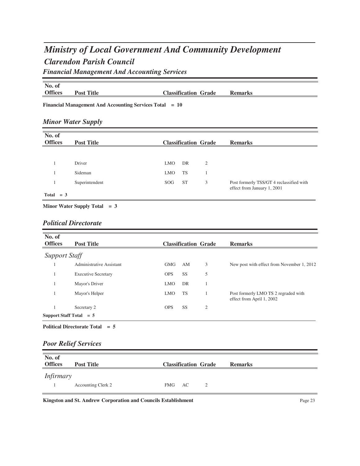### *Clarendon Parish Council Ministry of Local Government And Community Development Financial Management And Accounting Services*

**No. of Post Title Classification Grade Remarks** 

**Financial Management And Accounting Services Total = 10**

#### *Minor Water Supply*

| No. of<br><b>Offices</b> | <b>Post Title</b> |            | <b>Classification Grade</b> |   | <b>Remarks</b>                                                          |
|--------------------------|-------------------|------------|-----------------------------|---|-------------------------------------------------------------------------|
|                          |                   |            |                             |   |                                                                         |
|                          | Driver            | <b>LMO</b> | DR                          | 2 |                                                                         |
|                          | Sideman           | <b>LMO</b> | TS                          |   |                                                                         |
|                          | Superintendent    | SOG.       | <b>ST</b>                   | 3 | Post formerly TSS/GT 4 reclassified with<br>effect from January 1, 2001 |
| $Total = 3$              |                   |            |                             |   |                                                                         |

**Minor Water Supply Total = 3**

#### *Political Directorate*

| No. of<br><b>Offices</b> | <b>Post Title</b>                           |            |           | <b>Classification Grade</b> | <b>Remarks</b>                                                    |
|--------------------------|---------------------------------------------|------------|-----------|-----------------------------|-------------------------------------------------------------------|
| <b>Support Staff</b>     |                                             |            |           |                             |                                                                   |
|                          | Administrative Assistant                    | <b>GMG</b> | AM        | 3                           | New post with effect from November 1, 2012                        |
|                          | <b>Executive Secretary</b>                  | <b>OPS</b> | SS        | 5                           |                                                                   |
|                          | Mayor's Driver                              | <b>LMO</b> | DR        |                             |                                                                   |
|                          | Mayor's Helper                              | <b>LMO</b> | <b>TS</b> |                             | Post formerly LMO TS 2 regraded with<br>effect from April 1, 2002 |
|                          | Secretary 2                                 | <b>OPS</b> | SS        | $\overline{2}$              |                                                                   |
|                          | Support Staff Total $= 5$                   |            |           |                             |                                                                   |
|                          | <b>Political Directorate Total</b><br>$= 5$ |            |           |                             |                                                                   |

#### *Poor Relief Services*

| No. of           |                           |        |                             |   |                |
|------------------|---------------------------|--------|-----------------------------|---|----------------|
|                  |                           |        |                             |   |                |
| <b>Offices</b>   | <b>Post Title</b>         |        | <b>Classification Grade</b> |   | <b>Remarks</b> |
|                  |                           |        |                             |   |                |
| <i>Infirmary</i> |                           |        |                             |   |                |
|                  |                           |        |                             |   |                |
|                  | <b>Accounting Clerk 2</b> | FMG AC |                             | 2 |                |
|                  |                           |        |                             |   |                |

Kingston and St. Andrew Corporation and Councils Establishment Page 23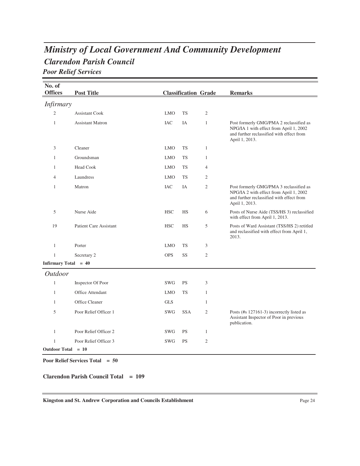### *Clarendon Parish Council Ministry of Local Government And Community Development Poor Relief Services*

| No. of               |                               |            |                             |                |                                                                                                                                                   |
|----------------------|-------------------------------|------------|-----------------------------|----------------|---------------------------------------------------------------------------------------------------------------------------------------------------|
| <b>Offices</b>       | <b>Post Title</b>             |            | <b>Classification Grade</b> |                | <b>Remarks</b>                                                                                                                                    |
| <i>Infirmary</i>     |                               |            |                             |                |                                                                                                                                                   |
| $\mathfrak{2}$       | <b>Assistant Cook</b>         | <b>LMO</b> | <b>TS</b>                   | $\mathfrak{2}$ |                                                                                                                                                   |
| $\mathbf{1}$         | <b>Assistant Matron</b>       | <b>IAC</b> | IA                          | $\mathbf{1}$   | Post formerly GMG/PMA 2 reclassified as<br>NPG/IA 1 with effect from April 1, 2002<br>and further reclassified with effect from<br>April 1, 2013. |
| 3                    | Cleaner                       | <b>LMO</b> | <b>TS</b>                   | $\mathbf{1}$   |                                                                                                                                                   |
| 1                    | Groundsman                    | <b>LMO</b> | <b>TS</b>                   | $\mathbf{1}$   |                                                                                                                                                   |
| 1                    | <b>Head Cook</b>              | <b>LMO</b> | <b>TS</b>                   | $\overline{4}$ |                                                                                                                                                   |
| 4                    | Laundress                     | <b>LMO</b> | <b>TS</b>                   | $\mathfrak{2}$ |                                                                                                                                                   |
| 1                    | Matron                        | <b>IAC</b> | IA                          | $\mathfrak{2}$ | Post formerly GMG/PMA 3 reclassified as<br>NPG/IA 2 with effect from April 1, 2002<br>and further reclassified with effect from<br>April 1, 2013. |
| 5                    | Nurse Aide                    | <b>HSC</b> | HS                          | 6              | Posts of Nurse Aide (TSS/HS 3) reclassified<br>with effect from April 1, 2013.                                                                    |
| 19                   | <b>Patient Care Assistant</b> | <b>HSC</b> | HS                          | 5              | Posts of Ward Assistant (TSS/HS 2) retitled<br>and reclassified with effect from April 1,<br>2013.                                                |
| 1                    | Porter                        | <b>LMO</b> | <b>TS</b>                   | 3              |                                                                                                                                                   |
| $\mathbf{1}$         | Secretary 2                   | <b>OPS</b> | SS                          | $\mathfrak{2}$ |                                                                                                                                                   |
| Infirmary Total = 40 |                               |            |                             |                |                                                                                                                                                   |
| <i>Outdoor</i>       |                               |            |                             |                |                                                                                                                                                   |
| $\mathbf{1}$         | Inspector Of Poor             | <b>SWG</b> | <b>PS</b>                   | 3              |                                                                                                                                                   |
| $\mathbf{1}$         | <b>Office Attendant</b>       | <b>LMO</b> | <b>TS</b>                   | $\mathbf{1}$   |                                                                                                                                                   |
| $\mathbf{1}$         | Office Cleaner                | <b>GLS</b> |                             | $\mathbf{1}$   |                                                                                                                                                   |
| 5                    | Poor Relief Officer 1         | <b>SWG</b> | <b>SSA</b>                  | $\mathfrak{2}$ | Posts (#s 127161-3) incorrectly listed as<br>Assistant Inspector of Poor in previous<br>publication.                                              |
| $\mathbf{1}$         | Poor Relief Officer 2         | <b>SWG</b> | <b>PS</b>                   | $\mathbf{1}$   |                                                                                                                                                   |
| $\mathbf{1}$         | Poor Relief Officer 3         | SWG        | <b>PS</b>                   | $\mathfrak{2}$ |                                                                                                                                                   |
| Outdoor Total = 10   |                               |            |                             |                |                                                                                                                                                   |

**Poor Relief Services Total = 50**

#### **Clarendon Parish Council Total = 109**

Kingston and St. Andrew Corporation and Councils Establishment Page 24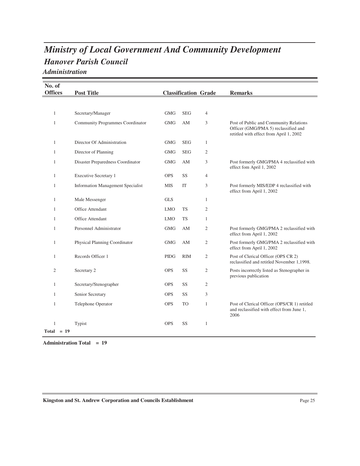### *Hanover Parish Council Ministry of Local Government And Community Development Administration*

| No. of         |                                          |             |                             |                |                                                                                                                           |
|----------------|------------------------------------------|-------------|-----------------------------|----------------|---------------------------------------------------------------------------------------------------------------------------|
| <b>Offices</b> | <b>Post Title</b>                        |             | <b>Classification Grade</b> |                | <b>Remarks</b>                                                                                                            |
|                |                                          |             |                             |                |                                                                                                                           |
| 1              | Secretary/Manager                        | <b>GMG</b>  | <b>SEG</b>                  | $\overline{4}$ |                                                                                                                           |
| $\mathbf{1}$   | <b>Community Programmes Coordinator</b>  | <b>GMG</b>  | AM                          | 3              | Post of Public and Community Relations<br>Officer (GMG/PMA 5) reclassified and<br>retitled with effect from April 1, 2002 |
| 1              | Director Of Administration               | <b>GMG</b>  | <b>SEG</b>                  | $\mathbf{1}$   |                                                                                                                           |
| 1              | Director of Planning                     | <b>GMG</b>  | <b>SEG</b>                  | 2              |                                                                                                                           |
| 1              | Disaster Preparedness Coordinator        | <b>GMG</b>  | AM                          | 3              | Post formerly GMG/PMA 4 reclassified with<br>effect fom April 1, 2002                                                     |
| 1              | <b>Executive Secretary 1</b>             | <b>OPS</b>  | SS                          | $\overline{4}$ |                                                                                                                           |
| 1              | <b>Information Management Specialist</b> | <b>MIS</b>  | IT                          | 3              | Post formerly MIS/EDP 4 reclassified with<br>effect from April 1, 2002                                                    |
| 1              | Male Messenger                           | <b>GLS</b>  |                             | $\mathbf{1}$   |                                                                                                                           |
| 1              | Office Attendant                         | <b>LMO</b>  | <b>TS</b>                   | $\mathfrak{2}$ |                                                                                                                           |
| $\mathbf{1}$   | Office Attendant                         | <b>LMO</b>  | <b>TS</b>                   | $\mathbf{1}$   |                                                                                                                           |
| 1              | Personnel Administrator                  | <b>GMG</b>  | AM                          | 2              | Post formerly GMG/PMA 2 reclassified with<br>effect from April 1, 2002                                                    |
| $\mathbf{1}$   | Physical Planning Coordinator            | <b>GMG</b>  | AM                          | $\mathfrak{2}$ | Post formerly GMG/PMA 2 reclassified with<br>effect from April 1, 2002                                                    |
| 1              | Records Officer 1                        | <b>PIDG</b> | <b>RIM</b>                  | $\mathfrak{2}$ | Post of Clerical Officer (OPS CR 2)<br>reclassified and retitled November 1,1998.                                         |
| $\mathfrak{2}$ | Secretary 2                              | <b>OPS</b>  | SS                          | $\mathfrak{2}$ | Posts incorrectly listed as Stenographer in<br>previous publication                                                       |
| 1              | Secretary/Stenographer                   | <b>OPS</b>  | SS                          | $\mathfrak{2}$ |                                                                                                                           |
| 1              | Senior Secretary                         | <b>OPS</b>  | SS                          | 3              |                                                                                                                           |
| $\mathbf{1}$   | Telephone Operator                       | <b>OPS</b>  | TO                          | $\mathbf{1}$   | Post of Clerical Officer (OPS/CR 1) retitled<br>and reclassified with effect from June 1,<br>2006                         |
| 1              | Typist                                   | <b>OPS</b>  | SS                          | $\mathbf{1}$   |                                                                                                                           |
| $Total = 19$   |                                          |             |                             |                |                                                                                                                           |

**Administration Total = 19**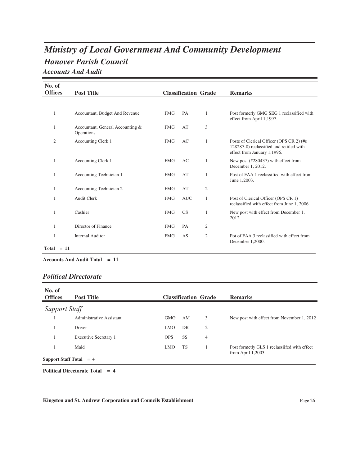## *Hanover Parish Council Ministry of Local Government And Community Development*

*Accounts And Audit*

| No. of         |                                                |            |                             |                |                                                                                                                     |
|----------------|------------------------------------------------|------------|-----------------------------|----------------|---------------------------------------------------------------------------------------------------------------------|
| <b>Offices</b> | <b>Post Title</b>                              |            | <b>Classification Grade</b> |                | <b>Remarks</b>                                                                                                      |
|                |                                                |            |                             |                |                                                                                                                     |
| $\mathbf{1}$   | Accountant, Budget And Revenue                 | <b>FMG</b> | <b>PA</b>                   | 1              | Post formerly GMG SEG 1 reclassified with<br>effect from April 1,1997.                                              |
| 1              | Accountant, General Accounting &<br>Operations | <b>FMG</b> | AT                          | 3              |                                                                                                                     |
| $\overline{2}$ | Accounting Clerk 1                             | <b>FMG</b> | AC                          | 1              | Posts of Clerical Officer (OPS CR 2) (#s<br>128287-8) reclassified and retitled with<br>effect from January 1,1996. |
| 1              | Accounting Clerk 1                             | <b>FMG</b> | AC                          | 1              | New post (#280437) with effect from<br>December 1, 2012.                                                            |
| 1              | Accounting Technician 1                        | <b>FMG</b> | AT                          | 1              | Post of FAA 1 reclassified with effect from<br>June 1,2003.                                                         |
| 1              | Accounting Technician 2                        | <b>FMG</b> | AT                          | $\mathfrak{2}$ |                                                                                                                     |
| 1              | <b>Audit Clerk</b>                             | <b>FMG</b> | <b>AUC</b>                  | 1              | Post of Clerical Officer (OPS CR 1)<br>reclassified with effect from June 1, 2006                                   |
| 1              | Cashier                                        | <b>FMG</b> | CS                          | 1              | New post with effect from December 1,<br>2012.                                                                      |
| $\mathbf{1}$   | Director of Finance                            | <b>FMG</b> | PA                          | 2              |                                                                                                                     |
| 1              | <b>Internal Auditor</b>                        | <b>FMG</b> | AS                          | $\mathfrak{2}$ | Pot of FAA 3 reclassified with effect from<br>December 1,2000.                                                      |
| $Total = 11$   |                                                |            |                             |                |                                                                                                                     |

**Accounts And Audit Total = 11**

#### *Political Directorate*

| No. of<br><b>Offices</b>  | <b>Post Title</b>        |            |           | <b>Classification Grade</b> | <b>Remarks</b>                                                        |
|---------------------------|--------------------------|------------|-----------|-----------------------------|-----------------------------------------------------------------------|
| <b>Support Staff</b>      |                          |            |           |                             |                                                                       |
|                           | Administrative Assistant | <b>GMG</b> | AM        | 3                           | New post with effect from November 1, 2012                            |
|                           | Driver                   | <b>LMO</b> | DR        | $\overline{2}$              |                                                                       |
|                           | Executive Secretary 1    | <b>OPS</b> | <b>SS</b> | 4                           |                                                                       |
|                           | Maid                     | <b>LMO</b> | <b>TS</b> |                             | Post formetly GLS 1 reclassiifed with effect<br>from April $1,2003$ . |
| Support Staff Total $= 4$ |                          |            |           |                             |                                                                       |

**Political Directorate Total = 4**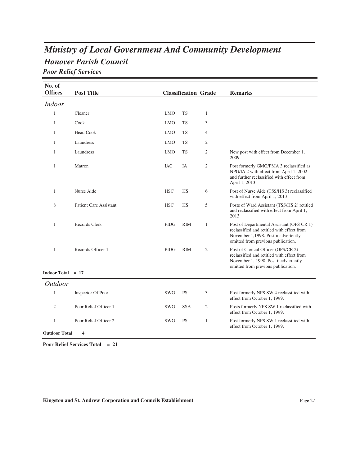### *Hanover Parish Council Ministry of Local Government And Community Development Poor Relief Services*

**No. of Offices Post Title Classification Grade Remarks** *Indoor* 1 Cleaner LMO TS 1 1 Cook LMO TS 3 1 Head Cook **LMO** TS 4 1 Laundress LMO TS 2 1 Laundress LMO TS 2 New post with effect from December 1, 2009.  $LMO$ 1 Matron 14 Matron Post formerly GMG/PMA 3 reclassified as NPG/IA 2 with effect from April 1, 2002 and further reclassified with effect from April 1, 2013.  $\rm IAC$ 1 Nurse Aide 1 Nurse Aide 1 Nurse Aide (TSS/HS 3) reclassified with effect from April 1, 2013 **HSC** 8 Patient Care Assistant Posts of Ward Assistant (TSS/HS 2) retitled and reclassified with effect from April 1, 2013 **HSC** 1 Records Clerk PIDG RIM 1 Post of Departmental Assistant (OPS CR 1) reclassified and retitled with effect from November 1,1998. Post inadvertently omitted from previous publication.  $PIDG$ 1 Records Officer 1 PIDG RIM 2 Post of Clerical Officer (OPS/CR 2) reclassified and retitled with effect from November 1, 1998. Post inadvertently omitted from previous publication.  $PIDG$ **Indoor Total = 17** *Outdoor* 1 Inspector Of Poor SWG PS 3 Post formerly NPS SW 4 reclassified with effect from October 1, 1999. SW<sub>G</sub> 2 Poor Relief Officer 1 SWG SSA 2 Posts formerly NPS SW 1 reclassified with effect from October 1, 1999.  $\operatorname{SWG}$ 1 Poor Relief Officer 2 SWG PS 1 Post formerly NPS SW 1 reclassified with effect from October 1, 1999.  $SWG$ **Outdoor Total = 4**

**Poor Relief Services Total = 21**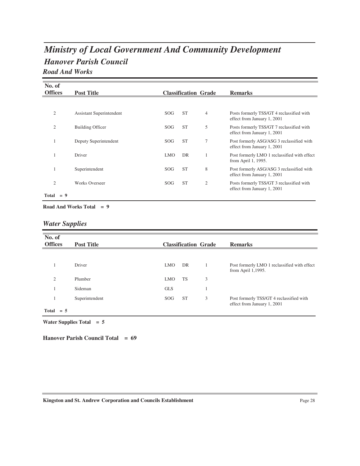# *Hanover Parish Council Ministry of Local Government And Community Development*

### *Road And Works*

| No. of         |       |                                 |            |           |                             |                                                                          |
|----------------|-------|---------------------------------|------------|-----------|-----------------------------|--------------------------------------------------------------------------|
| <b>Offices</b> |       | <b>Post Title</b>               |            |           | <b>Classification Grade</b> | <b>Remarks</b>                                                           |
|                |       |                                 |            |           |                             |                                                                          |
| $\overline{c}$ |       | <b>Assistant Superintendent</b> | <b>SOG</b> | <b>ST</b> | $\overline{4}$              | Posts formerly TSS/GT 4 reclassified with<br>effect from January 1, 2001 |
| 2              |       | <b>Building Officer</b>         | <b>SOG</b> | <b>ST</b> | 5                           | Posts formerly TSS/GT 7 reclassified with<br>effect from January 1, 2001 |
|                |       | Deputy Superintendent           | <b>SOG</b> | <b>ST</b> | $\overline{7}$              | Post formerly ASG/ASG 3 reclassified with<br>effect from January 1, 2001 |
|                |       | Driver                          | <b>LMO</b> | DR        |                             | Post formerly LMO 1 reclassified with effect<br>from April 1, 1995.      |
|                |       | Superintendent                  | SOG        | <b>ST</b> | 8                           | Post formerly ASG/ASG 3 reclassified with<br>effect from January 1, 2001 |
| $\overline{2}$ |       | <b>Works Overseer</b>           | SOG        | <b>ST</b> | $\overline{2}$              | Posts formerly TSS/GT 3 reclassified with<br>effect from January 1, 2001 |
| Total          | $= 9$ |                                 |            |           |                             |                                                                          |

**Road And Works Total = 9**

#### *Water Supplies*

| No. of<br><b>Offices</b> | <b>Post Title</b> |                 | <b>Classification Grade</b> |   | <b>Remarks</b>                                                          |
|--------------------------|-------------------|-----------------|-----------------------------|---|-------------------------------------------------------------------------|
|                          |                   |                 |                             |   |                                                                         |
|                          | Driver            | <b>LMO</b>      | DR                          |   | Post formerly LMO 1 reclassified with effect<br>from April 1,1995.      |
| $\overline{c}$           | Plumber           | <b>LMO</b>      | TS                          | 3 |                                                                         |
|                          | Sideman           | <b>GLS</b>      |                             |   |                                                                         |
|                          | Superintendent    | SOG <sub></sub> | <b>ST</b>                   | 3 | Post formerly TSS/GT 4 reclassified with<br>effect from January 1, 2001 |
| Total<br>$= 5$           |                   |                 |                             |   |                                                                         |

**Water Supplies Total = 5**

**Hanover Parish Council Total = 69**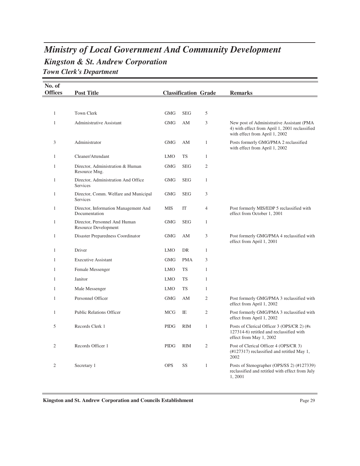### *Kingston & St. Andrew Corporation Ministry of Local Government And Community Development Town Clerk's Department*

| No. of<br><b>Offices</b> | <b>Post Title</b>                                            |             | <b>Classification Grade</b> |                | <b>Remarks</b>                                                                                                                |
|--------------------------|--------------------------------------------------------------|-------------|-----------------------------|----------------|-------------------------------------------------------------------------------------------------------------------------------|
|                          |                                                              |             |                             |                |                                                                                                                               |
| $\mathbf{1}$             | Town Clerk                                                   | <b>GMG</b>  | <b>SEG</b>                  | 5              |                                                                                                                               |
| $\mathbf{1}$             | <b>Administrative Assistant</b>                              | <b>GMG</b>  | AM                          | 3              | New post of Administrative Assistant (PMA<br>4) with effect from April 1, 2001 reclassified<br>with effect from April 1, 2002 |
| 3                        | Administrator                                                | <b>GMG</b>  | AM                          | $\mathbf{1}$   | Posts formerly GMG/PMA 2 reclassified<br>with effect from April 1, 2002                                                       |
| $\mathbf{1}$             | Cleaner/Attendant                                            | <b>LMO</b>  | <b>TS</b>                   | $\mathbf{1}$   |                                                                                                                               |
| $\mathbf{1}$             | Director, Administration & Human<br>Resource Mng.            | <b>GMG</b>  | <b>SEG</b>                  | 2              |                                                                                                                               |
| $\mathbf{1}$             | Director, Administration And Office<br><b>Services</b>       | <b>GMG</b>  | <b>SEG</b>                  | $\mathbf{1}$   |                                                                                                                               |
| $\mathbf{1}$             | Director, Comm. Welfare and Municipal<br>Services            | <b>GMG</b>  | <b>SEG</b>                  | 3              |                                                                                                                               |
| $\mathbf{1}$             | Director, Information Management And<br>Documentation        | MIS         | IT                          | 4              | Post formerly MIS/EDP 5 reclassified with<br>effect from October 1, 2001                                                      |
| $\mathbf{1}$             | Director, Personnel And Human<br><b>Resource Development</b> | <b>GMG</b>  | <b>SEG</b>                  | $\mathbf{1}$   |                                                                                                                               |
| $\mathbf{1}$             | Disaster Preparedness Coordinator                            | <b>GMG</b>  | AM                          | 3              | Post formerly GMG/PMA 4 reclassified with<br>effect from April 1, 2001                                                        |
| $\mathbf{1}$             | Driver                                                       | <b>LMO</b>  | <b>DR</b>                   | $\mathbf{1}$   |                                                                                                                               |
| $\mathbf{1}$             | <b>Executive Assistant</b>                                   | <b>GMG</b>  | <b>PMA</b>                  | 3              |                                                                                                                               |
| $\mathbf{1}$             | Female Messenger                                             | <b>LMO</b>  | <b>TS</b>                   | $\mathbf{1}$   |                                                                                                                               |
| 1                        | Janitor                                                      | <b>LMO</b>  | <b>TS</b>                   | $\mathbf{1}$   |                                                                                                                               |
| $\mathbf{1}$             | Male Messenger                                               | <b>LMO</b>  | <b>TS</b>                   | $\mathbf{1}$   |                                                                                                                               |
| $\mathbf{1}$             | Personnel Officer                                            | <b>GMG</b>  | AM                          | $\overline{c}$ | Post formerly GMG/PMA 3 reclassified with<br>effect from April 1, 2002                                                        |
| $\mathbf{1}$             | <b>Public Relations Officer</b>                              | <b>MCG</b>  | IE                          | 2              | Post formerly GMG/PMA 3 reclassified with<br>effect from April 1, 2002                                                        |
| 5                        | Records Clerk 1                                              | <b>PIDG</b> | <b>RIM</b>                  | $\mathbf{1}$   | Posts of Clerical Officer 3 (OPS/CR 2) (#s<br>127314-6) retitled and reclassified with<br>effect from May 1, 2002             |
| $\mathfrak{2}$           | Records Officer 1                                            | <b>PIDG</b> | <b>RIM</b>                  | $\mathfrak{2}$ | Post of Clerical Officer 4 (OPS/CR 3)<br>(#127317) reclassified and retitled May 1,<br>2002                                   |
| $\overline{2}$           | Secretary 1                                                  | <b>OPS</b>  | SS                          | $\mathbf{1}$   | Posts of Stenographer (OPS/SS 2) (#127339)<br>reclassified and retitled with effect from July<br>1,2001                       |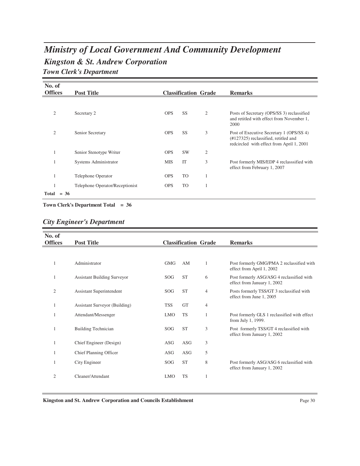## *Kingston & St. Andrew Corporation Ministry of Local Government And Community Development Town Clerk's Department*

| No. of         |        |                                 |            |           |                             |                                                                                                                                         |
|----------------|--------|---------------------------------|------------|-----------|-----------------------------|-----------------------------------------------------------------------------------------------------------------------------------------|
| <b>Offices</b> |        | <b>Post Title</b>               |            |           | <b>Classification Grade</b> | <b>Remarks</b>                                                                                                                          |
|                |        |                                 |            |           |                             |                                                                                                                                         |
| $\overline{2}$ |        | Secretary 2                     | <b>OPS</b> | SS        | $\mathfrak{2}$              | Posts of Secretary (OPS/SS 3) reclassified<br>and retitled with effect from November 1,<br>2000                                         |
| $\overline{c}$ |        | Senior Secretary                | <b>OPS</b> | <b>SS</b> | 3                           | Post of Executive Secretary 1 (OPS/SS 4)<br>$(\text{\#}127325)$ reclassified, retitled and<br>redcircled with effect from April 1, 2001 |
|                |        | Senior Stenotype Writer         | <b>OPS</b> | <b>SW</b> | $\overline{2}$              |                                                                                                                                         |
|                |        | Systems Administrator           | <b>MIS</b> | IT        | 3                           | Post formerly MIS/EDP 4 reclasssified with<br>effect from February 1, 2007                                                              |
|                |        | Telephone Operator              | <b>OPS</b> | <b>TO</b> | 1                           |                                                                                                                                         |
|                |        | Telephone Operator/Receptionist | <b>OPS</b> | TO        | 1                           |                                                                                                                                         |
| Total          | $= 36$ |                                 |            |           |                             |                                                                                                                                         |

**Town Clerk's Department Total = 36**

### *City Engineer's Department*

| No. of         |                                    |            |                             |                |                                                                          |
|----------------|------------------------------------|------------|-----------------------------|----------------|--------------------------------------------------------------------------|
| <b>Offices</b> | <b>Post Title</b>                  |            | <b>Classification Grade</b> |                | <b>Remarks</b>                                                           |
|                |                                    |            |                             |                |                                                                          |
|                |                                    |            |                             |                |                                                                          |
| 1              | Administrator                      | GMG        | AM                          | 1              | Post formerly GMG/PMA 2 reclassified with<br>effect from April 1, 2002   |
| 1              | <b>Assistant Building Surveyor</b> | <b>SOG</b> | <b>ST</b>                   | 6              | Post formerly ASG/ASG 4 reclassified with<br>effect from January 1, 2002 |
| 2              | Assistant Superintendent           | <b>SOG</b> | <b>ST</b>                   | $\overline{4}$ | Posts formerly TSS/GT 3 reclassified with<br>effect from June 1, 2005    |
| 1              | Assistant Surveyor (Building)      | <b>TSS</b> | <b>GT</b>                   | 4              |                                                                          |
|                | Attendant/Messenger                | <b>LMO</b> | <b>TS</b>                   | 1              | Post formerly GLS 1 reclassified with effect<br>from July 1, 1999.       |
| $\mathbf{1}$   | <b>Building Technician</b>         | <b>SOG</b> | <b>ST</b>                   | 3              | Post formerly TSS/GT 4 reclassified with<br>effect from January 1, 2002  |
| 1              | Chief Engineer (Design)            | <b>ASG</b> | <b>ASG</b>                  | 3              |                                                                          |
|                | Chief Planning Officer             | <b>ASG</b> | <b>ASG</b>                  | 5              |                                                                          |
| 1              | City Engineer                      | SOG        | <b>ST</b>                   | 8              | Post formerly ASG/ASG 6 reclassified with<br>effect from January 1, 2002 |
| $\overline{2}$ | Cleaner/Attendant                  | <b>LMO</b> | <b>TS</b>                   | 1              |                                                                          |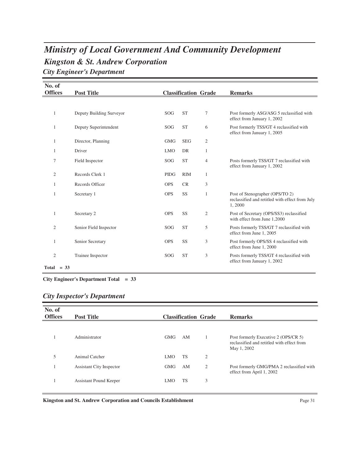## *Kingston & St. Andrew Corporation Ministry of Local Government And Community Development City Engineer's Department*

| No. of         |                          |             |                             |                |                                                                                              |
|----------------|--------------------------|-------------|-----------------------------|----------------|----------------------------------------------------------------------------------------------|
| <b>Offices</b> | <b>Post Title</b>        |             | <b>Classification Grade</b> |                | <b>Remarks</b>                                                                               |
|                |                          |             |                             |                |                                                                                              |
| 1              | Deputy Building Surveyor | SOG         | <b>ST</b>                   | 7              | Post formerly ASG/ASG 5 reclassified with<br>effect from January 1, 2002                     |
| 1              | Deputy Superintendent    | SOG         | <b>ST</b>                   | 6              | Post formerly TSS/GT 4 reclassified with<br>effect from January 1, 2005                      |
| 1              | Director, Planning       | <b>GMG</b>  | <b>SEG</b>                  | $\overline{c}$ |                                                                                              |
| 1              | Driver                   | <b>LMO</b>  | DR                          | 1              |                                                                                              |
| 7              | Field Inspector          | SOG         | <b>ST</b>                   | $\overline{4}$ | Posts formerly TSS/GT 7 reclassified with<br>effect from January 1, 2002                     |
| $\overline{2}$ | Records Clerk 1          | <b>PIDG</b> | <b>RIM</b>                  | 1              |                                                                                              |
| 1              | Records Officer          | <b>OPS</b>  | <b>CR</b>                   | 3              |                                                                                              |
| 1              | Secretary 1              | <b>OPS</b>  | SS                          | 1              | Post of Stenographer (OPS/TO 2)<br>reclassified and retitled with effect from July<br>1,2000 |
| 1              | Secretary 2              | <b>OPS</b>  | SS                          | $\overline{c}$ | Post of Secretary (OPS/SS3) reclassified<br>with effect from June 1,2000                     |
| 2              | Senior Field Inspector   | <b>SOG</b>  | <b>ST</b>                   | 5              | Posts formerly TSS/GT 7 reclassified with<br>effect from June 1, 2005                        |
| 1              | Senior Secretary         | <b>OPS</b>  | SS                          | 3              | Post formerly OPS/SS 4 reclassified with<br>effect from June 1, 2000                         |
| $\overline{2}$ | Trainee Inspector        | SOG         | <b>ST</b>                   | 3              | Posts formerly TSS/GT 4 reclassified with<br>effect from January 1, 2002                     |
| Total $= 33$   |                          |             |                             |                |                                                                                              |

**City Engineer's Department Total = 33**

|  | <b>City Inspector's Department</b> |
|--|------------------------------------|
|  |                                    |

| No. of<br><b>Offices</b> | <b>Post Title</b>               |            | <b>Classification Grade</b> |                | <b>Remarks</b>                                                                                    |
|--------------------------|---------------------------------|------------|-----------------------------|----------------|---------------------------------------------------------------------------------------------------|
|                          | Administrator                   | <b>GMG</b> | AM                          |                | Post formerly Executive 2 (OPS/CR 5)<br>reclassified and retitled with effect from<br>May 1, 2002 |
| 5                        | Animal Catcher                  | LMO.       | <b>TS</b>                   | $\overline{2}$ |                                                                                                   |
|                          | <b>Assistant City Inspector</b> | <b>GMG</b> | AM                          | $\overline{2}$ | Post formerly GMG/PMA 2 reclassified with<br>effect from April 1, 2002                            |
|                          | Assistant Pound Keeper          | <b>LMO</b> | <b>TS</b>                   | 3              |                                                                                                   |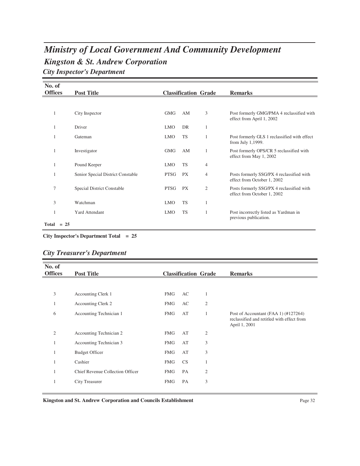## *Kingston & St. Andrew Corporation Ministry of Local Government And Community Development City Inspector's Department*

| No. of         |                                   |            |                             |                |                                                                          |
|----------------|-----------------------------------|------------|-----------------------------|----------------|--------------------------------------------------------------------------|
| <b>Offices</b> | <b>Post Title</b>                 |            | <b>Classification Grade</b> |                | <b>Remarks</b>                                                           |
|                |                                   |            |                             |                |                                                                          |
| 1              | City Inspector                    | <b>GMG</b> | AM                          | 3              | Post formerly GMG/PMA 4 reclassified with<br>effect from April 1, 2002   |
| 1              | Driver                            | <b>LMO</b> | DR                          | 1              |                                                                          |
| 1              | Gateman                           | <b>LMO</b> | <b>TS</b>                   | 1              | Post formerly GLS 1 reclassified with effect<br>from July 1,1999.        |
| 1              | Investigator                      | <b>GMG</b> | AM                          | 1              | Post formerly OPS/CR 5 reclassified with<br>effect from May 1, 2002      |
| 1              | Pound Keeper                      | <b>LMO</b> | <b>TS</b>                   | $\overline{4}$ |                                                                          |
|                | Senior Special District Constable | PTSG       | PX                          | 4              | Posts formerly SSG/PX 4 reclassified with<br>effect from October 1, 2002 |
| 7              | Special District Constable        | PTSG       | PX                          | $\overline{2}$ | Posts formerly SSG/PX 4 reclassified with<br>effect from October 1, 2002 |
| 3              | Watchman                          | <b>LMO</b> | <b>TS</b>                   | 1              |                                                                          |
|                | <b>Yard Attendant</b>             | <b>LMO</b> | TS                          | 1              | Post incorrectly listed as Yardman in<br>previous publication.           |
| Total $= 25$   |                                   |            |                             |                |                                                                          |

**City Inspector's Department Total = 25**

### *City Treasurer's Department*

| No. of         |                                  |            |           |                             |                                                                                                     |
|----------------|----------------------------------|------------|-----------|-----------------------------|-----------------------------------------------------------------------------------------------------|
| <b>Offices</b> | <b>Post Title</b>                |            |           | <b>Classification Grade</b> | <b>Remarks</b>                                                                                      |
|                |                                  |            |           |                             |                                                                                                     |
| 3              | Accounting Clerk 1               | <b>FMG</b> | AC        | 1                           |                                                                                                     |
| 1              | <b>Accounting Clerk 2</b>        | <b>FMG</b> | AC        | $\overline{2}$              |                                                                                                     |
| 6              | Accounting Technician 1          | <b>FMG</b> | AT        | 1                           | Post of Accountant (FAA 1) (#127264)<br>reclassified and retitled with effect from<br>April 1, 2001 |
| 2              | Accounting Technician 2          | <b>FMG</b> | AT        | $\overline{c}$              |                                                                                                     |
|                | Accounting Technician 3          | <b>FMG</b> | AT        | 3                           |                                                                                                     |
| -1             | <b>Budget Officer</b>            | <b>FMG</b> | AT        | 3                           |                                                                                                     |
| -1             | Cashier                          | <b>FMG</b> | <b>CS</b> | $\mathbf{1}$                |                                                                                                     |
| 1              | Chief Revenue Collection Officer | <b>FMG</b> | PA        | 2                           |                                                                                                     |
| -1             | City Treasurer                   | <b>FMG</b> | PA        | 3                           |                                                                                                     |
|                |                                  |            |           |                             |                                                                                                     |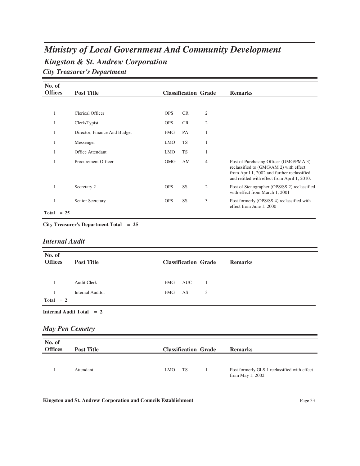## *Kingston & St. Andrew Corporation Ministry of Local Government And Community Development City Treasurer's Department*

| No. of<br><b>Offices</b> |        | <b>Post Title</b>            |            |           | <b>Classification Grade</b> | <b>Remarks</b>                                                                                                                                                                  |
|--------------------------|--------|------------------------------|------------|-----------|-----------------------------|---------------------------------------------------------------------------------------------------------------------------------------------------------------------------------|
|                          |        |                              |            |           |                             |                                                                                                                                                                                 |
|                          |        |                              |            |           |                             |                                                                                                                                                                                 |
| 1                        |        | Clerical Officer             | <b>OPS</b> | <b>CR</b> | $\overline{c}$              |                                                                                                                                                                                 |
| 1                        |        | Clerk/Typist                 | <b>OPS</b> | <b>CR</b> | $\mathfrak{2}$              |                                                                                                                                                                                 |
| 1                        |        | Director, Finance And Budget | <b>FMG</b> | PA        | 1                           |                                                                                                                                                                                 |
| 1                        |        | Messenger                    | <b>LMO</b> | <b>TS</b> | $\mathbf{1}$                |                                                                                                                                                                                 |
| 1                        |        | Office Attendant             | <b>LMO</b> | <b>TS</b> | 1                           |                                                                                                                                                                                 |
|                          |        | Procurement Officer          | GMG        | AM        | 4                           | Post of Purchasing Officer (GMG/PMA 3)<br>reclassified to (GMG/AM 2) with effect<br>from April 1, 2002 and further reclassified<br>and retitled with effect from April 1, 2010. |
|                          |        | Secretary 2                  | <b>OPS</b> | SS        | 2                           | Post of Stenographer (OPS/SS 2) reclassified<br>with effect from March 1, 2001                                                                                                  |
| 1                        |        | Senior Secretary             | <b>OPS</b> | SS        | 3                           | Post formerly (OPS/SS 4) reclassified with<br>effect from June 1, 2000                                                                                                          |
| Total                    | $= 25$ |                              |            |           |                             |                                                                                                                                                                                 |

**City Treasurer's Department Total = 25**

#### *Internal Audit*

| No. of<br><b>Offices</b> | <b>Post Title</b>       | <b>Classification Grade</b> | <b>Remarks</b> |
|--------------------------|-------------------------|-----------------------------|----------------|
|                          |                         |                             |                |
|                          | <b>Audit Clerk</b>      | FMG<br>AUC                  |                |
|                          | <b>Internal Auditor</b> | FMG<br>3<br>AS              |                |
| $Total = 2$              |                         |                             |                |

**Internal Audit Total = 2**

#### *May Pen Cemetry*

| No. of<br><b>Offices</b> | <b>Post Title</b> | <b>Classification Grade</b> | <b>Remarks</b>                                                   |
|--------------------------|-------------------|-----------------------------|------------------------------------------------------------------|
|                          | Attendant         | TS<br>LMO                   | Post formerly GLS 1 reclassified with effect<br>from May 1, 2002 |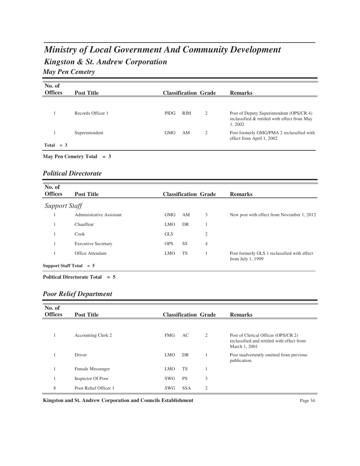# *Kingston & St. Andrew Corporation Ministry of Local Government And Community Development May Pen Cemetry*

| No. of<br><b>Offices</b> | <b>Post Title</b> | <b>Classification Grade</b> |   | <b>Remarks</b>                                                                                     |
|--------------------------|-------------------|-----------------------------|---|----------------------------------------------------------------------------------------------------|
|                          | Records Officer 1 | <b>RIM</b><br>PIDG          | 2 | Post of Deputy Superintendent (OPS/CR 4)<br>reclassified & retitled with effect from May<br>1,2002 |
| Total<br>$=$ 3           | Superintendent    | <b>GMG</b><br>AM            | 2 | Post formerly GMG/PMA 2 reclassified with<br>effect from April 1, 2002                             |

#### **May Pen Cemetry Total = 3**

#### *Political Directorate*

| No. of<br><b>Offices</b>  | <b>Post Title</b>          |            |           | <b>Classification Grade</b> | <b>Remarks</b>                                                    |
|---------------------------|----------------------------|------------|-----------|-----------------------------|-------------------------------------------------------------------|
| <b>Support Staff</b>      |                            |            |           |                             |                                                                   |
|                           | Administrative Assistant   | <b>GMG</b> | AM        | 3                           | New post with effect from November 1, 2012                        |
|                           | Chauffeur                  | <b>LMO</b> | DR        |                             |                                                                   |
|                           | Cook                       | <b>GLS</b> |           | $\overline{2}$              |                                                                   |
|                           | <b>Executive Secretary</b> | <b>OPS</b> | <b>SS</b> | $\overline{4}$              |                                                                   |
|                           | Office Attendant           | <b>LMO</b> | <b>TS</b> |                             | Post formerly GLS 1 reclassified with effect<br>from July 1, 1999 |
| Support Staff Total $= 5$ |                            |            |           |                             |                                                                   |

#### **Political Directorate Total = 5**

#### *Poor Relief Department*

| No. of<br><b>Offices</b> | <b>Post Title</b>     |            | <b>Classification Grade</b> |                | <b>Remarks</b>                                                                                     |
|--------------------------|-----------------------|------------|-----------------------------|----------------|----------------------------------------------------------------------------------------------------|
|                          |                       |            |                             |                |                                                                                                    |
|                          | Accounting Clerk 2    | <b>FMG</b> | AC.                         | $\overline{2}$ | Post of Clerical Officer (OPS/CR 2)<br>reclassified and retitled with effect from<br>March 1, 2001 |
|                          | Driver                | LMO.       | DR                          |                | Post inadvertently omitted from previous<br>publication.                                           |
|                          | Female Messenger      | <b>LMO</b> | <b>TS</b>                   |                |                                                                                                    |
|                          | Inspector Of Poor     | SWG        | <b>PS</b>                   | 3              |                                                                                                    |
| 8                        | Poor Relief Officer 1 | <b>SWG</b> | <b>SSA</b>                  | $\overline{2}$ |                                                                                                    |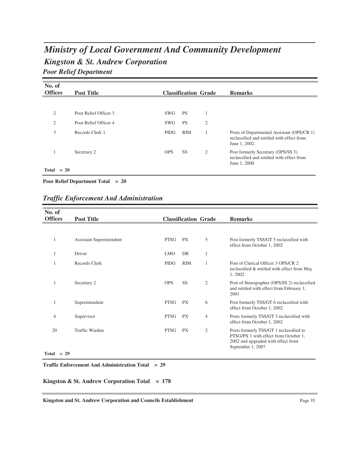# *Kingston & St. Andrew Corporation Ministry of Local Government And Community Development Poor Relief Department*

| No. of<br><b>Offices</b> | <b>Post Title</b>     |             | <b>Classification Grade</b> |                | <b>Remarks</b>                                                                                            |
|--------------------------|-----------------------|-------------|-----------------------------|----------------|-----------------------------------------------------------------------------------------------------------|
|                          |                       |             |                             |                |                                                                                                           |
| 2                        | Poor Relief Officer 3 | SWG         | <b>PS</b>                   | $\mathbf{1}$   |                                                                                                           |
| 2                        | Poor Relief Officer 4 | SWG         | <b>PS</b>                   | 2              |                                                                                                           |
| 3                        | Records Clerk 1       | <b>PIDG</b> | <b>RIM</b>                  |                | Posts of Departmental Assistant (OPS/CR 1)<br>reclassified and retitled with effect from<br>June 1, 2002. |
| л.                       | Secretary 2           | <b>OPS</b>  | SS.                         | $\overline{c}$ | Post formerly Secretary (OPS/SS 3)<br>reclassified and retitled with effect from<br>June 1, 2000          |
| Total<br>$= 20$          |                       |             |                             |                |                                                                                                           |

**Poor Relief Department Total = 20**

### *Traffic Enforcement And Administration*

| No. of             |                          |             |                             |                |                                                                                                                                             |
|--------------------|--------------------------|-------------|-----------------------------|----------------|---------------------------------------------------------------------------------------------------------------------------------------------|
| <b>Offices</b>     | <b>Post Title</b>        |             | <b>Classification Grade</b> |                | <b>Remarks</b>                                                                                                                              |
|                    |                          |             |                             |                |                                                                                                                                             |
|                    | Assistant Superintendent | <b>PTSG</b> | <b>PX</b>                   | 5              | Post formerly TSS/GT 5 reclassified with<br>effect from October 1, 2002                                                                     |
|                    | Driver                   | <b>LMO</b>  | DR                          | 1              |                                                                                                                                             |
|                    | Records Clerk            | <b>PIDG</b> | <b>RIM</b>                  | 1              | Post of Clerical Officer 3 OPS/CR 2<br>reclassified & retitled with effect from May<br>1,2002                                               |
|                    | Secretary 2              | <b>OPS</b>  | SS                          | $\overline{2}$ | Post of Stenographer (OPS/SS 2) reclassified<br>and retitled with effect from February 1,<br>2001                                           |
|                    | Superintendent           | <b>PTSG</b> | <b>PX</b>                   | 6              | Post formerly TSS/GT 6 reclassified with<br>effect from October 1, 2002                                                                     |
| 4                  | Supervisor               | PTSG        | PX                          | $\overline{4}$ | Posts formerly TSS/GT 3 reclassified with<br>effect from October 1, 2002                                                                    |
| 20<br>$Total = 29$ | Traffic Warden           | <b>PTSG</b> | <b>PX</b>                   | $\overline{2}$ | Posts formerly TSS/GT 1 reclassified to<br>PTSG/PX 1 with effect from October 1,<br>2002 and upgraded with effect from<br>September 1, 2007 |
|                    |                          |             |                             |                |                                                                                                                                             |

**Traffic Enforcement And Administration Total = 29**

**Kingston & St. Andrew Corporation Total = 178**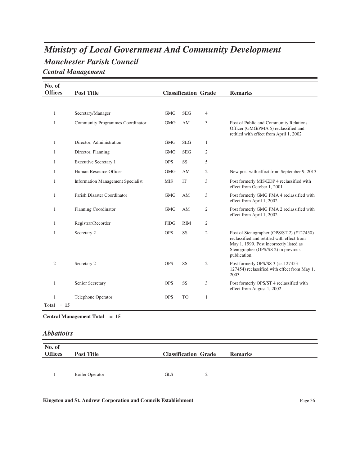## *Manchester Parish Council Ministry of Local Government And Community Development Central Management*

| No. of<br><b>Offices</b> | <b>Post Title</b>                        |             | <b>Classification Grade</b> |                | <b>Remarks</b>                                                                                                                                                                            |
|--------------------------|------------------------------------------|-------------|-----------------------------|----------------|-------------------------------------------------------------------------------------------------------------------------------------------------------------------------------------------|
|                          |                                          |             |                             |                |                                                                                                                                                                                           |
| $\mathbf{1}$             | Secretary/Manager                        | <b>GMG</b>  | <b>SEG</b>                  | $\overline{4}$ |                                                                                                                                                                                           |
| 1                        | <b>Community Programmes Coordinator</b>  | <b>GMG</b>  | AM                          | 3              | Post of Public and Community Relations<br>Officer (GMG/PMA 5) reclassified and<br>retitled with effect from April 1, 2002                                                                 |
| 1                        | Director, Administration                 | <b>GMG</b>  | <b>SEG</b>                  | 1              |                                                                                                                                                                                           |
| $\mathbf{1}$             | Director, Planning                       | <b>GMG</b>  | <b>SEG</b>                  | 2              |                                                                                                                                                                                           |
| 1                        | <b>Executive Secretary 1</b>             | <b>OPS</b>  | SS                          | 5              |                                                                                                                                                                                           |
| 1                        | Human Resource Officer                   | <b>GMG</b>  | AM                          | 2              | New post with effect from September 9, 2013                                                                                                                                               |
| 1                        | <b>Information Management Specialist</b> | <b>MIS</b>  | IT                          | 3              | Post formerly MIS/EDP 4 reclassified with<br>effect from October 1, 2001                                                                                                                  |
| 1                        | Parish Disaster Coordinator              | <b>GMG</b>  | AM                          | 3              | Post formerly GMG PMA 4 reclassified with<br>effect from April 1, 2002                                                                                                                    |
| 1                        | Planning Coordinator                     | <b>GMG</b>  | AM                          | 2              | Post formerly GMG PMA 2 reclassified with<br>effect from April 1, 2002                                                                                                                    |
| 1                        | Registrar/Recorder                       | <b>PIDG</b> | <b>RIM</b>                  | $\overline{c}$ |                                                                                                                                                                                           |
| $\mathbf{1}$             | Secretary 2                              | <b>OPS</b>  | SS                          | $\mathfrak{2}$ | Post of Stenographer (OPS/ST 2) (#127450)<br>reclassified and retitled with effect from<br>May 1, 1999. Post incorrectly listed as<br>Stenographer (OPS/SS 2) in previous<br>publication. |
| $\overline{2}$           | Secretary 2                              | <b>OPS</b>  | <b>SS</b>                   | $\overline{2}$ | Post formerly OPS/SS 3 (#s 127453-<br>127454) reclassified with effect from May 1,<br>2003.                                                                                               |
| 1                        | Senior Secretary                         | <b>OPS</b>  | <b>SS</b>                   | 3              | Post formerly OPS/ST 4 reclassified with<br>effect from August 1, 2002                                                                                                                    |
| 1<br>$Total = 15$        | Telephone Operator                       | <b>OPS</b>  | <b>TO</b>                   | 1              |                                                                                                                                                                                           |

**Central Management Total = 15**

*Abbattoirs*

| No. of<br><b>Offices</b> | <b>Post Title</b>      | <b>Classification Grade</b> |   | <b>Remarks</b> |
|--------------------------|------------------------|-----------------------------|---|----------------|
|                          | <b>Boiler Operator</b> | <b>GLS</b>                  | ∍ |                |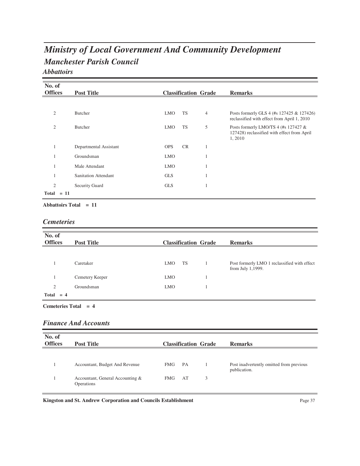## *Manchester Parish Council Ministry of Local Government And Community Development Abbattoirs*

| No. of<br><b>Offices</b> |        | <b>Post Title</b>           |            |           | <b>Classification Grade</b> | <b>Remarks</b>                                                                                  |
|--------------------------|--------|-----------------------------|------------|-----------|-----------------------------|-------------------------------------------------------------------------------------------------|
|                          |        |                             |            |           |                             |                                                                                                 |
| $\overline{2}$           |        | Butcher                     | <b>LMO</b> | <b>TS</b> | $\overline{4}$              | Posts formerly GLS 4 (#s 127425 & 127426)<br>reclassified with effect from April 1, 2010        |
| $\mathfrak{2}$           |        | Butcher                     | <b>LMO</b> | <b>TS</b> | 5                           | Posts formerly LMO/TS 4 (#s 127427 $&$<br>127428) reclassified with effect from April<br>1,2010 |
|                          |        | Departmental Assistant      | <b>OPS</b> | <b>CR</b> | 1                           |                                                                                                 |
|                          |        | Groundsman                  | <b>LMO</b> |           | 1                           |                                                                                                 |
|                          |        | Male Attendant              | <b>LMO</b> |           | 1                           |                                                                                                 |
|                          |        | <b>Sanitation Attendant</b> | <b>GLS</b> |           | 1                           |                                                                                                 |
| $\mathfrak{2}$           |        | <b>Security Guard</b>       | <b>GLS</b> |           | 1                           |                                                                                                 |
| Total                    | $= 11$ |                             |            |           |                             |                                                                                                 |

**Abbattoirs Total = 11**

#### *Cemeteries*

| No. of<br><b>Offices</b> | <b>Post Title</b> | <b>Classification Grade</b> | <b>Remarks</b>                                                    |
|--------------------------|-------------------|-----------------------------|-------------------------------------------------------------------|
|                          |                   |                             |                                                                   |
|                          | Caretaker         | <b>TS</b><br><b>LMO</b>     | Post formerly LMO 1 reclassified with effect<br>from July 1,1999. |
|                          | Cemetery Keeper   | <b>LMO</b>                  |                                                                   |
| $\overline{2}$           | Groundsman        | <b>LMO</b>                  |                                                                   |
| $Total = 4$              |                   |                             |                                                                   |

**Cemeteries Total = 4**

#### *Finance And Accounts*

| No. of<br><b>Offices</b> | <b>Post Title</b>                              |            |    | <b>Classification Grade</b> | <b>Remarks</b>                                           |
|--------------------------|------------------------------------------------|------------|----|-----------------------------|----------------------------------------------------------|
|                          |                                                |            |    |                             |                                                          |
|                          | Accountant, Budget And Revenue                 | FMG        | PA |                             | Post inadvertently omitted from previous<br>publication. |
|                          | Accountant, General Accounting &<br>Operations | <b>FMG</b> | AT | 3                           |                                                          |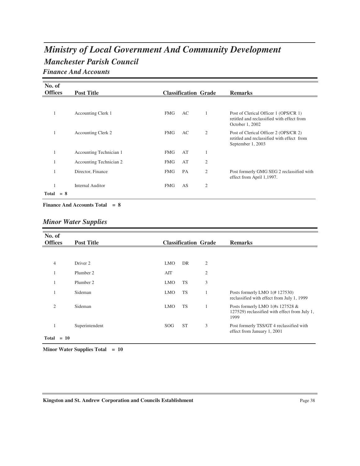## *Manchester Parish Council Ministry of Local Government And Community Development Finance And Accounts*

| No. of<br><b>Offices</b> | <b>Post Title</b>         |            |    | <b>Classification Grade</b> | <b>Remarks</b>                                                                                           |
|--------------------------|---------------------------|------------|----|-----------------------------|----------------------------------------------------------------------------------------------------------|
|                          |                           |            |    |                             |                                                                                                          |
| 1                        | Accounting Clerk 1        | <b>FMG</b> | AC |                             | Post of Clerical Officer 1 (OPS/CR 1)<br>retitled and reclassified with effect from<br>October 1, 2002   |
|                          | <b>Accounting Clerk 2</b> | <b>FMG</b> | AC | $\overline{c}$              | Post of Clerical Officer 2 (OPS/CR 2)<br>retitled and reclassified with effect from<br>September 1, 2003 |
| 1                        | Accounting Technician 1   | <b>FMG</b> | AT | 1                           |                                                                                                          |
|                          | Accounting Technician 2   | <b>FMG</b> | AT | $\mathfrak{2}$              |                                                                                                          |
|                          | Director, Finance         | <b>FMG</b> | PA | $\overline{2}$              | Post formerly GMG SEG 2 reclassified with<br>effect from April 1,1997.                                   |
| $Total = 8$              | <b>Internal Auditor</b>   | <b>FMG</b> | AS | $\overline{2}$              |                                                                                                          |

**Finance And Accounts Total = 8**

|  |  | <b>Minor Water Supplies</b> |
|--|--|-----------------------------|
|--|--|-----------------------------|

| No. of<br><b>Offices</b> |        |                   |            |                             |                |                                                                                           |
|--------------------------|--------|-------------------|------------|-----------------------------|----------------|-------------------------------------------------------------------------------------------|
|                          |        | <b>Post Title</b> |            | <b>Classification Grade</b> |                | <b>Remarks</b>                                                                            |
|                          |        |                   |            |                             |                |                                                                                           |
| $\overline{4}$           |        | Driver 2          | <b>LMO</b> | DR                          | $\overline{2}$ |                                                                                           |
|                          |        | Plumber 2         | AIT        |                             | $\mathfrak{2}$ |                                                                                           |
| 1                        |        | Plumber 2         | <b>LMO</b> | <b>TS</b>                   | 3              |                                                                                           |
| 1                        |        | Sideman           | <b>LMO</b> | <b>TS</b>                   |                | Posts formerly LMO 1(#127530)<br>reclassified with effect from July 1, 1999               |
| $\overline{c}$           |        | Sideman           | <b>LMO</b> | <b>TS</b>                   | 1              | Posts formerly LMO 1(#s 127528 &<br>127529) reclassified with effect from July 1,<br>1999 |
| 1                        |        | Superintendent    | <b>SOG</b> | <b>ST</b>                   | 3              | Post formerly TSS/GT 4 reclassified with<br>effect from January 1, 2001                   |
| <b>Total</b>             | $= 10$ |                   |            |                             |                |                                                                                           |

**Minor Water Supplies Total = 10**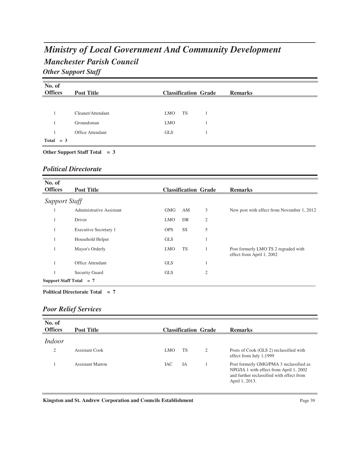# *Manchester Parish Council Ministry of Local Government And Community Development Other Support Staff*

| No. of         |                                 |                             |                |
|----------------|---------------------------------|-----------------------------|----------------|
| <b>Offices</b> | <b>Post Title</b>               | <b>Classification Grade</b> | <b>Remarks</b> |
|                |                                 |                             |                |
|                | Cleaner/Attendant               | TS<br>LMO                   |                |
|                | Groundsman                      | <b>LMO</b>                  |                |
|                | <b>Office Attendant</b>         | <b>GLS</b>                  |                |
| $Total = 3$    |                                 |                             |                |
|                | Other Support Staff Total $= 3$ |                             |                |

#### *Political Directorate*

| No. of<br><b>Offices</b>  | <b>Post Title</b>        |            |           | <b>Classification Grade</b> | <b>Remarks</b>                                                    |
|---------------------------|--------------------------|------------|-----------|-----------------------------|-------------------------------------------------------------------|
| <b>Support Staff</b>      |                          |            |           |                             |                                                                   |
| -1                        | Administrative Assistant | <b>GMG</b> | AM        | 3                           | New post with effect from November 1, 2012                        |
|                           | Driver                   | <b>LMO</b> | DR        | $\mathfrak{2}$              |                                                                   |
|                           | Executive Secretary 1    | <b>OPS</b> | SS        | 5                           |                                                                   |
|                           | Household Helper         | <b>GLS</b> |           |                             |                                                                   |
|                           | Mayor's Orderly          | <b>LMO</b> | <b>TS</b> |                             | Post formerly LMO TS 2 regraded with<br>effect from April 1, 2002 |
|                           | Office Attendant         | <b>GLS</b> |           |                             |                                                                   |
|                           | Security Guard           | <b>GLS</b> |           | 2                           |                                                                   |
| Support Staff Total $= 7$ |                          |            |           |                             |                                                                   |

#### **Political Directorate Total = 7**

## *Poor Relief Services*

| No. of<br><b>Offices</b> | <b>Post Title</b>       |            |           | <b>Classification Grade</b> | <b>Remarks</b>                                                                                                                                    |
|--------------------------|-------------------------|------------|-----------|-----------------------------|---------------------------------------------------------------------------------------------------------------------------------------------------|
| Indoor                   |                         |            |           |                             |                                                                                                                                                   |
| $\overline{c}$           | Assistant Cook          | <b>LMO</b> | <b>TS</b> | $\overline{2}$              | Posts of Cook (GLS 2) reclassified with<br>effect from July 1,1999                                                                                |
|                          | <b>Assistant Matron</b> | <b>IAC</b> | IA        |                             | Post formerly GMG/PMA 3 reclassified as<br>NPG/IA 1 with effect from April 1, 2002<br>and further reclassified with effect from<br>April 1, 2013. |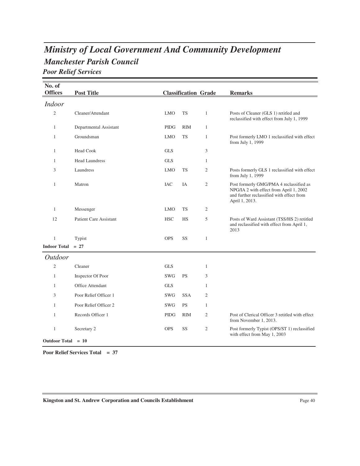## *Manchester Parish Council Ministry of Local Government And Community Development Poor Relief Services*

| No. of<br><b>Offices</b> | <b>Post Title</b>             |             | <b>Classification Grade</b> |                | <b>Remarks</b>                                                                                                                                    |
|--------------------------|-------------------------------|-------------|-----------------------------|----------------|---------------------------------------------------------------------------------------------------------------------------------------------------|
| <b>Indoor</b>            |                               |             |                             |                |                                                                                                                                                   |
| $\overline{2}$           | Cleaner/Attendant             | <b>LMO</b>  | <b>TS</b>                   | $\mathbf{1}$   | Posts of Cleaner (GLS 1) retitled and<br>reclassified with effect from July 1, 1999                                                               |
| $\mathbf{1}$             | Departmental Assistant        | PIDG        | <b>RIM</b>                  | $\mathbf{1}$   |                                                                                                                                                   |
| $\mathbf{1}$             | Groundsman                    | <b>LMO</b>  | <b>TS</b>                   | $\mathbf{1}$   | Post formerly LMO 1 reclassified with effect<br>from July 1, 1999                                                                                 |
| $\mathbf{1}$             | <b>Head Cook</b>              | <b>GLS</b>  |                             | 3              |                                                                                                                                                   |
| $\mathbf{1}$             | <b>Head Laundress</b>         | <b>GLS</b>  |                             | $\mathbf{1}$   |                                                                                                                                                   |
| 3                        | Laundress                     | <b>LMO</b>  | <b>TS</b>                   | $\mathfrak{2}$ | Posts formerly GLS 1 reclassified with effect<br>from July 1, 1999                                                                                |
| $\mathbf{1}$             | Matron                        | <b>IAC</b>  | IA                          | $\mathfrak{2}$ | Post formerly GMG/PMA 4 reclassified as<br>NPG/IA 2 with effect from April 1, 2002<br>and further reclassified with effect from<br>April 1, 2013. |
| $\mathbf{1}$             | Messenger                     | <b>LMO</b>  | <b>TS</b>                   | $\mathfrak{2}$ |                                                                                                                                                   |
| 12                       | <b>Patient Care Assistant</b> | <b>HSC</b>  | <b>HS</b>                   | 5              | Posts of Ward Assistant (TSS/HS 2) retitled<br>and reclassified with effect from April 1,<br>2013                                                 |
| $\mathbf{1}$             | Typist                        | <b>OPS</b>  | SS                          | $\mathbf{1}$   |                                                                                                                                                   |
| <b>Indoor Total</b>      | $= 27$                        |             |                             |                |                                                                                                                                                   |
| <b>Outdoor</b>           |                               |             |                             |                |                                                                                                                                                   |
| $\overline{2}$           | Cleaner                       | <b>GLS</b>  |                             | $\mathbf{1}$   |                                                                                                                                                   |
| $\mathbf{1}$             | Inspector Of Poor             | <b>SWG</b>  | <b>PS</b>                   | 3              |                                                                                                                                                   |
| $\mathbf{1}$             | Office Attendant              | <b>GLS</b>  |                             | $\mathbf{1}$   |                                                                                                                                                   |
| 3                        | Poor Relief Officer 1         | <b>SWG</b>  | <b>SSA</b>                  | $\overline{2}$ |                                                                                                                                                   |
| $\mathbf{1}$             | Poor Relief Officer 2         | <b>SWG</b>  | <b>PS</b>                   | $\mathbf{1}$   |                                                                                                                                                   |
| $\mathbf{1}$             | Records Officer 1             | <b>PIDG</b> | RIM                         | $\mathfrak{2}$ | Post of Clerical Officer 3 retitled with effect<br>from November 1, 2013.                                                                         |
| $\mathbf{1}$             | Secretary 2                   | <b>OPS</b>  | SS                          | $\mathfrak{2}$ | Post formerly Typist (OPS/ST 1) reclassified<br>with effect from May 1, 2003                                                                      |
| Outdoor Total $= 10$     |                               |             |                             |                |                                                                                                                                                   |

**Poor Relief Services Total = 37**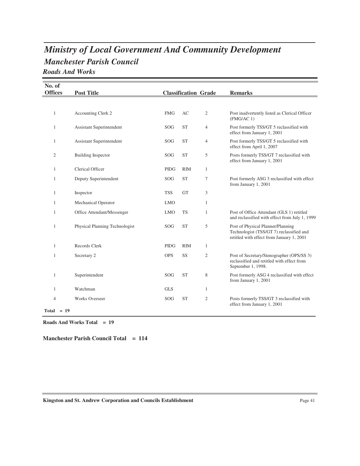## *Manchester Parish Council Ministry of Local Government And Community Development Roads And Works*

| No. of<br><b>Offices</b> | <b>Post Title</b>               |             |            | <b>Classification Grade</b> | <b>Remarks</b>                                                                                                             |
|--------------------------|---------------------------------|-------------|------------|-----------------------------|----------------------------------------------------------------------------------------------------------------------------|
|                          |                                 |             |            |                             |                                                                                                                            |
|                          |                                 |             |            |                             |                                                                                                                            |
| $\mathbf{1}$             | Accounting Clerk 2              | <b>FMG</b>  | AC         | $\mathfrak{2}$              | Post inadvertently listed as Clerical Officer<br>(FMG/AC1)                                                                 |
| 1                        | <b>Assistant Superintendent</b> | SOG         | <b>ST</b>  | 4                           | Post formerly TSS/GT 5 reclassified with<br>effect from January 1, 2001                                                    |
| $\mathbf{1}$             | Assistant Superintendent        | SOG         | <b>ST</b>  | 4                           | Post formerly TSS/GT 5 reclassified with<br>effect from April 1, 2007                                                      |
| 2                        | <b>Building Inspector</b>       | SOG         | <b>ST</b>  | 5                           | Posts formerly TSS/GT 7 reclassified with<br>effect from January 1, 2001                                                   |
| 1                        | Clerical Officer                | <b>PIDG</b> | <b>RIM</b> | $\mathbf{1}$                |                                                                                                                            |
| $\mathbf{1}$             | Deputy Superintendent           | SOG         | <b>ST</b>  | 7                           | Post formerly ASG 3 reclassified with effect<br>from January 1, 2001                                                       |
| $\mathbf{1}$             | Inspector                       | <b>TSS</b>  | <b>GT</b>  | 3                           |                                                                                                                            |
| 1                        | <b>Mechanical Operator</b>      | <b>LMO</b>  |            | $\mathbf{1}$                |                                                                                                                            |
| $\mathbf{1}$             | Office Attendant/Messenger      | <b>LMO</b>  | <b>TS</b>  | 1                           | Post of Office Attendant (GLS 1) retitled<br>and reclassified with effect from July 1, 1999                                |
| 1                        | Physical Planning Technologist  | <b>SOG</b>  | <b>ST</b>  | 5                           | Post of Physical Planner/Planning<br>Technologist (TSS/GT 7) reclassified and<br>retitled with effect from January 1, 2001 |
| $\mathbf{1}$             | Records Clerk                   | <b>PIDG</b> | <b>RIM</b> | $\mathbf{1}$                |                                                                                                                            |
| $\mathbf{1}$             | Secretary 2                     | <b>OPS</b>  | SS         | $\mathfrak{2}$              | Post of Secretary/Stenographer (OPS/SS 3)<br>reclassified and retitled with effect from<br>September 1, 1998.              |
| $\mathbf{1}$             | Superintendent                  | SOG         | <b>ST</b>  | 8                           | Post formerly ASG 4 reclassified with effect<br>from January 1, 2001                                                       |
| 1                        | Watchman                        | <b>GLS</b>  |            | 1                           |                                                                                                                            |
| 4<br>$Total = 19$        | <b>Works Overseer</b>           | SOG         | <b>ST</b>  | 2                           | Posts formerly TSS/GT 3 reclassified with<br>effect from January 1, 2001                                                   |

**Roads And Works Total = 19**

**Manchester Parish Council Total = 114**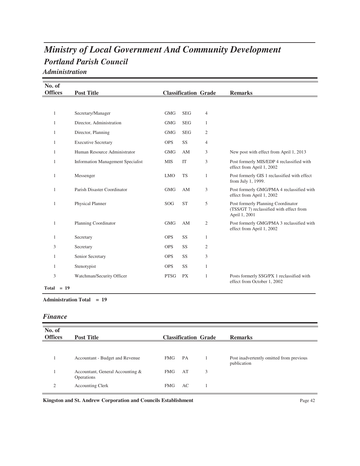# *Portland Parish Council Ministry of Local Government And Community Development*

*Administration*

| No. of            |                                          |             |                             |                |                                                                                                 |
|-------------------|------------------------------------------|-------------|-----------------------------|----------------|-------------------------------------------------------------------------------------------------|
| <b>Offices</b>    | <b>Post Title</b>                        |             | <b>Classification Grade</b> |                | <b>Remarks</b>                                                                                  |
|                   |                                          |             |                             |                |                                                                                                 |
| $\mathbf{1}$      | Secretary/Manager                        | <b>GMG</b>  | <b>SEG</b>                  | $\overline{4}$ |                                                                                                 |
| 1                 | Director, Administration                 | <b>GMG</b>  | <b>SEG</b>                  | 1              |                                                                                                 |
| 1                 | Director, Planning                       | <b>GMG</b>  | <b>SEG</b>                  | $\mathfrak{2}$ |                                                                                                 |
| 1                 | <b>Executive Secretary</b>               | <b>OPS</b>  | SS                          | 4              |                                                                                                 |
| 1                 | Human Resource Administrator             | <b>GMG</b>  | AM                          | 3              | New post with effect from April 1, 2013                                                         |
| 1                 | <b>Information Management Specialist</b> | <b>MIS</b>  | IT                          | 3              | Post formerly MIS/EDP 4 reclassified with<br>effect from April 1, 2002                          |
| 1                 | Messenger                                | <b>LMO</b>  | <b>TS</b>                   | $\mathbf{1}$   | Post formerly GIS 1 reclassified with effect<br>from July 1, 1999.                              |
| 1                 | Parish Disaster Coordinator              | <b>GMG</b>  | AM                          | 3              | Post formerly GMG/PMA 4 reclassified with<br>effect from April 1, 2002                          |
| $\mathbf{1}$      | Physical Planner                         | <b>SOG</b>  | <b>ST</b>                   | 5              | Post formerly Planning Coordinator<br>(TSS/GT 7) reclassified with effect from<br>April 1, 2001 |
| 1                 | Planning Coordinator                     | <b>GMG</b>  | AM                          | $\mathfrak{2}$ | Post formerly GMG/PMA 3 reclassified with<br>effect from April 1, 2002                          |
| 1                 | Secretary                                | <b>OPS</b>  | SS                          | $\mathbf{1}$   |                                                                                                 |
| 3                 | Secretary                                | <b>OPS</b>  | SS                          | $\mathfrak{2}$ |                                                                                                 |
| 1                 | Senior Secretary                         | <b>OPS</b>  | SS                          | 3              |                                                                                                 |
| 1                 | Stenotypist                              | <b>OPS</b>  | SS                          | $\mathbf{1}$   |                                                                                                 |
| 3<br>$Total = 19$ | Watchman/Security Officer                | <b>PTSG</b> | <b>PX</b>                   | $\mathbf{1}$   | Posts formerly SSG/PX 1 reclassified with<br>effect from October 1, 2002                        |

#### **Administration Total = 19**

#### *Finance*

| No. of<br><b>Offices</b> | <b>Post Title</b>                              |            |    | <b>Classification Grade</b> | <b>Remarks</b>                                          |
|--------------------------|------------------------------------------------|------------|----|-----------------------------|---------------------------------------------------------|
|                          |                                                |            |    |                             |                                                         |
|                          | Accountant - Budget and Revenue                | <b>FMG</b> | PA |                             | Post inadvertently omitted from previous<br>publication |
|                          | Accountant, General Accounting &<br>Operations | <b>FMG</b> | AT | 3                           |                                                         |
| 2                        | <b>Accounting Clerk</b>                        | <b>FMG</b> | AC |                             |                                                         |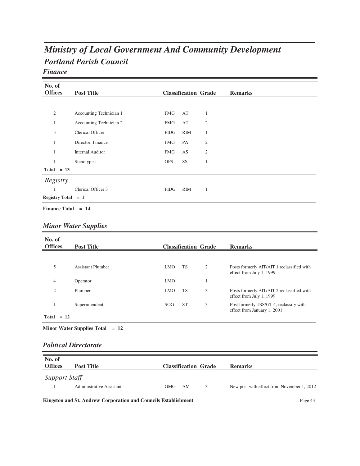# *Portland Parish Council Ministry of Local Government And Community Development*

### *Finance*

| No. of               |                         |            |                             |                |                |
|----------------------|-------------------------|------------|-----------------------------|----------------|----------------|
| <b>Offices</b>       | <b>Post Title</b>       |            | <b>Classification Grade</b> |                | <b>Remarks</b> |
|                      |                         |            |                             |                |                |
| $\mathfrak{2}$       | Accounting Technician 1 | FMG        | AT                          | 1              |                |
| 1                    | Accounting Technician 2 | <b>FMG</b> | AT                          | $\mathfrak{2}$ |                |
| 3                    | Clerical Officer        | PIDG       | <b>RIM</b>                  | 1              |                |
| 1                    | Director, Finance       | <b>FMG</b> | PA                          | $\mathfrak{2}$ |                |
| 1                    | <b>Internal Auditor</b> | <b>FMG</b> | AS                          | $\mathfrak{2}$ |                |
| 1                    | Stenotypist             | <b>OPS</b> | SS                          | 1              |                |
| $Total = 13$         |                         |            |                             |                |                |
| Registry             |                         |            |                             |                |                |
| 1                    | Clerical Officer 3      | PIDG       | <b>RIM</b>                  | 1              |                |
| Registry Total $= 1$ |                         |            |                             |                |                |
| Finance Total $= 14$ |                         |            |                             |                |                |

|  |  | <b>Minor Water Supplies</b> |
|--|--|-----------------------------|
|--|--|-----------------------------|

| No. of<br><b>Offices</b> | <b>Post Title</b>        |                 |           | <b>Classification Grade</b> | <b>Remarks</b>                                                         |
|--------------------------|--------------------------|-----------------|-----------|-----------------------------|------------------------------------------------------------------------|
|                          |                          |                 |           |                             |                                                                        |
| 5                        | <b>Assistant Plumber</b> | <b>LMO</b>      | <b>TS</b> | 2                           | Posts formerly AIT/AIT 1 reclassified with<br>effect from July 1, 1999 |
| $\overline{4}$           | Operator                 | <b>LMO</b>      |           |                             |                                                                        |
| $\overline{2}$           | Plumber                  | <b>LMO</b>      | <b>TS</b> | 3                           | Posts formerly AIT/AIT 2 reclassified with<br>effect from July 1, 1999 |
|                          | Superintendent           | SOG <sub></sub> | <b>ST</b> | 3                           | Post formerly TSS/GT 4, reclassify with<br>effect from January 1, 2001 |
| $Total = 12$             |                          |                 |           |                             |                                                                        |

#### **Minor Water Supplies Total = 12**

#### *Political Directorate*

| No. of<br><b>Offices</b> | <b>Post Title</b>        | <b>Classification Grade</b> | <b>Remarks</b>                             |
|--------------------------|--------------------------|-----------------------------|--------------------------------------------|
| <b>Support Staff</b>     | Administrative Assistant | AM<br><b>GMG</b>            | New post with effect from November 1, 2012 |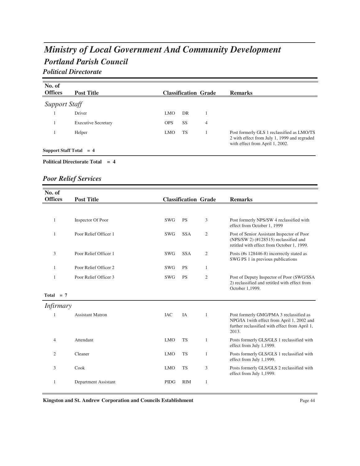## *Portland Parish Council Ministry of Local Government And Community Development Political Directorate*

| No. of<br><b>Offices</b>  | <b>Post Title</b>          |            |           | <b>Classification Grade</b> | <b>Remarks</b>                                                                                                                |
|---------------------------|----------------------------|------------|-----------|-----------------------------|-------------------------------------------------------------------------------------------------------------------------------|
| <b>Support Staff</b>      |                            |            |           |                             |                                                                                                                               |
|                           | Driver                     | <b>LMO</b> | DR        |                             |                                                                                                                               |
|                           | <b>Executive Secretary</b> | <b>OPS</b> | <b>SS</b> | 4                           |                                                                                                                               |
|                           | Helper                     | <b>LMO</b> | <b>TS</b> |                             | Post formerly GLS 1 reclassified as LMO/TS<br>2 with effect from July 1, 1999 and regraded<br>with effect from April 1, 2002. |
| Support Staff Total $= 4$ |                            |            |           |                             |                                                                                                                               |

#### **Political Directorate Total = 4**

### *Poor Relief Services*

| No. of<br><b>Offices</b> | <b>Post Title</b>       |             | <b>Classification Grade</b> |                | <b>Remarks</b>                                                                                                                                    |
|--------------------------|-------------------------|-------------|-----------------------------|----------------|---------------------------------------------------------------------------------------------------------------------------------------------------|
|                          |                         |             |                             |                |                                                                                                                                                   |
| 1                        | Inspector Of Poor       | <b>SWG</b>  | <b>PS</b>                   | 3              | Post formerly NPS/SW 4 reclassified with<br>effect from October 1, 1999                                                                           |
| 1                        | Poor Relief Officer 1   | <b>SWG</b>  | <b>SSA</b>                  | $\overline{c}$ | Post of Senior Assistant Inspector of Poor<br>(NPS/SW 2) (#128515) reclassified and<br>retitled with effect from October 1, 1999.                 |
| 3                        | Poor Relief Officer 1   | <b>SWG</b>  | <b>SSA</b>                  | $\overline{2}$ | Posts (#s 128446-8) incorrectly stated as<br>SWG PS 1 in previous publications                                                                    |
| 1                        | Poor Relief Officer 2   | <b>SWG</b>  | <b>PS</b>                   | $\mathbf{1}$   |                                                                                                                                                   |
| 1                        | Poor Relief Officer 3   | <b>SWG</b>  | <b>PS</b>                   | $\overline{c}$ | Post of Deputy Inspector of Poor (SWG/SSA<br>2) reclassified and retitled with effect from<br>October 1,1999.                                     |
| Total $= 7$              |                         |             |                             |                |                                                                                                                                                   |
| <i>Infirmary</i>         |                         |             |                             |                |                                                                                                                                                   |
| 1                        | <b>Assistant Matron</b> | <b>IAC</b>  | IA                          | 1              | Post formerly GMG/PMA 3 reclassified as<br>NPG/IA 1 with effect from April 1, 2002 and<br>further reclassified with effect from April 1,<br>2013. |
| $\overline{4}$           | Attendant               | <b>LMO</b>  | <b>TS</b>                   | 1              | Posts formerly GLS/GLS 1 reclassified with<br>effect from July 1,1999.                                                                            |
| $\overline{2}$           | Cleaner                 | <b>LMO</b>  | <b>TS</b>                   | $\mathbf{1}$   | Posts formerly GLS/GLS 1 reclassified with<br>effect from July 1,1999.                                                                            |
| 3                        | Cook                    | <b>LMO</b>  | <b>TS</b>                   | 3              | Posts formerly GLS/GLS 2 reclassified with<br>effect from July 1,1999.                                                                            |
| 1                        | Department Assistant    | <b>PIDG</b> | <b>RIM</b>                  | $\mathbf{1}$   |                                                                                                                                                   |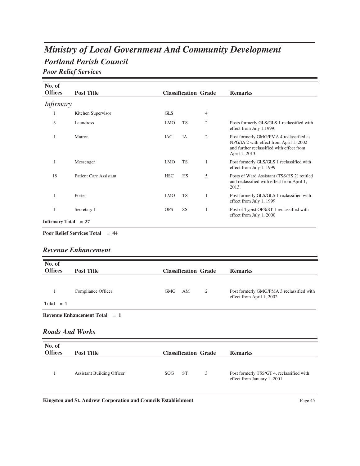## *Portland Parish Council Ministry of Local Government And Community Development Poor Relief Services*

**No. of Offices Post Title Classification Grade Remarks** *Infirmary* 1 Kitchen Supervisor GLS 4 3 Laundress Laundress LMO TS 2 Posts formerly GLS/GLS 1 reclassified with effect from July 1,1999.  $LMO$ 1 Matron 14 Matron 14 Matron 14 Matron 14 Matron 14 Matron 14 Matron 14 Matron 14 Matron 14 Matron 14 Matron 14 Matron 14 Matron 14 Matron 14 Matron 14 Matron 14 Matron 14 Matron 14 Matron 14 Matron 14 Matron 14 Matron 14 NPG/IA 2 with effect from April 1, 2002 and further reclassified with effect from April 1, 2013.  $\rm IAC$ 1 Messenger 1 Mo TS 1 Post formerly GLS/GLS 1 reclassified with effect from July 1, 1999  ${\rm LMO}$ 18 Patient Care Assistant Posts of Ward Assistant (TSS/HS 2) retitled and reclassified with effect from April 1, 2013.  $_{\mathrm{HSC}}$ 1 Porter 2012 DMO TS 1 Post formerly GLS/GLS 1 reclassified with effect from July 1, 1999  ${\rm LMO}$ 1 Secretary 1 **Post of Typist OPS/ST 1** reclassified with  $\frac{1}{2}$  Post of Typist OPS/ST 1 reclassified with effect from July 1, 2000 OPS **Infirmary Total = 37**

## **Poor Relief Services Total = 44**

#### *Revenue Enhancement*

| No. of<br><b>Offices</b> | <b>Post Title</b>                         | <b>Classification Grade</b> | <b>Remarks</b>                            |
|--------------------------|-------------------------------------------|-----------------------------|-------------------------------------------|
| 1                        | Compliance Officer                        | <b>GMG</b><br>AM<br>2       | Post formerly GMG/PMA 3 reclassified with |
| $Total = 1$              |                                           |                             | effect from April 1, 2002                 |
|                          | <b>Revenue Enhancement Total</b><br>$= 1$ |                             |                                           |
|                          |                                           |                             |                                           |
| <b>Roads And Works</b>   |                                           |                             |                                           |
|                          |                                           |                             |                                           |
| No. of<br><b>Offices</b> | <b>Post Title</b>                         | <b>Classification Grade</b> | <b>Remarks</b>                            |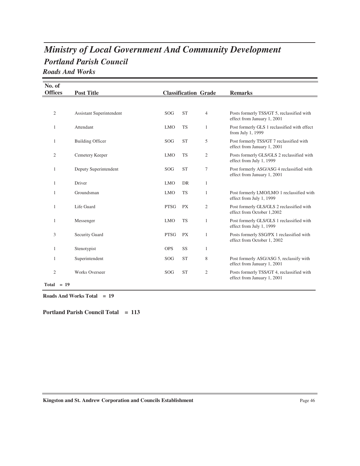## *Portland Parish Council Ministry of Local Government And Community Development Roads And Works*

| No. of         |              |                                 |             |                             |                |                                                                           |
|----------------|--------------|---------------------------------|-------------|-----------------------------|----------------|---------------------------------------------------------------------------|
| <b>Offices</b> |              | <b>Post Title</b>               |             | <b>Classification Grade</b> |                | <b>Remarks</b>                                                            |
|                |              |                                 |             |                             |                |                                                                           |
| $\mathfrak{2}$ |              | <b>Assistant Superintendent</b> | SOG         | <b>ST</b>                   | $\overline{4}$ | Posts formerly TSS/GT 5, reclassified with<br>effect from January 1, 2001 |
| 1              |              | Attendant                       | <b>LMO</b>  | <b>TS</b>                   | 1              | Post formerly GLS 1 reclassified with effect<br>from July 1, 1999         |
| 1              |              | <b>Building Officer</b>         | <b>SOG</b>  | <b>ST</b>                   | 5              | Post formerly TSS/GT 7 reclassified with<br>effect from January 1, 2001   |
| $\mathfrak{2}$ |              | Cemetery Keeper                 | <b>LMO</b>  | <b>TS</b>                   | $\mathfrak{2}$ | Posts formerly GLS/GLS 2 reclassified with<br>effect from July 1, 1999    |
| $\mathbf{1}$   |              | Deputy Superintendent           | SOG         | <b>ST</b>                   | 7              | Post formerly ASG/ASG 4 reclassified with<br>effect from January 1, 2001  |
| $\mathbf{1}$   |              | Driver                          | <b>LMO</b>  | <b>DR</b>                   | $\mathbf{1}$   |                                                                           |
| 1              |              | Groundsman                      | <b>LMO</b>  | <b>TS</b>                   | 1              | Post formerly LMO/LMO 1 reclassified with<br>effect from July 1, 1999     |
| $\mathbf{1}$   |              | Life Guard                      | <b>PTSG</b> | <b>PX</b>                   | $\mathfrak{2}$ | Post formerly GLS/GLS 2 reclassified with<br>effect from October 1,2002   |
| 1              |              | Messenger                       | <b>LMO</b>  | <b>TS</b>                   | 1              | Post formerly GLS/GLS 1 reclassified with<br>effect from July 1, 1999     |
| 3              |              | <b>Security Guard</b>           | <b>PTSG</b> | <b>PX</b>                   | 1              | Posts formerly SSG/PX 1 reclassified with<br>effect from October 1, 2002  |
| $\mathbf{1}$   |              | Stenotypist                     | <b>OPS</b>  | SS                          | 1              |                                                                           |
| $\mathbf{1}$   |              | Superintendent                  | SOG         | <b>ST</b>                   | 8              | Post formerly ASG/ASG 5, reclassify with<br>effect from January 1, 2001   |
| $\mathfrak{2}$ |              | <b>Works Overseer</b>           | SOG         | <b>ST</b>                   | $\mathfrak{2}$ | Posts formerly TSS/GT 4, reclassified with<br>effect from January 1, 2001 |
|                | $Total = 19$ |                                 |             |                             |                |                                                                           |

**Roads And Works Total = 19**

**Portland Parish Council Total = 113**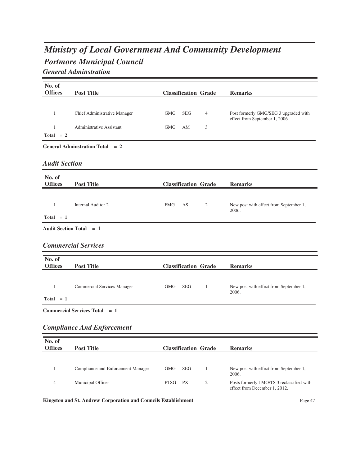## *Portmore Municipal Council Ministry of Local Government And Community Development General Adminstration*

**No. of Offices Post Title Classification Grade Remarks** 1 Chief Administrative Manager GMG SEG 4 Post formerly GMG/SEG 3 upgraded with effect from September 1, 2006  ${\rm GMG}$ 1 Administrative Assistant GMG AM 3  $Total = 2$ **General Adminstration Total = 2** *Audit Section* **No. of Offices Post Title Classification Grade Remarks** 1 Internal Auditor 2 FMG AS 2 New post with effect from September 1, 2006.  ${\rm FMG}$  $Total = 1$ **Audit Section Total = 1** *Commercial Services* **No. of Offices Post Title Classification Grade Remarks** 1 Commercial Services Manager GMG SEG 1 New post with effect from September 1, 2006. **SEG**  $Total = 1$ **Commercial Services Total = 1** *Compliance And Enforcement*

#### **No. of Offices Post Title Classification Grade Remarks** 1 Compliance and Enforcement Manager GMG SEG 1 New post with effect from September 1, 2006.  ${\rm GMG}$ 4 Municipal Officer PTSG PX 2 Posts formerly LMO/TS 3 reclassified with effect from December 1, 2012. PTSG PX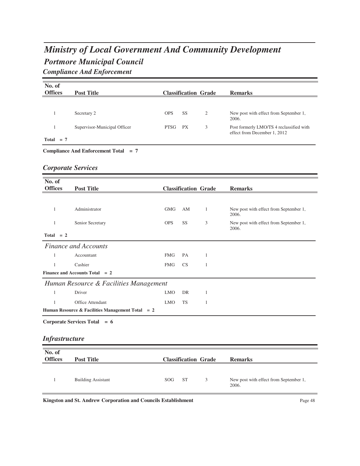# *Portmore Municipal Council Ministry of Local Government And Community Development Compliance And Enforcement*

| No. of<br><b>Offices</b>  | <b>Post Title</b>                                              |             | <b>Classification Grade</b> |              | <b>Remarks</b>                                                           |
|---------------------------|----------------------------------------------------------------|-------------|-----------------------------|--------------|--------------------------------------------------------------------------|
|                           |                                                                |             |                             |              |                                                                          |
| $\mathbf{1}$              | Secretary 2                                                    | <b>OPS</b>  | SS                          | 2            | New post with effect from September 1,<br>2006.                          |
| 1                         | Supervisor-Municipal Officer                                   | <b>PTSG</b> | PX                          | 3            | Post formerly LMO/TS 4 reclassified with<br>effect from December 1, 2012 |
| Total $= 7$               |                                                                |             |                             |              |                                                                          |
|                           | Compliance And Enforcement Total = 7                           |             |                             |              |                                                                          |
| <b>Corporate Services</b> |                                                                |             |                             |              |                                                                          |
| No. of<br><b>Offices</b>  | <b>Post Title</b>                                              |             | <b>Classification Grade</b> |              | <b>Remarks</b>                                                           |
|                           |                                                                |             |                             |              |                                                                          |
| $\mathbf{1}$              | Administrator                                                  | <b>GMG</b>  | AM                          | 1            | New post with effect from September 1,<br>2006.                          |
| $\mathbf{1}$              | Senior Secretary                                               | <b>OPS</b>  | SS                          | 3            | New post with effect from September 1,<br>2006.                          |
| $Total = 2$               |                                                                |             |                             |              |                                                                          |
|                           | <b>Finance and Accounts</b>                                    |             |                             |              |                                                                          |
| $\mathbf{1}$              | Accountant                                                     | <b>FMG</b>  | PA                          | $\mathbf{1}$ |                                                                          |
| $\mathbf{1}$              | Cashier                                                        | <b>FMG</b>  | <b>CS</b>                   | $\mathbf{1}$ |                                                                          |
|                           | Finance and Accounts Total $= 2$                               |             |                             |              |                                                                          |
|                           | Human Resource & Facilities Management                         |             |                             |              |                                                                          |
| $\mathbf{1}$              | Driver                                                         | <b>LMO</b>  | DR                          | $\mathbf{1}$ |                                                                          |
| $\mathbf{1}$              | Office Attendant                                               | <b>LMO</b>  | TS                          | $\mathbf{1}$ |                                                                          |
|                           | Human Resource & Facilities Management Total = 2               |             |                             |              |                                                                          |
|                           | Corporate Services Total = 6                                   |             |                             |              |                                                                          |
| <b>Infrastructure</b>     |                                                                |             |                             |              |                                                                          |
| No. of<br><b>Offices</b>  | <b>Post Title</b>                                              |             | <b>Classification Grade</b> |              | <b>Remarks</b>                                                           |
|                           |                                                                |             |                             |              |                                                                          |
| $\mathbf{1}$              | <b>Building Assistant</b>                                      | SOG         | <b>ST</b>                   | 3            | New post with effect from September 1,<br>2006.                          |
|                           | Kingston and St. Andrew Corporation and Councils Establishment |             |                             |              | Page 48                                                                  |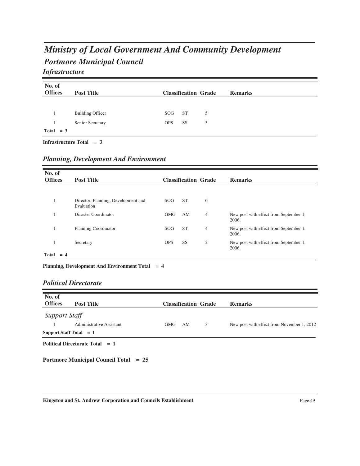# *Portmore Municipal Council Ministry of Local Government And Community Development*

*Infrastructure*

| No. of<br><b>Offices</b> | <b>Post Title</b>       |            |           | <b>Classification Grade</b> | <b>Remarks</b> |
|--------------------------|-------------------------|------------|-----------|-----------------------------|----------------|
|                          |                         |            |           |                             |                |
|                          |                         |            |           |                             |                |
|                          | <b>Building Officer</b> | SOG        | <b>ST</b> | 5                           |                |
|                          | Senior Secretary        | <b>OPS</b> | <b>SS</b> | 3                           |                |
| Total $= 3$              |                         |            |           |                             |                |

**Infrastructure Total = 3**

| No. of<br><b>Offices</b> | <b>Post Title</b>                                 |                  |           | <b>Classification Grade</b> | <b>Remarks</b>                                  |
|--------------------------|---------------------------------------------------|------------------|-----------|-----------------------------|-------------------------------------------------|
|                          |                                                   |                  |           |                             |                                                 |
|                          | Director, Planning, Development and<br>Evaluation | S <sub>O</sub> G | <b>ST</b> | 6                           |                                                 |
|                          | Disaster Coordinator                              | <b>GMG</b>       | AM        | 4                           | New post with effect from September 1,<br>2006. |
|                          | Planning Coordinator                              | SOG              | <b>ST</b> | 4                           | New post with effect from September 1,<br>2006. |
|                          | Secretary                                         | <b>OPS</b>       | <b>SS</b> | $\mathfrak{2}$              | New post with effect from September 1,<br>2006. |
| Total<br>$= 4$           |                                                   |                  |           |                             |                                                 |

**Planning, Development And Environment Total = 4**

#### *Political Directorate*

| No. of<br><b>Offices</b>  | <b>Post Title</b>                 |            |    | <b>Classification Grade</b> | <b>Remarks</b>                             |
|---------------------------|-----------------------------------|------------|----|-----------------------------|--------------------------------------------|
| Support Staff             |                                   |            |    |                             |                                            |
|                           | Administrative Assistant          | <b>GMG</b> | AM | 3                           | New post with effect from November 1, 2012 |
| Support Staff Total $= 1$ |                                   |            |    |                             |                                            |
|                           | Political Directorate Total $= 1$ |            |    |                             |                                            |

**Portmore Municipal Council Total = 25**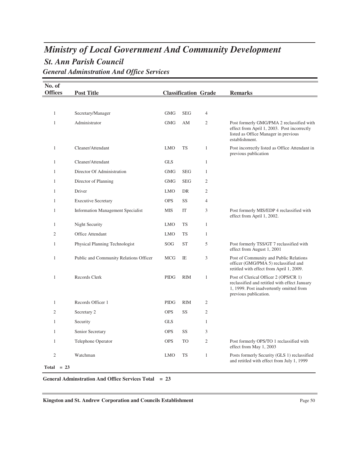## *St. Ann Parish Council Ministry of Local Government And Community Development General Adminstration And Office Services*

| No. of<br><b>Offices</b>       | <b>Post Title</b>                        |             | <b>Classification Grade</b> |                | <b>Remarks</b>                                                                                                                                              |
|--------------------------------|------------------------------------------|-------------|-----------------------------|----------------|-------------------------------------------------------------------------------------------------------------------------------------------------------------|
|                                |                                          |             |                             |                |                                                                                                                                                             |
| 1                              | Secretary/Manager                        | <b>GMG</b>  | <b>SEG</b>                  | 4              |                                                                                                                                                             |
| 1                              | Administrator                            | <b>GMG</b>  | AM                          | 2              | Post formerly GMG/PMA 2 reclassified with<br>effect from April 1, 2003. Post incorrectly<br>listed as Office Manager in previous<br>establishment.          |
| 1                              | Cleaner/Attendant                        | <b>LMO</b>  | <b>TS</b>                   | $\mathbf{1}$   | Post incorrectly listed as Office Attendant in<br>previous publication                                                                                      |
| 1                              | Cleaner/Attendant                        | <b>GLS</b>  |                             | $\mathbf{1}$   |                                                                                                                                                             |
| 1                              | Director Of Administration               | <b>GMG</b>  | <b>SEG</b>                  | 1              |                                                                                                                                                             |
| 1                              | Director of Planning                     | <b>GMG</b>  | <b>SEG</b>                  | 2              |                                                                                                                                                             |
| 1                              | Driver                                   | <b>LMO</b>  | DR                          | $\mathfrak{2}$ |                                                                                                                                                             |
| 1                              | <b>Executive Secretary</b>               | <b>OPS</b>  | SS                          | $\overline{4}$ |                                                                                                                                                             |
| 1                              | <b>Information Management Specialist</b> | MIS         | IT                          | 3              | Post formerly MIS/EDP 4 reclassified with<br>effect from April 1, 2002.                                                                                     |
| 1                              | Night Security                           | <b>LMO</b>  | TS                          | $\mathbf{1}$   |                                                                                                                                                             |
| $\overline{2}$                 | Office Attendant                         | <b>LMO</b>  | TS                          | $\mathbf{1}$   |                                                                                                                                                             |
| 1                              | Physical Planning Technologist           | SOG         | <b>ST</b>                   | 5              | Post formerly TSS/GT 7 reclassified with<br>effect from August 1, 2001                                                                                      |
| 1                              | Public and Community Relations Officer   | <b>MCG</b>  | IE                          | 3              | Post of Community and Public Relations<br>officer (GMG/PMA 5) reclassified and<br>retitled with effect from April 1, 2009.                                  |
| $\mathbf{1}$                   | Records Clerk                            | <b>PIDG</b> | <b>RIM</b>                  | $\mathbf{1}$   | Post of Clerical Officer 2 (OPS/CR 1)<br>reclassified and retitled with effect January<br>1, 1999. Post inadvertently omitted from<br>previous publication. |
| 1                              | Records Officer 1                        | <b>PIDG</b> | <b>RIM</b>                  | $\mathfrak{2}$ |                                                                                                                                                             |
| $\overline{2}$                 | Secretary 2                              | <b>OPS</b>  | SS                          | $\overline{2}$ |                                                                                                                                                             |
| 1                              | Security                                 | <b>GLS</b>  |                             | 1              |                                                                                                                                                             |
| 1                              | Senior Secretary                         | <b>OPS</b>  | SS                          | 3              |                                                                                                                                                             |
| 1                              | Telephone Operator                       | <b>OPS</b>  | TO                          | $\mathfrak{2}$ | Post formerly OPS/TO 1 reclassified with<br>effect from May 1, 2003                                                                                         |
| $\overline{2}$<br>$Total = 23$ | Watchman                                 | <b>LMO</b>  | TS                          | $\mathbf{1}$   | Posts formerly Security (GLS 1) reclassified<br>and retitled with effect from July 1, 1999                                                                  |

**General Adminstration And Office Services Total = 23**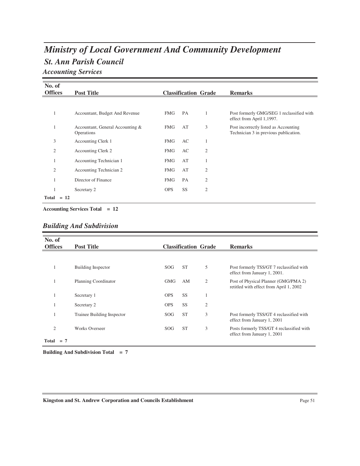# *St. Ann Parish Council Ministry of Local Government And Community Development*

*Accounting Services*

| No. of         |                                                |            |           |                             |                                                                                |
|----------------|------------------------------------------------|------------|-----------|-----------------------------|--------------------------------------------------------------------------------|
| <b>Offices</b> | <b>Post Title</b>                              |            |           | <b>Classification Grade</b> | <b>Remarks</b>                                                                 |
|                |                                                |            |           |                             |                                                                                |
| 1              | Accountant, Budget And Revenue                 | <b>FMG</b> | <b>PA</b> | 1                           | Post formerly GMG/SEG 1 reclassified with<br>effect from April 1,1997.         |
| 1              | Accountant, General Accounting &<br>Operations | <b>FMG</b> | AT        | 3                           | Post incorrectly listed as Accounting<br>Technician 3 in previous publication. |
| 3              | Accounting Clerk 1                             | <b>FMG</b> | AC        | 1                           |                                                                                |
| 2              | Accounting Clerk 2                             | <b>FMG</b> | AC        | $\mathfrak{2}$              |                                                                                |
|                | Accounting Technician 1                        | <b>FMG</b> | AT        | 1                           |                                                                                |
| $\mathfrak{2}$ | Accounting Technician 2                        | <b>FMG</b> | AT        | $\mathfrak{2}$              |                                                                                |
|                | Director of Finance                            | <b>FMG</b> | PA        | $\mathfrak{2}$              |                                                                                |
|                | Secretary 2                                    | <b>OPS</b> | SS        | $\mathfrak{2}$              |                                                                                |
| Total          | $= 12$                                         |            |           |                             |                                                                                |

**Accounting Services Total = 12**

| No. of<br><b>Offices</b> |       | <b>Post Title</b>          |            |           | <b>Classification Grade</b> | <b>Remarks</b>                                                                  |
|--------------------------|-------|----------------------------|------------|-----------|-----------------------------|---------------------------------------------------------------------------------|
|                          |       |                            |            |           |                             |                                                                                 |
|                          |       | Building Inspector         | SOG.       | <b>ST</b> | 5                           | Post formerly TSS/GT 7 reclassified with<br>effect from January 1, 2001.        |
|                          |       | Planning Coordinator       | <b>GMG</b> | AM        | 2                           | Post of Physical Planner (GMG/PMA 2)<br>retitled with effect from April 1, 2002 |
|                          |       | Secretary 1                | <b>OPS</b> | SS        |                             |                                                                                 |
|                          |       | Secretary 2                | <b>OPS</b> | <b>SS</b> | 2                           |                                                                                 |
|                          |       | Trainee Building Inspector | SOG.       | <b>ST</b> | 3                           | Post formerly TSS/GT 4 reclassified with<br>effect from January 1, 2001         |
| $\overline{2}$           |       | <b>Works Overseer</b>      | <b>SOG</b> | <b>ST</b> | 3                           | Posts formerly TSS/GT 4 reclassified with<br>effect from January 1, 2001        |
| Total                    | $= 7$ |                            |            |           |                             |                                                                                 |

**Building And Subdivision Total = 7**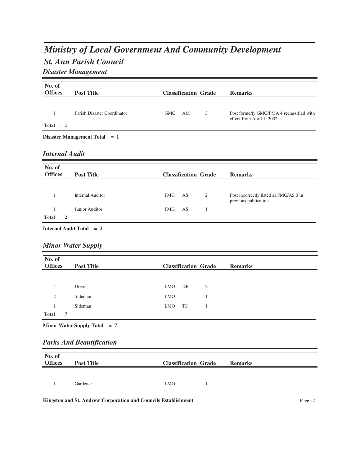# *Ministry of Local Government And Community Development*

## *St. Ann Parish Council*

*Disaster Management*

| No. of                |                                 |            |    |                             |                                                                        |
|-----------------------|---------------------------------|------------|----|-----------------------------|------------------------------------------------------------------------|
| <b>Offices</b>        | <b>Post Title</b>               |            |    | <b>Classification Grade</b> | <b>Remarks</b>                                                         |
|                       |                                 |            |    |                             |                                                                        |
| 1                     | Parish Disaster Coordinator     | <b>GMG</b> | AM | 3                           | Post formerly GMG/PMA 4 reclassified with<br>effect from April 1, 2002 |
| $Total = 1$           |                                 |            |    |                             |                                                                        |
|                       | Disaster Management Total = $1$ |            |    |                             |                                                                        |
| <b>Internal Audit</b> |                                 |            |    |                             |                                                                        |
| No. of                |                                 |            |    |                             |                                                                        |
| <b>Offices</b>        | <b>Post Title</b>               |            |    | <b>Classification Grade</b> | <b>Remarks</b>                                                         |
|                       |                                 |            |    |                             |                                                                        |
| $\mathbf{1}$          | <b>Internal Auditor</b>         | <b>FMG</b> | AS | $\mathfrak{2}$              | Post incorrectly listed as FMG/AS 3 in<br>previous publication.        |
| 1                     | Junior Auditor                  | <b>FMG</b> | AS | 1                           |                                                                        |
|                       |                                 |            |    |                             |                                                                        |
| $Total = 2$           |                                 |            |    |                             |                                                                        |

### *Minor Water Supply*

| No. of<br><b>Offices</b> | <b>Post Title</b> | <b>Classification Grade</b><br><b>Remarks</b> |  |
|--------------------------|-------------------|-----------------------------------------------|--|
|                          |                   |                                               |  |
| $\overline{4}$           | Driver            | <b>LMO</b><br>DR<br>2                         |  |
| 2                        | Sideman           | <b>LMO</b>                                    |  |
|                          | Sideman           | TS<br>LMO                                     |  |
| $Total = 7$              |                   |                                               |  |

**Minor Water Supply Total = 7**

### *Parks And Beautification*

| No. of<br><b>Offices</b> | <b>Post Title</b> | <b>Classification Grade</b> | <b>Remarks</b> |
|--------------------------|-------------------|-----------------------------|----------------|
|                          |                   |                             |                |
|                          | Gardener          | <b>LMO</b>                  |                |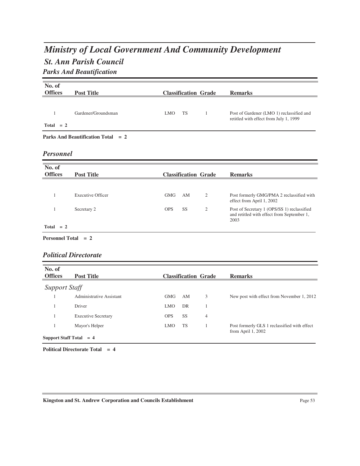# *St. Ann Parish Council Ministry of Local Government And Community Development Parks And Beautification*

| No. of<br><b>Offices</b> | <b>Post Title</b>                    |                         | <b>Classification Grade</b> | <b>Remarks</b>                                                                                    |
|--------------------------|--------------------------------------|-------------------------|-----------------------------|---------------------------------------------------------------------------------------------------|
|                          |                                      |                         |                             |                                                                                                   |
| 1                        | Gardener/Groundsman                  | <b>TS</b><br><b>LMO</b> | 1                           | Post of Gardener (LMO 1) reclassified and<br>retitled with effect from July 1, 1999               |
| $Total = 2$              |                                      |                         |                             |                                                                                                   |
|                          | Parks And Beautification Total $= 2$ |                         |                             |                                                                                                   |
|                          |                                      |                         |                             |                                                                                                   |
| <b>Personnel</b>         |                                      |                         |                             |                                                                                                   |
| No. of                   |                                      |                         |                             |                                                                                                   |
| <b>Offices</b>           | <b>Post Title</b>                    |                         | <b>Classification Grade</b> | <b>Remarks</b>                                                                                    |
|                          |                                      |                         |                             |                                                                                                   |
| 1                        | <b>Executive Officer</b>             | <b>GMG</b><br>AM        | $\mathfrak{2}$              | Post formerly GMG/PMA 2 reclassified with<br>effect from April 1, 2002                            |
| 1                        | Secretary 2                          | <b>SS</b><br><b>OPS</b> | $\mathfrak{2}$              | Post of Secretary 1 (OPS/SS 1) reclassified<br>and retitled with effect from September 1,<br>2003 |

#### *Political Directorate*

| No. of<br><b>Offices</b>  | <b>Post Title</b>          |            |           | <b>Classification Grade</b> | <b>Remarks</b>                                                      |
|---------------------------|----------------------------|------------|-----------|-----------------------------|---------------------------------------------------------------------|
| <b>Support Staff</b>      |                            |            |           |                             |                                                                     |
|                           | Administrative Assistant   | <b>GMG</b> | AM        | 3                           | New post with effect from November 1, 2012                          |
|                           | Driver                     | <b>LMO</b> | DR        |                             |                                                                     |
|                           | <b>Executive Secretary</b> | <b>OPS</b> | <b>SS</b> | $\overline{4}$              |                                                                     |
|                           | Mayor's Helper             | <b>LMO</b> | <b>TS</b> |                             | Post formerly GLS 1 reclassified with effect<br>from April $1,2002$ |
| Support Staff Total $= 4$ |                            |            |           |                             |                                                                     |

**Political Directorate Total = 4**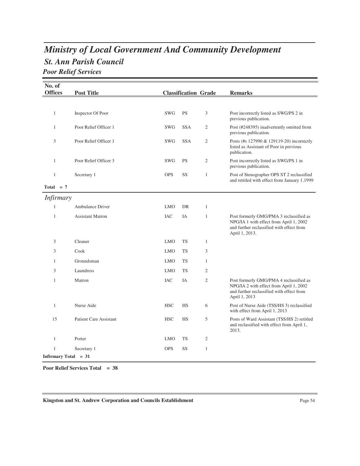# *St. Ann Parish Council Ministry of Local Government And Community Development*

*Poor Relief Services*

| No. of<br><b>Offices</b> | <b>Post Title</b>             |            | <b>Classification Grade</b> |                | <b>Remarks</b>                                                                                                                                    |
|--------------------------|-------------------------------|------------|-----------------------------|----------------|---------------------------------------------------------------------------------------------------------------------------------------------------|
|                          |                               |            |                             |                |                                                                                                                                                   |
|                          |                               |            |                             |                |                                                                                                                                                   |
| $\mathbf{1}$             | Inspector Of Poor             | <b>SWG</b> | <b>PS</b>                   | 3              | Post incorrectly listed as SWG/PS 2 in<br>previous publication.                                                                                   |
| $\mathbf{1}$             | Poor Relief Officer 1         | <b>SWG</b> | <b>SSA</b>                  | 2              | Post (#248395) inadvertently omitted from<br>previous publication.                                                                                |
| 3                        | Poor Relief Officer 1         | <b>SWG</b> | <b>SSA</b>                  | 2              | Posts (#s 127990 & 129119-20) incorrectly<br>listed as Assistant of Poor in previous<br>publication.                                              |
| 1                        | Poor Relief Officer 3         | <b>SWG</b> | <b>PS</b>                   | $\overline{2}$ | Post incorrectly listed as SWG/PS 1 in<br>previous publication.                                                                                   |
| $\mathbf{1}$             | Secretary 1                   | <b>OPS</b> | SS                          | $\mathbf{1}$   | Post of Stenographer OPS ST 2 reclassified<br>and retitled with effect from January 1,1999                                                        |
| Total $= 7$              |                               |            |                             |                |                                                                                                                                                   |
| <i>Infirmary</i>         |                               |            |                             |                |                                                                                                                                                   |
| 1                        | <b>Ambulance Driver</b>       | <b>LMO</b> | DR                          | $\mathbf{1}$   |                                                                                                                                                   |
| $\mathbf{1}$             | <b>Assistant Matron</b>       | <b>IAC</b> | IA                          | $\mathbf{1}$   | Post formerly GMG/PMA 3 reclassified as<br>NPG/IA 1 with effect from April 1, 2002<br>and further reclassified with effect from<br>April 1, 2013. |
| 3                        | Cleaner                       | <b>LMO</b> | <b>TS</b>                   | $\mathbf{1}$   |                                                                                                                                                   |
| 3                        | Cook                          | <b>LMO</b> | <b>TS</b>                   | 3              |                                                                                                                                                   |
| $\mathbf{1}$             | Groundsman                    | <b>LMO</b> | <b>TS</b>                   | $\mathbf{1}$   |                                                                                                                                                   |
| 3                        | Laundress                     | <b>LMO</b> | <b>TS</b>                   | 2              |                                                                                                                                                   |
| $\mathbf{1}$             | Matron                        | <b>IAC</b> | IA                          | $\mathfrak{2}$ | Post formerly GMG/PMA 4 reclassified as<br>NPG/IA 2 with effect from April 1, 2002<br>and further reclassified with effect from<br>April 1, 2013  |
| $\mathbf{1}$             | Nurse Aide                    | <b>HSC</b> | HS                          | 6              | Post of Nurse Aide (TSS/HS 3) reclassified<br>with effect from April 1, 2013                                                                      |
| 15                       | <b>Patient Care Assistant</b> | <b>HSC</b> | HS                          | 5              | Posts of Ward Assistant (TSS/HS 2) retitled<br>and reclassified with effect from April 1,<br>2013.                                                |
| $\mathbf{1}$             | Porter                        | <b>LMO</b> | <b>TS</b>                   | 2              |                                                                                                                                                   |
| $\mathbf{1}$             | Secretary 1                   | <b>OPS</b> | SS                          | $\mathbf{1}$   |                                                                                                                                                   |
| Infirmary Total = 31     |                               |            |                             |                |                                                                                                                                                   |

**Poor Relief Services Total = 38**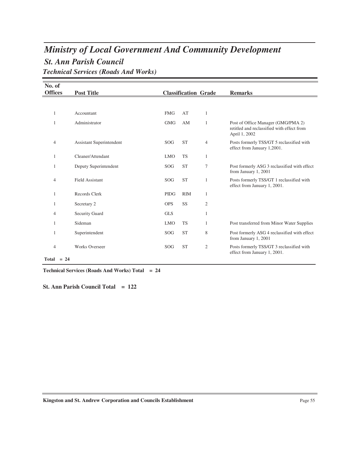## *St. Ann Parish Council Ministry of Local Government And Community Development Technical Services (Roads And Works)*

| No. of            |                          |             |            |                             |                                                                                                   |
|-------------------|--------------------------|-------------|------------|-----------------------------|---------------------------------------------------------------------------------------------------|
| <b>Offices</b>    | <b>Post Title</b>        |             |            | <b>Classification Grade</b> | <b>Remarks</b>                                                                                    |
|                   |                          |             |            |                             |                                                                                                   |
| 1                 | Accountant               | <b>FMG</b>  | AT         | 1                           |                                                                                                   |
| 1                 | Administrator            | <b>GMG</b>  | AM         | 1                           | Post of Office Manager (GMG/PMA 2)<br>retitled and reclassified with effect from<br>April 1, 2002 |
| $\overline{4}$    | Assistant Superintendent | SOG         | <b>ST</b>  | 4                           | Posts formerly TSS/GT 5 reclassified with<br>effect from January 1,2001.                          |
| 1                 | Cleaner/Attendant        | <b>LMO</b>  | <b>TS</b>  | 1                           |                                                                                                   |
| 1                 | Deputy Superintendent    | <b>SOG</b>  | <b>ST</b>  | 7                           | Post formerly ASG 3 reclassified with effect<br>from January 1, 2001                              |
| 4                 | <b>Field Assistant</b>   | SOG         | <b>ST</b>  | 1                           | Posts formerly TSS/GT 1 reclassified with<br>effect from January 1, 2001.                         |
| 1                 | Records Clerk            | <b>PIDG</b> | <b>RIM</b> | 1                           |                                                                                                   |
| 1                 | Secretary 2              | <b>OPS</b>  | SS         | 2                           |                                                                                                   |
| 4                 | <b>Security Guard</b>    | <b>GLS</b>  |            | 1                           |                                                                                                   |
| 1                 | Sideman                  | <b>LMO</b>  | <b>TS</b>  | 1                           | Post transferred from Minor Water Supplies                                                        |
| 1                 | Superintendent           | SOG         | <b>ST</b>  | 8                           | Post formerly ASG 4 reclassified with effect<br>from January 1, 2001                              |
| 4                 | <b>Works Overseer</b>    | SOG         | <b>ST</b>  | 2                           | Posts formerly TSS/GT 3 reclassified with<br>effect from January 1, 2001.                         |
| <b>CONTRACTOR</b> |                          |             |            |                             |                                                                                                   |

 **Total = 24**

**Technical Services (Roads And Works) Total = 24**

**St. Ann Parish Council Total = 122**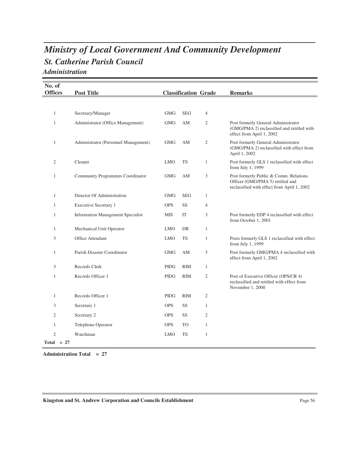## *St. Catherine Parish Council Ministry of Local Government And Community Development Administration*

| No. of         |                                          |             |                             |                |                                                                                                                           |
|----------------|------------------------------------------|-------------|-----------------------------|----------------|---------------------------------------------------------------------------------------------------------------------------|
| <b>Offices</b> | <b>Post Title</b>                        |             | <b>Classification Grade</b> |                | <b>Remarks</b>                                                                                                            |
|                |                                          |             |                             |                |                                                                                                                           |
| 1              | Secretary/Manager                        | <b>GMG</b>  | <b>SEG</b>                  | 4              |                                                                                                                           |
| 1              | Administrator (Office Management)        | <b>GMG</b>  | AM                          | 2              | Post formerly General Administrator<br>(GMG/PMA 2) reclassified and retitled with<br>effect from April 1, 2002            |
| 1              | Administrator (Personnel Management)     | <b>GMG</b>  | AM                          | 2              | Post formerly General Administrator<br>(GMG/PMA 2) reclassified with effect from<br>April 1, 2002                         |
| 2              | Cleaner                                  | <b>LMO</b>  | <b>TS</b>                   | 1              | Post formerly GLS 1 reclassified with effect<br>from July 1, 1999                                                         |
| $\mathbf{1}$   | Community Programmes Coordinator         | <b>GMG</b>  | AM                          | 3              | Post formerly Public & Comm. Relations<br>Officer (GMG/PMA 5) retitled and<br>reclassified with effect from April 1, 2002 |
| 1              | Director Of Administration               | <b>GMG</b>  | <b>SEG</b>                  | 1              |                                                                                                                           |
| 1              | <b>Executive Secretary 1</b>             | <b>OPS</b>  | SS                          | $\overline{4}$ |                                                                                                                           |
| 1              | <b>Information Management Specialist</b> | <b>MIS</b>  | IT                          | 3              | Post formerly EDP 4 reclassified with effect<br>from October 1, 2001                                                      |
| 1              | Mechanical Unit Operator                 | <b>LMO</b>  | DR                          | $\mathbf{1}$   |                                                                                                                           |
| 3              | Office Attendant                         | <b>LMO</b>  | <b>TS</b>                   | 1              | Posts formerly GLS 1 reclassified with effect<br>from July 1, 1999                                                        |
| 1              | Parish Disaster Coordinator              | <b>GMG</b>  | AΜ                          | 3              | Post formerly GMG/PMA 4 reclassified with<br>effect from April 1, 2002                                                    |
| 3              | Records Clerk                            | <b>PIDG</b> | <b>RIM</b>                  | $\mathbf{1}$   |                                                                                                                           |
| $\mathbf{1}$   | Records Officer 1                        | <b>PIDG</b> | <b>RIM</b>                  | $\mathfrak{2}$ | Post of Executive Officer (OPS/CR 4)<br>reclassified and retitled with effect from<br>November 1, 2000                    |
| $\mathbf{1}$   | Records Officer 1                        | <b>PIDG</b> | <b>RIM</b>                  | $\mathfrak{2}$ |                                                                                                                           |
| 3              | Secretary 1                              | <b>OPS</b>  | SS                          | $\mathbf{1}$   |                                                                                                                           |
| $\overline{2}$ | Secretary 2                              | <b>OPS</b>  | SS                          | 2              |                                                                                                                           |
| $\mathbf{1}$   | Telephone Operator                       | <b>OPS</b>  | TO                          | $\mathbf{1}$   |                                                                                                                           |
| $\overline{2}$ | Watchman                                 | <b>LMO</b>  | <b>TS</b>                   | 1              |                                                                                                                           |
| $Total = 27$   |                                          |             |                             |                |                                                                                                                           |

**Administration Total = 27**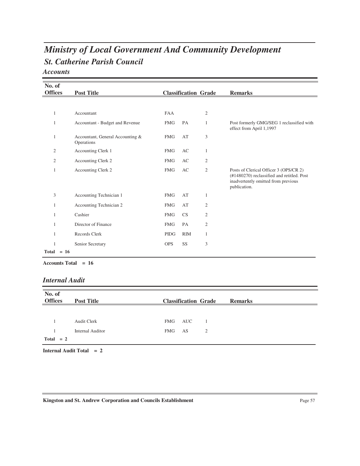# *St. Catherine Parish Council Ministry of Local Government And Community Development*

*Accounts*

| No. of         |                                                |             |            |                             |                                                                                                                                             |
|----------------|------------------------------------------------|-------------|------------|-----------------------------|---------------------------------------------------------------------------------------------------------------------------------------------|
| <b>Offices</b> | <b>Post Title</b>                              |             |            | <b>Classification Grade</b> | <b>Remarks</b>                                                                                                                              |
|                |                                                |             |            |                             |                                                                                                                                             |
| 1              | Accountant                                     | <b>FAA</b>  |            | $\overline{2}$              |                                                                                                                                             |
| 1              | Accountant - Budget and Revenue                | <b>FMG</b>  | PA         | 1                           | Post formerly GMG/SEG 1 reclassified with<br>effect from April 1,1997                                                                       |
| 1              | Accountant, General Accounting &<br>Operations | <b>FMG</b>  | AT         | 3                           |                                                                                                                                             |
| 2              | Accounting Clerk 1                             | <b>FMG</b>  | AC         | 1                           |                                                                                                                                             |
| $\overline{2}$ | Accounting Clerk 2                             | <b>FMG</b>  | AC         | $\overline{2}$              |                                                                                                                                             |
| 1              | Accounting Clerk 2                             | <b>FMG</b>  | AC         | $\mathfrak{2}$              | Posts of Clerical Officer 3 (OPS/CR 2)<br>(#1480270) reclassified and retitled. Post<br>inadvertently omitted from previous<br>publication. |
| 3              | Accounting Technician 1                        | <b>FMG</b>  | AT         | 1                           |                                                                                                                                             |
| 1              | Accounting Technician 2                        | <b>FMG</b>  | AT         | 2                           |                                                                                                                                             |
| 1              | Cashier                                        | <b>FMG</b>  | <b>CS</b>  | $\mathfrak{2}$              |                                                                                                                                             |
| 1              | Director of Finance                            | <b>FMG</b>  | PA         | 2                           |                                                                                                                                             |
| 1              | Records Clerk                                  | <b>PIDG</b> | <b>RIM</b> | 1                           |                                                                                                                                             |
| 1              | Senior Secretary                               | <b>OPS</b>  | SS         | 3                           |                                                                                                                                             |
| $Total = 16$   |                                                |             |            |                             |                                                                                                                                             |

**Accounts Total = 16**

#### *Internal Audit*

| No. of         |                         |            |                             |                |
|----------------|-------------------------|------------|-----------------------------|----------------|
| <b>Offices</b> | <b>Post Title</b>       |            | <b>Classification Grade</b> | <b>Remarks</b> |
|                |                         |            |                             |                |
|                |                         |            |                             |                |
|                | <b>Audit Clerk</b>      | FMG        | <b>AUC</b>                  |                |
|                | <b>Internal Auditor</b> | <b>FMG</b> | AS<br>2                     |                |
| $Total = 2$    |                         |            |                             |                |
|                |                         |            |                             |                |

**Internal Audit Total = 2**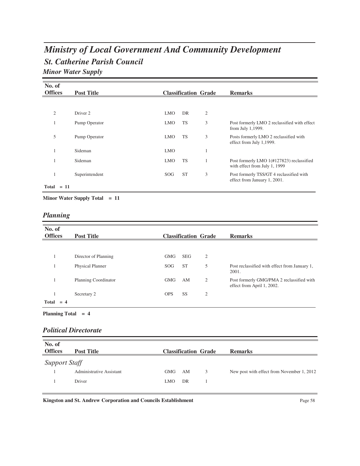## *St. Catherine Parish Council Ministry of Local Government And Community Development Minor Water Supply*

| No. of<br><b>Offices</b> |        | <b>Post Title</b> |            | <b>Classification Grade</b> |                | <b>Remarks</b>                                                             |
|--------------------------|--------|-------------------|------------|-----------------------------|----------------|----------------------------------------------------------------------------|
|                          |        |                   |            |                             |                |                                                                            |
| $\overline{c}$           |        | Driver 2          | <b>LMO</b> | DR                          | $\mathfrak{2}$ |                                                                            |
| 1                        |        | Pump Operator     | <b>LMO</b> | <b>TS</b>                   | 3              | Post formerly LMO 2 reclassified with effect<br>from July 1,1999.          |
| 5                        |        | Pump Operator     | <b>LMO</b> | <b>TS</b>                   | 3              | Posts formerly LMO 2 reclassified with<br>effect from July 1,1999.         |
|                          |        | Sideman           | <b>LMO</b> |                             |                |                                                                            |
|                          |        | Sideman           | <b>LMO</b> | <b>TS</b>                   |                | Post formerly LMO 1(#127823) reclassified<br>with effect from July 1, 1999 |
|                          |        | Superintendent    | SOG        | <b>ST</b>                   | 3              | Post formerly TSS/GT 4 reclassified with<br>effect from January 1, 2001.   |
| Total                    | $= 11$ |                   |            |                             |                |                                                                            |

**Minor Water Supply Total = 11**

## *Planning*

| No. of<br><b>Offices</b> | <b>Post Title</b>       |            |            | <b>Classification Grade</b> | <b>Remarks</b>                                                          |
|--------------------------|-------------------------|------------|------------|-----------------------------|-------------------------------------------------------------------------|
|                          |                         |            |            |                             |                                                                         |
|                          | Director of Planning    | <b>GMG</b> | <b>SEG</b> | 2                           |                                                                         |
|                          | <b>Physical Planner</b> | SOG        | <b>ST</b>  | 5                           | Post reclassified with effect from January 1,<br>2001.                  |
|                          | Planning Coordinator    | <b>GMG</b> | AM         | 2                           | Post formerly GMG/PMA 2 reclassified with<br>effect from April 1, 2002. |
|                          | Secretary 2             | <b>OPS</b> | SS         | $\overline{2}$              |                                                                         |
| Total                    |                         |            |            |                             |                                                                         |

**Planning Total = 4**

#### *Political Directorate*

| No. of<br><b>Offices</b> | <b>Post Title</b>        |     |    | <b>Classification Grade</b> | <b>Remarks</b>                             |
|--------------------------|--------------------------|-----|----|-----------------------------|--------------------------------------------|
| Support Staff            |                          |     |    |                             |                                            |
|                          | Administrative Assistant | GMG | AM | 3                           | New post with effect from November 1, 2012 |
|                          | Driver                   | LMO | DR |                             |                                            |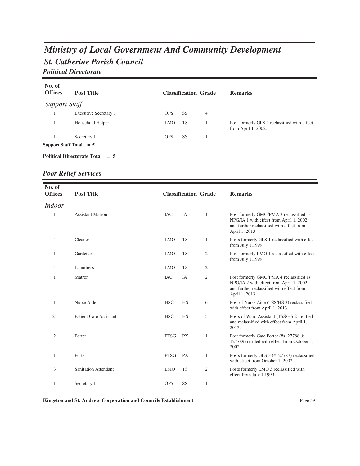## *St. Catherine Parish Council Ministry of Local Government And Community Development Political Directorate*

| No. of<br><b>Offices</b>  | <b>Post Title</b>     |            |           | <b>Classification Grade</b> | <b>Remarks</b>                                                         |
|---------------------------|-----------------------|------------|-----------|-----------------------------|------------------------------------------------------------------------|
| Support Staff             |                       |            |           |                             |                                                                        |
|                           | Executive Secretary 1 | <b>OPS</b> | SS.       | 4                           |                                                                        |
|                           | Household Helper      | <b>LMO</b> | <b>TS</b> |                             | Post formerly GLS 1 reclassified with effect<br>from April $1, 2002$ . |
|                           | Secretary 1           | <b>OPS</b> | SS.       |                             |                                                                        |
| Support Staff Total $= 5$ |                       |            |           |                             |                                                                        |

#### **Political Directorate Total = 5**

## *Poor Relief Services*

| No. of<br><b>Offices</b> | <b>Post Title</b>             |             | <b>Classification Grade</b> |                | <b>Remarks</b>                                                                                                                                    |
|--------------------------|-------------------------------|-------------|-----------------------------|----------------|---------------------------------------------------------------------------------------------------------------------------------------------------|
| <i>Indoor</i>            |                               |             |                             |                |                                                                                                                                                   |
| $\mathbf{1}$             | <b>Assistant Matron</b>       | <b>IAC</b>  | IA                          | 1              | Post formerly GMG/PMA 3 reclassified as<br>NPG/IA 1 with effect from April 1, 2002<br>and further reclassified with effect from<br>April 1, 2013  |
| 4                        | Cleaner                       | <b>LMO</b>  | <b>TS</b>                   | 1              | Posts formerly GLS 1 reclassified with effect<br>from July 1,1999.                                                                                |
| 1                        | Gardener                      | <b>LMO</b>  | <b>TS</b>                   | $\mathfrak{2}$ | Post formerly LMO 1 reclassified with effect<br>from July 1,1999.                                                                                 |
| 4                        | Laundress                     | <b>LMO</b>  | <b>TS</b>                   | $\mathfrak{2}$ |                                                                                                                                                   |
| 1                        | Matron                        | <b>IAC</b>  | IA                          | 2              | Post formerly GMG/PMA 4 reclassified as<br>NPG/IA 2 with effect from April 1, 2002<br>and further reclassified with effect from<br>April 1, 2013. |
| 1                        | Nurse Aide                    | <b>HSC</b>  | <b>HS</b>                   | 6              | Post of Nurse Aide (TSS/HS 3) reclassified<br>with effect from April 1, 2013.                                                                     |
| 24                       | <b>Patient Care Assistant</b> | <b>HSC</b>  | HS                          | 5              | Posts of Ward Assistant (TSS/HS 2) retitled<br>and reclassified with effect from April 1,<br>2013.                                                |
| $\overline{2}$           | Porter                        | <b>PTSG</b> | <b>PX</b>                   | $\mathbf{1}$   | Post formerly Gate Porter (#s127788 &<br>127789) retitled with effect from October 1,<br>2002.                                                    |
| 1                        | Porter                        | <b>PTSG</b> | <b>PX</b>                   | $\mathbf{1}$   | Posts formerly GLS 3 (#127787) reclassified<br>with effect from October 1, 2002.                                                                  |
| 3                        | <b>Sanitation Attendant</b>   | <b>LMO</b>  | <b>TS</b>                   | $\mathfrak{2}$ | Posts formerly LMO 3 reclassified with<br>effect from July 1,1999.                                                                                |
| 1                        | Secretary 1                   | <b>OPS</b>  | SS                          | 1              |                                                                                                                                                   |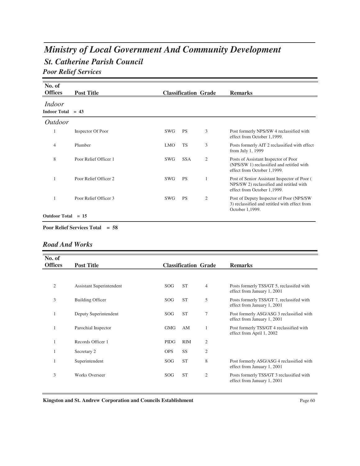# *St. Catherine Parish Council Ministry of Local Government And Community Development*

*Poor Relief Services*

| No. of<br><b>Offices</b>      | <b>Post Title</b>     |            | <b>Classification Grade</b> |                | <b>Remarks</b>                                                                                                          |
|-------------------------------|-----------------------|------------|-----------------------------|----------------|-------------------------------------------------------------------------------------------------------------------------|
| Indoor<br>Indoor Total $= 43$ |                       |            |                             |                |                                                                                                                         |
| <i>Outdoor</i>                |                       |            |                             |                |                                                                                                                         |
|                               | Inspector Of Poor     | SWG        | <b>PS</b>                   | 3              | Post formerly NPS/SW 4 reclassified with<br>effect from October 1,1999.                                                 |
| 4                             | Plumber               | <b>LMO</b> | <b>TS</b>                   | 3              | Posts formerly AIT 2 reclassified with effect<br>from July 1, 1999                                                      |
| 8                             | Poor Relief Officer 1 | SWG        | <b>SSA</b>                  | $\overline{2}$ | Posts of Assistant Inspector of Poor<br>(NPS/SW 1) reclassified and retitled with<br>effect from October 1,1999.        |
|                               | Poor Relief Officer 2 | <b>SWG</b> | <b>PS</b>                   | $\overline{1}$ | Post of Senior Assistant Inspector of Poor (<br>NPS/SW 2) reclassified and retitled with<br>effect from October 1,1999. |
|                               | Poor Relief Officer 3 | SWG        | <b>PS</b>                   | $\overline{2}$ | Post of Deputy Inspector of Poor (NPS/SW)<br>3) reclassified and retitled with effect from<br>October 1,1999.           |
| <b>Outdoor Total</b>          | $= 15$                |            |                             |                |                                                                                                                         |

**Poor Relief Services Total = 58**

### *Road And Works*

| No. of<br><b>Offices</b> | <b>Post Title</b>        |             | <b>Classification Grade</b> |                | <b>Remarks</b>                                                           |
|--------------------------|--------------------------|-------------|-----------------------------|----------------|--------------------------------------------------------------------------|
|                          |                          |             |                             |                |                                                                          |
| 2                        | Assistant Superintendent | SOG         | <b>ST</b>                   | 4              | Posts formerly TSS/GT 5, reclassifed with<br>effect from January 1, 2001 |
| 3                        | <b>Building Officer</b>  | SOG         | <b>ST</b>                   | 5              | Posts formerly TSS/GT 7, reclassifed with<br>effect from January 1, 2001 |
| 1                        | Deputy Superintendent    | SOG         | <b>ST</b>                   | $\overline{7}$ | Post formerly ASG/ASG 3 reclassified with<br>effect from January 1, 2001 |
|                          | Parochial Inspector      | <b>GMG</b>  | AM                          | 1              | Post formerly TSS/GT 4 reclassified with<br>effect from April 1, 2002    |
|                          | Records Officer 1        | <b>PIDG</b> | <b>RIM</b>                  | $\overline{2}$ |                                                                          |
|                          | Secretary 2              | <b>OPS</b>  | SS                          | $\overline{2}$ |                                                                          |
|                          | Superintendent           | SOG         | <b>ST</b>                   | 8              | Post formerly ASG/ASG 4 reclassified with<br>effect from January 1, 2001 |
| 3                        | <b>Works Overseer</b>    | SOG         | <b>ST</b>                   | $\mathfrak{2}$ | Posts formerly TSS/GT 3 reclassified with<br>effect from January 1, 2001 |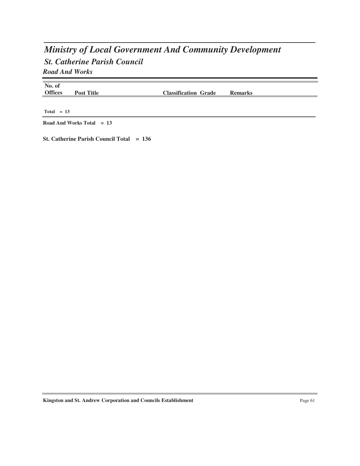## *St. Catherine Parish Council Ministry of Local Government And Community Development Road And Works*

| No. of<br><b>Offices</b> | <b>Post Title</b> | <b>Classification Grade</b> | <b>Remarks</b> |  |
|--------------------------|-------------------|-----------------------------|----------------|--|
| $Total = 13$             |                   |                             |                |  |

**Road And Works Total = 13**

**St. Catherine Parish Council Total = 136**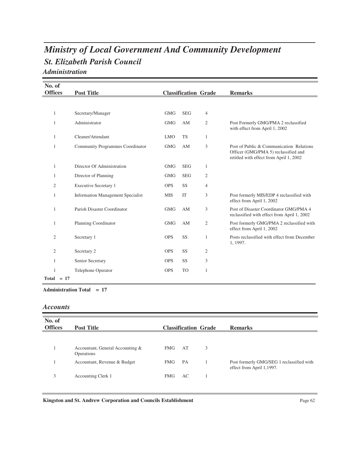## *St. Elizabeth Parish Council Ministry of Local Government And Community Development Administration*

| No. of         |                                          |            |                             |                |                                                                                                                             |
|----------------|------------------------------------------|------------|-----------------------------|----------------|-----------------------------------------------------------------------------------------------------------------------------|
| <b>Offices</b> | <b>Post Title</b>                        |            | <b>Classification Grade</b> |                | <b>Remarks</b>                                                                                                              |
|                |                                          |            |                             |                |                                                                                                                             |
| 1              | Secretary/Manager                        | <b>GMG</b> | <b>SEG</b>                  | 4              |                                                                                                                             |
| 1              | Administrator                            | <b>GMG</b> | AM                          | 2              | Post Formerly GMG/PMA 2 reclassified<br>with effect from April 1, 2002                                                      |
| 1              | Cleaner/Attendant                        | <b>LMO</b> | <b>TS</b>                   | 1              |                                                                                                                             |
| 1              | Community Programmes Coordinator         | <b>GMG</b> | AM                          | 3              | Post of Public & Communication Relations<br>Officer (GMG/PMA 5) reclassified and<br>retitled with effect from April 1, 2002 |
| 1              | Director Of Administration               | <b>GMG</b> | <b>SEG</b>                  | 1              |                                                                                                                             |
| -1             | Director of Planning                     | <b>GMG</b> | <b>SEG</b>                  | 2              |                                                                                                                             |
| $\overline{2}$ | <b>Executive Secretary 1</b>             | <b>OPS</b> | SS                          | 4              |                                                                                                                             |
| 1              | <b>Information Management Specialist</b> | <b>MIS</b> | IT                          | 3              | Post formerly MIS/EDP 4 reclassified with<br>effect from April 1, 2002                                                      |
| -1             | Parish Disaster Coordinator              | <b>GMG</b> | AM                          | 3              | Post of Disaster Coordinator GMG/PMA 4<br>reclassified with effect from April 1, 2002                                       |
| $\mathbf{1}$   | Planning Coordinator                     | <b>GMG</b> | AM                          | 2              | Post formerly GMG/PMA 2 reclassified with<br>effect from April 1, 2002                                                      |
| $\mathfrak{2}$ | Secretary 1                              | <b>OPS</b> | SS                          | 1              | Posts reclassified with effect from December<br>1, 1997.                                                                    |
| 2              | Secretary 2                              | <b>OPS</b> | SS                          | $\overline{2}$ |                                                                                                                             |
| 1              | Senior Secretary                         | <b>OPS</b> | SS                          | 3              |                                                                                                                             |
| 1              | Telephone Operator                       | <b>OPS</b> | <b>TO</b>                   | 1              |                                                                                                                             |
| $Total = 17$   |                                          |            |                             |                |                                                                                                                             |

**Administration Total = 17**

#### *Accounts*

| No. of<br><b>Offices</b> | <b>Post Title</b>                              |            | <b>Classification Grade</b> |   | <b>Remarks</b>                                                         |
|--------------------------|------------------------------------------------|------------|-----------------------------|---|------------------------------------------------------------------------|
|                          | Accountant, General Accounting &<br>Operations | <b>FMG</b> | AT                          | 3 |                                                                        |
|                          | Accountant, Revenue & Budget                   | <b>FMG</b> | PA                          |   | Post formerly GMG/SEG 1 reclassified with<br>effect from April 1,1997. |
| 3                        | <b>Accounting Clerk 1</b>                      | FMG        | AC                          |   |                                                                        |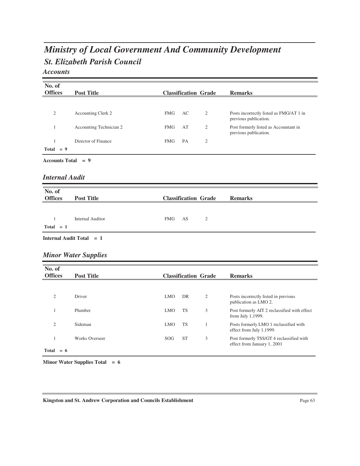# *St. Elizabeth Parish Council Ministry of Local Government And Community Development*

*Accounts*

| No. of<br><b>Offices</b>    | <b>Post Title</b>           |            |           | <b>Classification Grade</b> | <b>Remarks</b>                                                          |
|-----------------------------|-----------------------------|------------|-----------|-----------------------------|-------------------------------------------------------------------------|
|                             |                             |            |           |                             |                                                                         |
| $\overline{2}$              | Accounting Clerk 2          | <b>FMG</b> | AC        | $\mathfrak{2}$              | Posts incorrectly listed as FMG/AT 1 in<br>previous publication.        |
| $\mathbf{1}$                | Accounting Technician 2     | <b>FMG</b> | AT        | $\mathfrak{2}$              | Post formerly listed as Accountant in<br>previous publication.          |
| 1<br>$Total = 9$            | Director of Finance         | <b>FMG</b> | PA        | $\overline{2}$              |                                                                         |
| Accounts Total = $9$        |                             |            |           |                             |                                                                         |
| <b>Internal Audit</b>       |                             |            |           |                             |                                                                         |
| No. of<br><b>Offices</b>    | <b>Post Title</b>           |            |           | <b>Classification Grade</b> | <b>Remarks</b>                                                          |
|                             |                             |            |           |                             |                                                                         |
| $\mathbf{1}$<br>Total $= 1$ | <b>Internal Auditor</b>     | <b>FMG</b> | AS        | $\mathfrak{2}$              |                                                                         |
|                             | Internal Audit Total = 1    |            |           |                             |                                                                         |
|                             | <b>Minor Water Supplies</b> |            |           |                             |                                                                         |
| No. of<br><b>Offices</b>    | <b>Post Title</b>           |            |           | <b>Classification Grade</b> | <b>Remarks</b>                                                          |
|                             |                             |            |           |                             |                                                                         |
| $\mathfrak{2}$              | Driver                      | <b>LMO</b> | DR        | $\mathfrak{2}$              | Posts incorrectly listed in previous<br>publication as LMO 2.           |
| $\mathbf{1}$                | Plumber                     | <b>LMO</b> | TS        | 3                           | Post formerly AIT 2 reclassified with effect<br>from July 1,1999.       |
| $\overline{2}$              | Sideman                     | <b>LMO</b> | <b>TS</b> | $\mathbf{1}$                | Posts formerly LMO 1 reclassified with<br>effect from July 1,1999.      |
| $\mathbf{1}$                | <b>Works Overseer</b>       | SOG        | <b>ST</b> | 3                           | Post formerly TSS/GT 4 reclassified with<br>effect from January 1, 2001 |
| Total $= 6$                 |                             |            |           |                             |                                                                         |

**Minor Water Supplies Total = 6**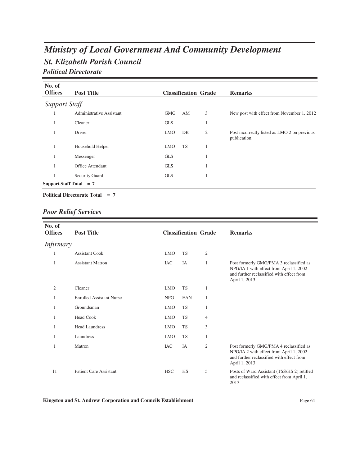## *St. Elizabeth Parish Council Ministry of Local Government And Community Development Political Directorate*

| No. of                    |                          |            |                             |   |                                                              |
|---------------------------|--------------------------|------------|-----------------------------|---|--------------------------------------------------------------|
| <b>Offices</b>            | <b>Post Title</b>        |            | <b>Classification Grade</b> |   | <b>Remarks</b>                                               |
| <b>Support Staff</b>      |                          |            |                             |   |                                                              |
| 1                         | Administrative Assistant | <b>GMG</b> | AM                          | 3 | New post with effect from November 1, 2012                   |
|                           | Cleaner                  | <b>GLS</b> |                             | 1 |                                                              |
|                           | Driver                   | <b>LMO</b> | DR                          | 2 | Post incorrectly listed as LMO 2 on previous<br>publication. |
|                           | Household Helper         | <b>LMO</b> | <b>TS</b>                   | 1 |                                                              |
|                           | Messenger                | <b>GLS</b> |                             | 1 |                                                              |
|                           | Office Attendant         | <b>GLS</b> |                             | 1 |                                                              |
|                           | <b>Security Guard</b>    | <b>GLS</b> |                             | 1 |                                                              |
| Support Staff Total $= 7$ |                          |            |                             |   |                                                              |

#### **Political Directorate Total = 7**

## *Poor Relief Services*

| No. of           |                                 |            |                             |                |                                                                                                                                                  |
|------------------|---------------------------------|------------|-----------------------------|----------------|--------------------------------------------------------------------------------------------------------------------------------------------------|
| <b>Offices</b>   | <b>Post Title</b>               |            | <b>Classification Grade</b> |                | <b>Remarks</b>                                                                                                                                   |
| <i>Infirmary</i> |                                 |            |                             |                |                                                                                                                                                  |
| 1                | <b>Assistant Cook</b>           | <b>LMO</b> | <b>TS</b>                   | $\mathfrak{2}$ |                                                                                                                                                  |
| 1                | <b>Assistant Matron</b>         | <b>IAC</b> | IA                          | 1              | Post formerly GMG/PMA 3 reclassified as<br>NPG/IA 1 with effect from April 1, 2002<br>and further reclassified with effect from<br>April 1, 2013 |
| $\mathfrak{2}$   | Cleaner                         | <b>LMO</b> | <b>TS</b>                   | 1              |                                                                                                                                                  |
| 1                | <b>Enrolled Assistant Nurse</b> | <b>NPG</b> | EAN                         | 1              |                                                                                                                                                  |
| 1                | Groundsman                      | <b>LMO</b> | <b>TS</b>                   | 1              |                                                                                                                                                  |
| 1                | <b>Head Cook</b>                | <b>LMO</b> | <b>TS</b>                   | $\overline{4}$ |                                                                                                                                                  |
| 1                | <b>Head Laundress</b>           | <b>LMO</b> | <b>TS</b>                   | 3              |                                                                                                                                                  |
| 1                | Laundress                       | <b>LMO</b> | <b>TS</b>                   | 1              |                                                                                                                                                  |
| 1                | Matron                          | <b>IAC</b> | IA                          | 2              | Post formerly GMG/PMA 4 reclassified as<br>NPG/IA 2 with effect from April 1, 2002<br>and further reclassified with effect from<br>April 1, 2013 |
| 11               | <b>Patient Care Assistant</b>   | <b>HSC</b> | <b>HS</b>                   | 5              | Posts of Ward Assistant (TSS/HS 2) retitled<br>and reclassified with effect from April 1,<br>2013                                                |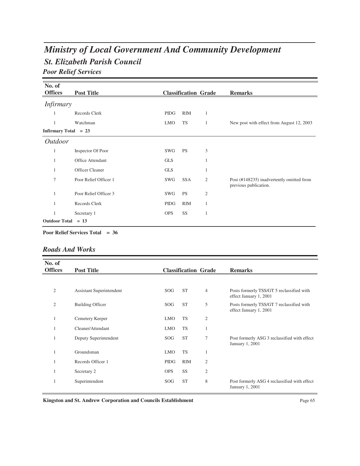# *St. Elizabeth Parish Council Ministry of Local Government And Community Development*

*Poor Relief Services*

| No. of<br><b>Offices</b> | <b>Post Title</b>     |            | <b>Classification Grade</b> |                | <b>Remarks</b>                                                     |
|--------------------------|-----------------------|------------|-----------------------------|----------------|--------------------------------------------------------------------|
|                          |                       |            |                             |                |                                                                    |
| <i>Infirmary</i>         |                       |            |                             |                |                                                                    |
| 1                        | Records Clerk         | PIDG       | RIM                         | 1              |                                                                    |
| 1                        | Watchman              | <b>LMO</b> | <b>TS</b>                   | 1              | New post with effect from August 12, 2003                          |
| Infirmary Total $= 23$   |                       |            |                             |                |                                                                    |
| <i>Outdoor</i>           |                       |            |                             |                |                                                                    |
| 1                        | Inspector Of Poor     | SWG        | <b>PS</b>                   | 3              |                                                                    |
| 1                        | Office Attendant      | <b>GLS</b> |                             | 1              |                                                                    |
| 1                        | Officer Cleaner       | <b>GLS</b> |                             | $\mathbf{1}$   |                                                                    |
| 7                        | Poor Relief Officer 1 | SWG        | <b>SSA</b>                  | $\mathfrak{2}$ | Post (#148235) inadvertently omitted from<br>previous publication. |
|                          | Poor Relief Officer 3 | SWG        | <b>PS</b>                   | $\mathfrak{2}$ |                                                                    |
| 1                        | Records Clerk         | PIDG       | <b>RIM</b>                  | 1              |                                                                    |
| 1                        | Secretary 1           | <b>OPS</b> | SS                          | $\mathbf{1}$   |                                                                    |
| Outdoor Total $= 13$     |                       |            |                             |                |                                                                    |

**Poor Relief Services Total = 36**

#### *Roads And Works*

| No. of<br><b>Offices</b> | <b>Post Title</b>        |                 | <b>Classification Grade</b> |                | <b>Remarks</b>                                                      |
|--------------------------|--------------------------|-----------------|-----------------------------|----------------|---------------------------------------------------------------------|
|                          |                          |                 |                             |                |                                                                     |
| $\overline{2}$           | Assistant Superintendent | SOG <sub></sub> | <b>ST</b>                   | $\overline{4}$ | Posts formerly TSS/GT 5 reclassified with<br>effect January 1, 2001 |
| $\mathfrak{2}$           | <b>Building Officer</b>  | SOG             | <b>ST</b>                   | 5              | Posts formerly TSS/GT 7 reclassified with<br>effect January 1, 2001 |
| 1                        | Cemetery Keeper          | <b>LMO</b>      | <b>TS</b>                   | $\overline{2}$ |                                                                     |
| 1                        | Cleaner/Attendant        | <b>LMO</b>      | TS                          | 1              |                                                                     |
| 1                        | Deputy Superintendent    | SOG <sub></sub> | <b>ST</b>                   | 7              | Post formerly ASG 3 reclassified with effect<br>January 1, 2001     |
| 1                        | Groundsman               | <b>LMO</b>      | <b>TS</b>                   | 1              |                                                                     |
|                          | Records Officer 1        | PIDG            | <b>RIM</b>                  | $\mathfrak{2}$ |                                                                     |
| 1                        | Secretary 2              | <b>OPS</b>      | SS                          | $\mathfrak{2}$ |                                                                     |
|                          | Superintendent           | SOG             | <b>ST</b>                   | 8              | Post formerly ASG 4 reclassified with effect<br>January 1, 2001     |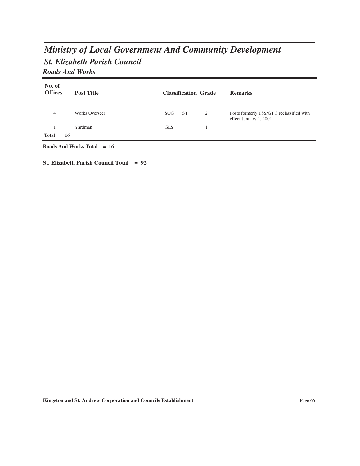# *St. Elizabeth Parish Council Ministry of Local Government And Community Development Roads And Works*

| No. of         |                       |                             |   |                                                                     |
|----------------|-----------------------|-----------------------------|---|---------------------------------------------------------------------|
| <b>Offices</b> | <b>Post Title</b>     | <b>Classification Grade</b> |   | <b>Remarks</b>                                                      |
|                |                       |                             |   |                                                                     |
| $\overline{4}$ | <b>Works Overseer</b> | <b>ST</b><br>SOG.           | 2 | Posts formerly TSS/GT 3 reclassified with<br>effect January 1, 2001 |
|                | Yardman               | <b>GLS</b>                  |   |                                                                     |
| Total $= 16$   |                       |                             |   |                                                                     |

**Roads And Works Total = 16**

**St. Elizabeth Parish Council Total = 92**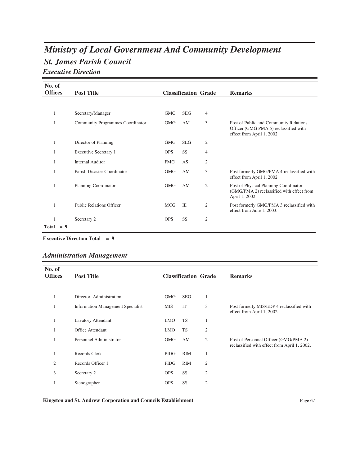# *St. James Parish Council Ministry of Local Government And Community Development*

*Executive Direction*

| No. of         |       |                                  |            |                             |                |                                                                                                              |
|----------------|-------|----------------------------------|------------|-----------------------------|----------------|--------------------------------------------------------------------------------------------------------------|
| <b>Offices</b> |       | <b>Post Title</b>                |            | <b>Classification Grade</b> |                | <b>Remarks</b>                                                                                               |
|                |       |                                  |            |                             |                |                                                                                                              |
| 1              |       | Secretary/Manager                | <b>GMG</b> | <b>SEG</b>                  | 4              |                                                                                                              |
| 1              |       | Community Programmes Coordinator | <b>GMG</b> | AM                          | 3              | Post of Public and Community Relations<br>Officer (GMG PMA 5) reclassified with<br>effect from April 1, 2002 |
| 1              |       | Director of Planning             | <b>GMG</b> | <b>SEG</b>                  | $\mathfrak{2}$ |                                                                                                              |
| 1              |       | Executive Secretary 1            | <b>OPS</b> | SS                          | 4              |                                                                                                              |
| 1              |       | <b>Internal Auditor</b>          | <b>FMG</b> | AS                          | $\mathfrak{2}$ |                                                                                                              |
|                |       | Parish Disaster Coordinator      | GMG        | AM                          | 3              | Post formerly GMG/PMA 4 reclassified with<br>effect from April 1, 2002                                       |
| 1              |       | Planning Coordinator             | <b>GMG</b> | AM                          | $\overline{2}$ | Post of Physical Planning Coordinator<br>(GMG/PMA 2) reclassified with effect from<br>April 1, 2002          |
|                |       | <b>Public Relations Officer</b>  | <b>MCG</b> | IE                          | 2              | Post formerly GMG/PMA 3 reclassified with<br>effect from June 1, 2003.                                       |
| 1              |       | Secretary 2                      | <b>OPS</b> | SS                          | $\overline{2}$ |                                                                                                              |
| Total          | $= 9$ |                                  |            |                             |                |                                                                                                              |

**Executive Direction Total = 9**

### *Administration Management*

| No. of<br><b>Offices</b> | <b>Post Title</b>                        |             |            | <b>Classification Grade</b> | <b>Remarks</b>                                                                        |
|--------------------------|------------------------------------------|-------------|------------|-----------------------------|---------------------------------------------------------------------------------------|
|                          |                                          |             |            |                             |                                                                                       |
|                          | Director, Administration                 | GMG         | <b>SEG</b> | 1                           |                                                                                       |
|                          | <b>Information Management Specialist</b> | <b>MIS</b>  | IT         | 3                           | Post formerly MIS/EDP 4 reclassified with<br>effect from April 1, 2002                |
| 1                        | <b>Lavatory Attendant</b>                | <b>LMO</b>  | <b>TS</b>  | 1                           |                                                                                       |
|                          | <b>Office Attendant</b>                  | <b>LMO</b>  | <b>TS</b>  | $\overline{2}$              |                                                                                       |
| 1                        | Personnel Administrator                  | GMG         | AM         | 2                           | Post of Personnel Officer (GMG/PMA 2)<br>reclassified with effect from April 1, 2002. |
|                          | Records Clerk                            | PIDG        | <b>RIM</b> | 1                           |                                                                                       |
| $\overline{2}$           | Records Officer 1                        | <b>PIDG</b> | <b>RIM</b> | 2                           |                                                                                       |
| 3                        | Secretary 2                              | <b>OPS</b>  | SS         | 2                           |                                                                                       |
|                          | Stenographer                             | <b>OPS</b>  | SS         | 2                           |                                                                                       |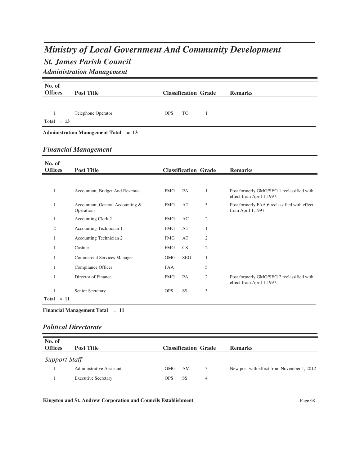# *St. James Parish Council Ministry of Local Government And Community Development*

*Administration Management*

| No. of<br><b>Offices</b> | <b>Post Title</b>                              |            |            | <b>Classification Grade</b> | <b>Remarks</b>                                                         |
|--------------------------|------------------------------------------------|------------|------------|-----------------------------|------------------------------------------------------------------------|
|                          |                                                |            |            |                             |                                                                        |
| 1                        | Telephone Operator                             | <b>OPS</b> | <b>TO</b>  | 1                           |                                                                        |
| $Total = 13$             |                                                |            |            |                             |                                                                        |
|                          | <b>Administration Management Total = 13</b>    |            |            |                             |                                                                        |
|                          | <b>Financial Management</b>                    |            |            |                             |                                                                        |
|                          |                                                |            |            |                             |                                                                        |
| No. of<br><b>Offices</b> | <b>Post Title</b>                              |            |            | <b>Classification Grade</b> | <b>Remarks</b>                                                         |
|                          |                                                |            |            |                             |                                                                        |
| $\mathbf{1}$             | Accountant, Budget And Revenue                 | <b>FMG</b> | PA         | 1                           | Post formerly GMG/SEG 1 reclassified with<br>effect from April 1,1997. |
| $\mathbf{1}$             | Accountant, General Accounting &<br>Operations | <b>FMG</b> | AT         | 3                           | Post formerly FAA 6 reclassified with effect<br>from April 1,1997.     |
| $\mathbf{1}$             | Accounting Clerk 2                             | <b>FMG</b> | AC         | 2                           |                                                                        |
| $\overline{2}$           | Accounting Technician 1                        | <b>FMG</b> | AT         | 1                           |                                                                        |
| 1                        | Accounting Technician 2                        | <b>FMG</b> | AT         | 2                           |                                                                        |
| 1                        | Cashier                                        | <b>FMG</b> | <b>CS</b>  | $\overline{c}$              |                                                                        |
| 1                        | <b>Commercial Services Manager</b>             | <b>GMG</b> | <b>SEG</b> | $\mathbf{1}$                |                                                                        |
| 1                        | Compliance Officer                             | <b>FAA</b> |            | 5                           |                                                                        |
| 1                        | Director of Finance                            | <b>FMG</b> | PA         | $\overline{c}$              | Post formerly GMG/SEG 2 reclassified with<br>effect from April 1,1997. |
| 1<br>$Total = 11$        | Senior Secretary                               | <b>OPS</b> | SS         | 3                           |                                                                        |

**Financial Management Total = 11**

### *Political Directorate*

| No. of<br><b>Offices</b> | <b>Post Title</b>               |            | <b>Classification Grade</b> |   | <b>Remarks</b>                             |
|--------------------------|---------------------------------|------------|-----------------------------|---|--------------------------------------------|
| <b>Support Staff</b>     |                                 |            |                             |   |                                            |
|                          | <b>Administrative Assistant</b> | <b>GMG</b> | AΜ                          | 3 | New post with effect from November 1, 2012 |
|                          | <b>Executive Secretary</b>      | <b>OPS</b> | <b>SS</b>                   | 4 |                                            |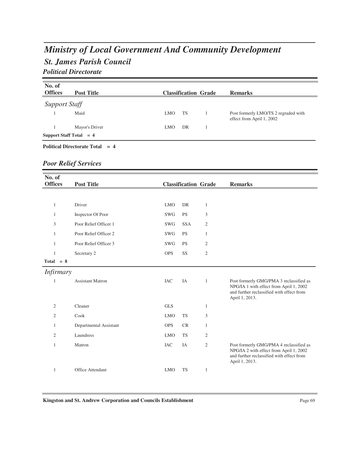# *St. James Parish Council Ministry of Local Government And Community Development*

### *Political Directorate*

| No. of<br><b>Offices</b> | <b>Post Title</b>         |            |    | <b>Classification Grade</b> | <b>Remarks</b>                                                    |
|--------------------------|---------------------------|------------|----|-----------------------------|-------------------------------------------------------------------|
| <b>Support Staff</b>     |                           |            |    |                             |                                                                   |
|                          | Maid                      | <b>LMO</b> | TS |                             | Post formerly LMO/TS 2 regraded with<br>effect from April 1, 2002 |
|                          | Mayor's Driver            | <b>LMO</b> | DR |                             |                                                                   |
|                          | Support Staff Total $= 4$ |            |    |                             |                                                                   |

### **Political Directorate Total = 4**

### *Poor Relief Services*

| No. of           |                         |            |                             |                |                                                                                                                                                   |
|------------------|-------------------------|------------|-----------------------------|----------------|---------------------------------------------------------------------------------------------------------------------------------------------------|
| <b>Offices</b>   | <b>Post Title</b>       |            | <b>Classification Grade</b> |                | <b>Remarks</b>                                                                                                                                    |
|                  |                         |            |                             |                |                                                                                                                                                   |
| $\mathbf{1}$     | Driver                  | <b>LMO</b> | <b>DR</b>                   | $\mathbf{1}$   |                                                                                                                                                   |
| $\mathbf{1}$     | Inspector Of Poor       | SWG        | <b>PS</b>                   | 3              |                                                                                                                                                   |
| 3                | Poor Relief Officer 1   | SWG        | <b>SSA</b>                  | $\mathfrak{2}$ |                                                                                                                                                   |
| $\mathbf{1}$     | Poor Relief Officer 2   | SWG        | <b>PS</b>                   | $\mathbf{1}$   |                                                                                                                                                   |
| $\mathbf{1}$     | Poor Relief Officer 3   | <b>SWG</b> | <b>PS</b>                   | $\overline{2}$ |                                                                                                                                                   |
| $\mathbf{1}$     | Secretary 2             | <b>OPS</b> | SS                          | $\mathfrak{2}$ |                                                                                                                                                   |
| $Total = 8$      |                         |            |                             |                |                                                                                                                                                   |
| <i>Infirmary</i> |                         |            |                             |                |                                                                                                                                                   |
| 1                | <b>Assistant Matron</b> | <b>IAC</b> | IA                          | $\mathbf{1}$   | Post formerly GMG/PMA 3 reclassified as<br>NPG/IA 1 with effect from April 1, 2002<br>and further reclassified with effect from<br>April 1, 2013. |
| $\overline{2}$   | Cleaner                 | <b>GLS</b> |                             | $\mathbf{1}$   |                                                                                                                                                   |
| $\overline{2}$   | Cook                    | <b>LMO</b> | <b>TS</b>                   | 3              |                                                                                                                                                   |
| $\mathbf{1}$     | Departmental Assistant  | <b>OPS</b> | <b>CR</b>                   | $\mathbf{1}$   |                                                                                                                                                   |
| $\overline{c}$   | Laundress               | <b>LMO</b> | <b>TS</b>                   | $\mathfrak{2}$ |                                                                                                                                                   |
| $\mathbf{1}$     | Matron                  | <b>IAC</b> | IA                          | $\mathfrak{2}$ | Post formerly GMG/PMA 4 reclassified as<br>NPG/IA 2 with effect from April 1, 2002<br>and further reclassified with effect from<br>April 1, 2013. |
| 1                | Office Attendant        | <b>LMO</b> | <b>TS</b>                   | $\mathbf{1}$   |                                                                                                                                                   |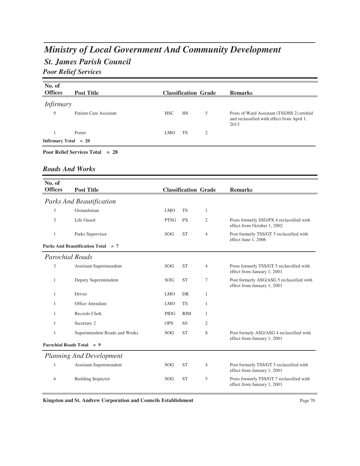# *Ministry of Local Government And Community Development*

## *St. James Parish Council*

*Poor Relief Services*

| No. of<br><b>Offices</b> | <b>Post Title</b>                        |            |           | <b>Classification Grade</b> | <b>Remarks</b>                                                                                    |  |  |  |
|--------------------------|------------------------------------------|------------|-----------|-----------------------------|---------------------------------------------------------------------------------------------------|--|--|--|
| <i>Infirmary</i>         |                                          |            |           |                             |                                                                                                   |  |  |  |
| 9                        | <b>Patient Care Assistant</b>            | <b>HSC</b> | <b>HS</b> | 5                           | Posts of Ward Assistant (TSS/HS 2) retitled<br>and reclassified with effect from April 1,<br>2013 |  |  |  |
|                          | Porter                                   | <b>LMO</b> | TS        | $\overline{2}$              |                                                                                                   |  |  |  |
|                          | Infirmary Total $= 20$                   |            |           |                             |                                                                                                   |  |  |  |
|                          | <b>Poor Relief Services Total</b> $= 28$ |            |           |                             |                                                                                                   |  |  |  |

#### *Roads And Works*

| No. of                 |                                    |             |            |                             |                                                                          |
|------------------------|------------------------------------|-------------|------------|-----------------------------|--------------------------------------------------------------------------|
| <b>Offices</b>         | <b>Post Title</b>                  |             |            | <b>Classification Grade</b> | <b>Remarks</b>                                                           |
|                        | <b>Parks And Beautification</b>    |             |            |                             |                                                                          |
| 3                      | Groundsman                         | <b>LMO</b>  | <b>TS</b>  | 1                           |                                                                          |
| 3                      | Life Guard                         | <b>PTSG</b> | <b>PX</b>  | 2                           | Posts formerly SSG/PX 4 reclassified with<br>effect from October 1, 2002 |
| 1                      | Parks Supervisor                   | <b>SOG</b>  | <b>ST</b>  | $\overline{4}$              | Post formerly TSS/GT 5 reclassified with<br>effect June 1, 2006          |
|                        | Parks And Beautification Total = 7 |             |            |                             |                                                                          |
| <b>Parochial Roads</b> |                                    |             |            |                             |                                                                          |
| 3                      | Assistant Superintendent           | SOG         | <b>ST</b>  | 4                           | Posts formerly TSS/GT 5 reclassified with<br>effect from January 1, 2001 |
| 1                      | Deputy Superintendent              | <b>SOG</b>  | <b>ST</b>  | 7                           | Post formerly ASG/ASG 5 reclassified with<br>effect from January 1, 2001 |
| 1                      | Driver                             | <b>LMO</b>  | DR         | 1                           |                                                                          |
| 1                      | Office Attendant                   | <b>LMO</b>  | <b>TS</b>  | 1                           |                                                                          |
| 1                      | Records Clerk                      | <b>PIDG</b> | <b>RIM</b> | 1                           |                                                                          |
| 1                      | Secretary 2                        | <b>OPS</b>  | SS         | 2                           |                                                                          |
| 1                      | Superintendent Roads and Works     | <b>SOG</b>  | <b>ST</b>  | 8                           | Post formely ASG/ASG 4 reclassified with<br>effect from January 1, 2001  |
|                        | Parochial Roads Total $= 9$        |             |            |                             |                                                                          |
|                        | <b>Planning And Development</b>    |             |            |                             |                                                                          |
| 1                      | <b>Assistant Superintendent</b>    | SOG         | <b>ST</b>  | 4                           | Post formerly TSS/GT 5 reclassified with<br>effect from January 1, 2001  |
| 4                      | <b>Building Inspector</b>          | SOG         | <b>ST</b>  | 5                           | Posts formerly TSS/GT 7 reclassified with<br>effect from January 1, 2001 |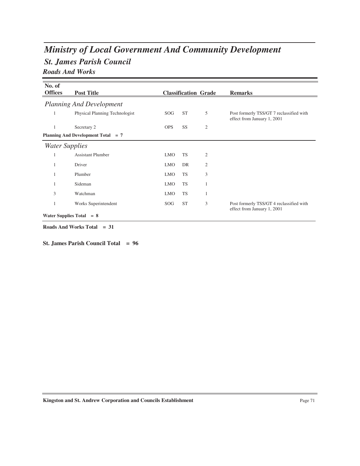# *St. James Parish Council Ministry of Local Government And Community Development Roads And Works*

| No. of                     |                                    |            |           |                             |                                                                         |
|----------------------------|------------------------------------|------------|-----------|-----------------------------|-------------------------------------------------------------------------|
| <b>Offices</b>             | <b>Post Title</b>                  |            |           | <b>Classification Grade</b> | <b>Remarks</b>                                                          |
|                            | <b>Planning And Development</b>    |            |           |                             |                                                                         |
| 1                          | Physical Planning Technologist     | SOG.       | <b>ST</b> | 5                           | Post formerly TSS/GT 7 reclassified with<br>effect from January 1, 2001 |
| 1                          | Secretary 2                        | <b>OPS</b> | SS        | 2                           |                                                                         |
|                            | Planning And Development Total = 7 |            |           |                             |                                                                         |
| <b>Water Supplies</b>      |                                    |            |           |                             |                                                                         |
|                            | <b>Assistant Plumber</b>           | <b>LMO</b> | <b>TS</b> | 2                           |                                                                         |
|                            | Driver                             | <b>LMO</b> | DR        | $\overline{2}$              |                                                                         |
|                            | Plumber                            | <b>LMO</b> | <b>TS</b> | 3                           |                                                                         |
|                            | Sideman                            | <b>LMO</b> | <b>TS</b> | $\mathbf{1}$                |                                                                         |
| 3                          | Watchman                           | <b>LMO</b> | <b>TS</b> | 1                           |                                                                         |
|                            | Works Superintendent               | SOG        | <b>ST</b> | 3                           | Post formerly TSS/GT 4 reclassified with<br>effect from January 1, 2001 |
| Water Supplies Total $= 8$ |                                    |            |           |                             |                                                                         |

**Roads And Works Total = 31**

**St. James Parish Council Total = 96**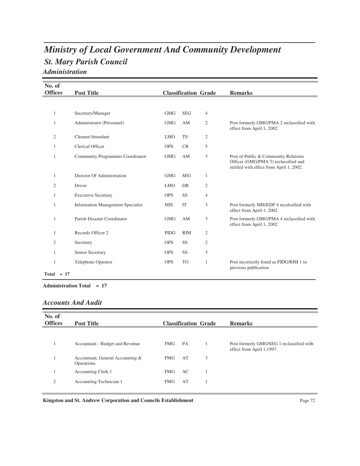# *St. Mary Parish Council Ministry of Local Government And Community Development Administration*

| No. of            |                                          |             |            |                             |                                                                                                                          |
|-------------------|------------------------------------------|-------------|------------|-----------------------------|--------------------------------------------------------------------------------------------------------------------------|
| <b>Offices</b>    | <b>Post Title</b>                        |             |            | <b>Classification Grade</b> | <b>Remarks</b>                                                                                                           |
|                   |                                          |             |            |                             |                                                                                                                          |
| 1                 | Secretary/Manager                        | <b>GMG</b>  | <b>SEG</b> | $\overline{4}$              |                                                                                                                          |
| 1                 | Administrator (Personnel)                | <b>GMG</b>  | AM         | $\mathfrak{2}$              | Post formerly GMG/PMA 2 reclassified with<br>effect from April 1, 2002                                                   |
| $\overline{2}$    | Cleaner/Attendant                        | <b>LMO</b>  | <b>TS</b>  | 2                           |                                                                                                                          |
| 1                 | <b>Clerical Officer</b>                  | <b>OPS</b>  | <b>CR</b>  | 5                           |                                                                                                                          |
| $\mathbf{1}$      | Community Programmes Coordinator         | <b>GMG</b>  | AM         | 3                           | Post of Public & Community Relations<br>Officer (GMG/PMA 5) reclassified and<br>retitled with effect from April 1, 2002. |
| $\mathbf{1}$      | Director Of Administration               | <b>GMG</b>  | <b>SEG</b> | 1                           |                                                                                                                          |
| 2                 | Driver                                   | <b>LMO</b>  | DR         | 2                           |                                                                                                                          |
| $\mathbf{1}$      | <b>Executive Secretary</b>               | <b>OPS</b>  | <b>SS</b>  | $\overline{4}$              |                                                                                                                          |
| 1                 | <b>Information Management Specialist</b> | <b>MIS</b>  | IT         | 3                           | Post formerly MIS/EDP 4 recalssified with<br>effect from April 1, 2002.                                                  |
| 1                 | Parish Disaster Coordinator              | <b>GMG</b>  | AM         | 3                           | Post formerly GMG/PMA 4 reclassified with<br>effect from April 1, 2002                                                   |
| 1                 | Records Officer 2                        | <b>PIDG</b> | <b>RIM</b> | 2                           |                                                                                                                          |
| $\overline{2}$    | Secretary                                | <b>OPS</b>  | SS         | $\overline{c}$              |                                                                                                                          |
| 1                 | Senior Secretary                         | <b>OPS</b>  | SS         | 3                           |                                                                                                                          |
| 1<br>$Total = 17$ | Telephone Operator                       | <b>OPS</b>  | <b>TO</b>  | $\mathbf{1}$                | Post incorrectly listed as PIDG/RIM 1 in<br>previous publication                                                         |

**Administration Total = 17**

### *Accounts And Audit*

| No. of<br><b>Offices</b> | <b>Post Title</b>                              | <b>Classification Grade</b> |   | <b>Remarks</b>                                                         |
|--------------------------|------------------------------------------------|-----------------------------|---|------------------------------------------------------------------------|
|                          |                                                |                             |   |                                                                        |
|                          | Accountant - Budget and Revenue                | <b>FMG</b><br>PA            |   | Post formerly GMG/SEG 1 reclassified with<br>effect from April 1,1997. |
|                          | Accountant, General Accounting &<br>Operations | AT<br><b>FMG</b>            | 3 |                                                                        |
|                          | Accounting Clerk 1                             | <b>FMG</b><br>AC            |   |                                                                        |
| 2                        | Accounting Technician 1                        | AT<br><b>FMG</b>            |   |                                                                        |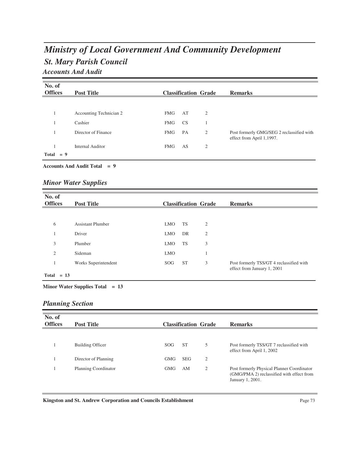## *St. Mary Parish Council Ministry of Local Government And Community Development Accounts And Audit*

| No. of<br><b>Offices</b> |       | <b>Post Title</b>       |            |           | <b>Classification Grade</b> | <b>Remarks</b>                                                         |
|--------------------------|-------|-------------------------|------------|-----------|-----------------------------|------------------------------------------------------------------------|
|                          |       |                         |            |           |                             |                                                                        |
|                          |       | Accounting Technician 2 | <b>FMG</b> | AT        | 2                           |                                                                        |
|                          |       | Cashier                 | <b>FMG</b> | <b>CS</b> |                             |                                                                        |
|                          |       | Director of Finance     | <b>FMG</b> | PA        | 2                           | Post formerly GMG/SEG 2 reclassified with<br>effect from April 1,1997. |
|                          |       | <b>Internal Auditor</b> | <b>FMG</b> | AS        | 2                           |                                                                        |
| <b>Total</b>             | $= 9$ |                         |            |           |                             |                                                                        |

#### **Accounts And Audit Total = 9**

### *Minor Water Supplies*

| No. of<br><b>Offices</b> | <b>Post Title</b>        |            |           | <b>Classification Grade</b> | <b>Remarks</b>                                                          |
|--------------------------|--------------------------|------------|-----------|-----------------------------|-------------------------------------------------------------------------|
|                          |                          |            |           |                             |                                                                         |
| 6                        | <b>Assistant Plumber</b> | <b>LMO</b> | <b>TS</b> | $\overline{2}$              |                                                                         |
|                          | Driver                   | <b>LMO</b> | DR        | $\overline{2}$              |                                                                         |
| 3                        | Plumber                  | <b>LMO</b> | TS        | 3                           |                                                                         |
| $\overline{c}$           | Sideman                  | <b>LMO</b> |           |                             |                                                                         |
|                          | Works Superintendent     | SOG.       | <b>ST</b> | 3                           | Post formerly TSS/GT 4 reclassified with<br>effect from January 1, 2001 |
| $Total = 13$             |                          |            |           |                             |                                                                         |

#### **Minor Water Supplies Total = 13**

### *Planning Section*

| No. of<br><b>Offices</b> | <b>Post Title</b>       |                  |            | <b>Classification Grade</b> | <b>Remarks</b>                                                                                              |
|--------------------------|-------------------------|------------------|------------|-----------------------------|-------------------------------------------------------------------------------------------------------------|
|                          |                         |                  |            |                             |                                                                                                             |
|                          | <b>Building Officer</b> | S <sub>O</sub> G | <b>ST</b>  | 5                           | Post formerly TSS/GT 7 reclassified with<br>effect from April 1, 2002                                       |
|                          | Director of Planning    | <b>GMG</b>       | <b>SEG</b> | 2                           |                                                                                                             |
|                          | Planning Coordinator    | <b>GMG</b>       | AΜ         | 2                           | Post formerly Physical Planner Coordinator<br>(GMG/PMA 2) reclassified with effect from<br>January 1, 2001. |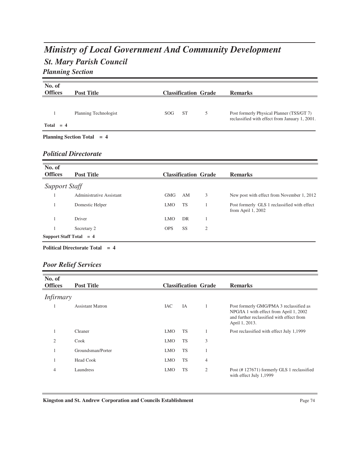# *Ministry of Local Government And Community Development*

# *St. Mary Parish Council*

### *Planning Section*

| No. of<br><b>Offices</b> | <b>Post Title</b>            |     |           | <b>Classification Grade</b> | <b>Remarks</b>                                                                              |
|--------------------------|------------------------------|-----|-----------|-----------------------------|---------------------------------------------------------------------------------------------|
| $Total = 4$              | Planning Technologist        | SOG | <b>ST</b> | 5                           | Post formerly Physical Planner (TSS/GT 7)<br>reclassified with effect from January 1, 2001. |
|                          | Planning Section Total $= 4$ |     |           |                             |                                                                                             |
|                          | <b>Political Directorate</b> |     |           |                             |                                                                                             |

| No. of<br><b>Offices</b> | <b>Post Title</b>         |            |           | <b>Classification Grade</b> | <b>Remarks</b>                                                      |
|--------------------------|---------------------------|------------|-----------|-----------------------------|---------------------------------------------------------------------|
| <b>Support Staff</b>     |                           |            |           |                             |                                                                     |
|                          | Administrative Assistant  | <b>GMG</b> | AM        | 3                           | New post with effect from November 1, 2012                          |
|                          | Domestic Helper           | <b>LMO</b> | TS        |                             | Post formerly GLS 1 reclassified with effect<br>from April $1,2002$ |
|                          | Driver                    | <b>LMO</b> | DR        |                             |                                                                     |
|                          | Secretary 2               | <b>OPS</b> | <b>SS</b> | $\overline{2}$              |                                                                     |
|                          | Support Staff Total $= 4$ |            |           |                             |                                                                     |

#### **Political Directorate Total = 4**

### *Poor Relief Services*

| No. of<br><b>Offices</b> | <b>Post Title</b>       |            | <b>Classification Grade</b> |                | <b>Remarks</b>                                                                                                                                    |
|--------------------------|-------------------------|------------|-----------------------------|----------------|---------------------------------------------------------------------------------------------------------------------------------------------------|
| <i>Infirmary</i>         |                         |            |                             |                |                                                                                                                                                   |
|                          | <b>Assistant Matron</b> | <b>IAC</b> | IA                          | 1              | Post formerly GMG/PMA 3 reclassified as<br>NPG/IA 1 with effect from April 1, 2002<br>and further reclassified with effect from<br>April 1, 2013. |
|                          | Cleaner                 | <b>LMO</b> | <b>TS</b>                   |                | Post reclassified with effect July 1,1999                                                                                                         |
| $\overline{2}$           | Cook                    | <b>LMO</b> | <b>TS</b>                   | 3              |                                                                                                                                                   |
|                          | Groundsman/Porter       | <b>LMO</b> | <b>TS</b>                   |                |                                                                                                                                                   |
|                          | <b>Head Cook</b>        | <b>LMO</b> | <b>TS</b>                   | 4              |                                                                                                                                                   |
| 4                        | Laundress               | <b>LMO</b> | <b>TS</b>                   | $\overline{2}$ | Post (#127671) formerly GLS 1 reclassified<br>with effect July 1,1999                                                                             |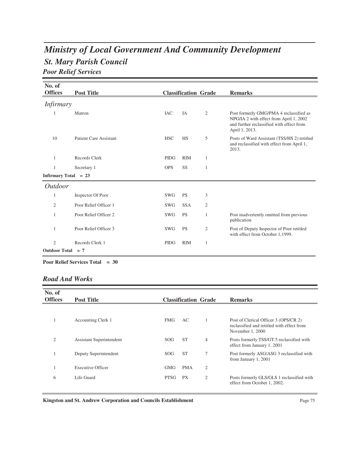# *St. Mary Parish Council Ministry of Local Government And Community Development Poor Relief Services*

| No. of                 |                               |             |                             |                |                                                                                                                                                   |
|------------------------|-------------------------------|-------------|-----------------------------|----------------|---------------------------------------------------------------------------------------------------------------------------------------------------|
| <b>Offices</b>         | <b>Post Title</b>             |             | <b>Classification Grade</b> |                | <b>Remarks</b>                                                                                                                                    |
| <i>Infirmary</i>       |                               |             |                             |                |                                                                                                                                                   |
| 1                      | Matron                        | <b>IAC</b>  | IA                          | $\mathfrak{2}$ | Post formerly GMG/PMA 4 reclassified as<br>NPG/IA 2 with effect from April 1, 2002<br>and further reclassified with effect from<br>April 1, 2013. |
| 10                     | <b>Patient Care Assistant</b> | <b>HSC</b>  | <b>HS</b>                   | 5              | Posts of Ward Assistant (TSS/HS 2) retitled<br>and reclassified with effect from April 1,<br>2013.                                                |
| 1                      | Records Clerk                 | <b>PIDG</b> | <b>RIM</b>                  | $\mathbf{1}$   |                                                                                                                                                   |
| 1                      | Secretary 1                   | <b>OPS</b>  | <b>SS</b>                   | 1              |                                                                                                                                                   |
| <b>Infirmary Total</b> | $= 23$                        |             |                             |                |                                                                                                                                                   |
| <b>Outdoor</b>         |                               |             |                             |                |                                                                                                                                                   |
| 1                      | Inspector Of Poor             | <b>SWG</b>  | <b>PS</b>                   | 3              |                                                                                                                                                   |
| 2                      | Poor Relief Officer 1         | <b>SWG</b>  | <b>SSA</b>                  | 2              |                                                                                                                                                   |
| 1                      | Poor Relief Officer 2         | <b>SWG</b>  | <b>PS</b>                   | 1              | Post inadvertently omitted from previous<br>publication                                                                                           |
| 1                      | Poor Relief Officer 3         | <b>SWG</b>  | <b>PS</b>                   | $\overline{2}$ | Post of Deputy Inspector of Poor retitled<br>with effect from October 1,1999.                                                                     |
| $\overline{2}$         | Records Clerk 1               | <b>PIDG</b> | <b>RIM</b>                  | 1              |                                                                                                                                                   |
| <b>Outdoor Total</b>   | $= 7$                         |             |                             |                |                                                                                                                                                   |

**Poor Relief Services Total = 30**

### *Road And Works*

| No. of<br><b>Offices</b> | <b>Post Title</b>        |                 | <b>Classification Grade</b> |                | <b>Remarks</b>                                                                                          |
|--------------------------|--------------------------|-----------------|-----------------------------|----------------|---------------------------------------------------------------------------------------------------------|
|                          |                          |                 |                             |                |                                                                                                         |
|                          | Accounting Clerk 1       | <b>FMG</b>      | AC                          |                | Post of Clerical Officer 3 (OPS/CR 2)<br>reclassified and retitled with effect from<br>November 1, 2000 |
| $\mathfrak{2}$           | Assistant Superintendent | SOG.            | <b>ST</b>                   | $\overline{4}$ | Posts formerly TSS/GT 5 reclassified with<br>effect from January 1, 2001                                |
|                          | Deputy Superintendent    | SOG <sub></sub> | <b>ST</b>                   | 7              | Post formerly ASG/ASG 3 reclassified with<br>from January 1, 2001                                       |
|                          | <b>Executive Officer</b> | <b>GMG</b>      | <b>PMA</b>                  | $\overline{2}$ |                                                                                                         |
| 6                        | Life Guard               | <b>PTSG</b>     | <b>PX</b>                   | 2              | Posts formerly GLS/GLS 1 reclassified with<br>effect from October 1, 2002.                              |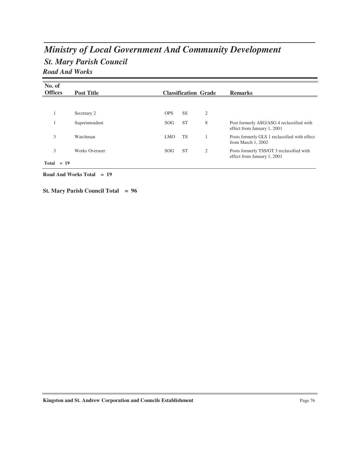# *St. Mary Parish Council Ministry of Local Government And Community Development Road And Works*

| No. of         |                       |            |                             |                |                                                                          |
|----------------|-----------------------|------------|-----------------------------|----------------|--------------------------------------------------------------------------|
| <b>Offices</b> | <b>Post Title</b>     |            | <b>Classification Grade</b> |                | <b>Remarks</b>                                                           |
|                |                       |            |                             |                |                                                                          |
|                | Secretary 2           | <b>OPS</b> | <b>SS</b>                   | $\overline{2}$ |                                                                          |
|                | Superintendent        | SOG        | <b>ST</b>                   | 8              | Post formerly ASG/ASG 4 reclassified with<br>effect from January 1, 2001 |
| 3              | Watchman              | LMO.       | <b>TS</b>                   |                | Posts formerly GLS 1 reclassified with effect<br>from March 1, 2002      |
| 3              | <b>Works Overseer</b> | SOG        | <b>ST</b>                   | $\overline{2}$ | Posts formerly TSS/GT 3 reclassified with<br>effect from January 1, 2001 |
| $Total = 19$   |                       |            |                             |                |                                                                          |

**Road And Works Total = 19**

**St. Mary Parish Council Total = 96**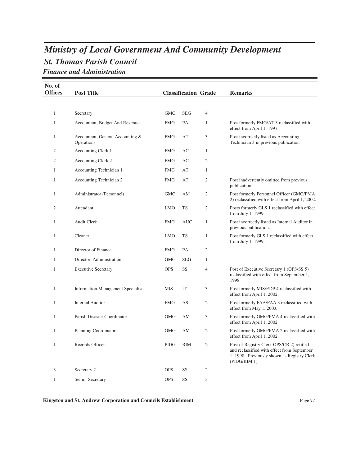# *St. Thomas Parish Council Ministry of Local Government And Community Development Finance and Administration*

| No. of         |                                                |             |                             |                |                                                                                                                                                         |
|----------------|------------------------------------------------|-------------|-----------------------------|----------------|---------------------------------------------------------------------------------------------------------------------------------------------------------|
| <b>Offices</b> | <b>Post Title</b>                              |             | <b>Classification Grade</b> |                | <b>Remarks</b>                                                                                                                                          |
|                |                                                |             |                             |                |                                                                                                                                                         |
| $\mathbf{1}$   | Secretary                                      | <b>GMG</b>  | <b>SEG</b>                  | 4              |                                                                                                                                                         |
| $\mathbf{1}$   | Accountant, Budget And Revenue                 | <b>FMG</b>  | PA                          | $\mathbf{1}$   | Post formerly FMG/AT 3 reclassified with<br>effect from April 1, 1997.                                                                                  |
| 1              | Accountant, General Accounting &<br>Operations | <b>FMG</b>  | AT                          | 3              | Post incorrectly listed as Accounting<br>Technician 3 in previous publication                                                                           |
| 2              | Accounting Clerk 1                             | <b>FMG</b>  | AC                          | $\mathbf{1}$   |                                                                                                                                                         |
| $\overline{c}$ | Accounting Clerk 2                             | <b>FMG</b>  | AC                          | $\mathfrak{2}$ |                                                                                                                                                         |
| 1              | Accounting Technician 1                        | <b>FMG</b>  | AT                          | $\mathbf{1}$   |                                                                                                                                                         |
| $\mathbf{1}$   | Accounting Technician 2                        | <b>FMG</b>  | AT                          | $\mathfrak{2}$ | Post inadvertently omitted from previous<br>publication                                                                                                 |
| 1              | Administrator (Personnel)                      | <b>GMG</b>  | AΜ                          | 2              | Post formerly Personnel Officer (GMG/PMA<br>2) reclassified with effect from April 1, 2002.                                                             |
| $\overline{2}$ | Attendant                                      | <b>LMO</b>  | TS                          | $\mathfrak{2}$ | Posts formerly GLS 1 reclassified with effect<br>from July 1, 1999.                                                                                     |
| 1              | <b>Audit Clerk</b>                             | <b>FMG</b>  | <b>AUC</b>                  | $\mathbf{1}$   | Post incorrectly listed as Internal Auditor in<br>previous publication.                                                                                 |
| 1              | Cleaner                                        | <b>LMO</b>  | <b>TS</b>                   | $\mathbf{1}$   | Post formerly GLS 1 reclassified with effect<br>from July 1, 1999.                                                                                      |
| 1              | Director of Finance                            | <b>FMG</b>  | PA                          | $\overline{2}$ |                                                                                                                                                         |
| $\mathbf{1}$   | Director, Administration                       | <b>GMG</b>  | <b>SEG</b>                  | $\mathbf{1}$   |                                                                                                                                                         |
| 1              | <b>Executive Secretary</b>                     | <b>OPS</b>  | SS                          | $\overline{4}$ | Post of Executive Secretary 1 (OPS/SS 5)<br>reclassified with effect from September 1,<br>1998                                                          |
| 1              | <b>Information Management Specialist</b>       | <b>MIS</b>  | IT                          | 3              | Post formerly MIS/EDP 4 reclassified with<br>effect from April 1, 2002.                                                                                 |
| 1              | <b>Internal Auditor</b>                        | <b>FMG</b>  | AS                          | $\mathfrak{2}$ | Post formerly FAA/FAA 3 reclassified with<br>effect from May 1, 2003.                                                                                   |
| 1              | Parish Disaster Coordinator                    | <b>GMG</b>  | AΜ                          | 3              | Post formerly GMG/PMA 4 reclassified with<br>effect from April 1, 2002                                                                                  |
| 1              | Planning Coordinator                           | <b>GMG</b>  | AM                          | 2              | Post formerly GMG/PMA 2 reclassified with<br>effect from April 1, 2002.                                                                                 |
| $\mathbf{1}$   | Records Officer                                | <b>PIDG</b> | <b>RIM</b>                  | $\mathfrak{2}$ | Post of Registry Clerk OPS/CR 2) retitled<br>and reclassified with effect from September<br>1, 1998. Previously shown as Registry Clerk<br>(PIDG/RIM 1) |
| 3              | Secretary 2                                    | <b>OPS</b>  | SS                          | $\mathfrak{2}$ |                                                                                                                                                         |
| $\mathbf{1}$   | Senior Secretary                               | <b>OPS</b>  | SS                          | 3              |                                                                                                                                                         |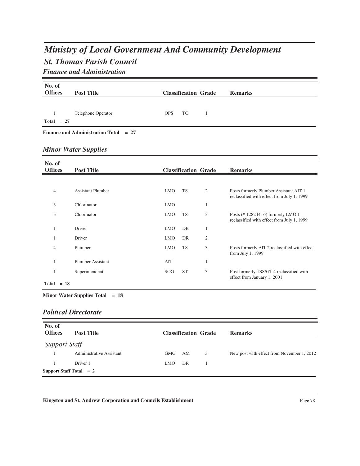# *St. Thomas Parish Council Ministry of Local Government And Community Development Finance and Administration*

| No. of         |                                       |            |           |                             |                                                                         |
|----------------|---------------------------------------|------------|-----------|-----------------------------|-------------------------------------------------------------------------|
| <b>Offices</b> | <b>Post Title</b>                     |            |           | <b>Classification Grade</b> | <b>Remarks</b>                                                          |
|                |                                       |            |           |                             |                                                                         |
| 1              | Telephone Operator                    | <b>OPS</b> | <b>TO</b> | $\mathbf{1}$                |                                                                         |
| Total $= 27$   |                                       |            |           |                             |                                                                         |
|                |                                       |            |           |                             |                                                                         |
|                | Finance and Administration Total = 27 |            |           |                             |                                                                         |
|                |                                       |            |           |                             |                                                                         |
|                | <b>Minor Water Supplies</b>           |            |           |                             |                                                                         |
|                |                                       |            |           |                             |                                                                         |
| No. of         |                                       |            |           |                             |                                                                         |
| <b>Offices</b> | <b>Post Title</b>                     |            |           | <b>Classification Grade</b> | <b>Remarks</b>                                                          |
|                |                                       |            |           |                             |                                                                         |
| $\overline{4}$ | <b>Assistant Plumber</b>              | <b>LMO</b> | <b>TS</b> | $\mathfrak{2}$              | Posts formerly Plumber Assistant AIT 1                                  |
|                |                                       |            |           |                             | reclassified with effect from July 1, 1999                              |
| 3              | Chlorinator                           | <b>LMO</b> |           | $\mathbf{1}$                |                                                                         |
| 3              | Chlorinator                           | <b>LMO</b> | <b>TS</b> | 3                           | Posts (#128244 -6) formerly LMO 1                                       |
|                |                                       |            |           |                             | reclassified with effect from July 1, 1999                              |
| $\mathbf{1}$   | Driver                                | <b>LMO</b> | <b>DR</b> | $\mathbf{1}$                |                                                                         |
| 1              | Driver                                | <b>LMO</b> | <b>DR</b> | $\mathfrak{2}$              |                                                                         |
|                |                                       |            |           |                             |                                                                         |
| $\overline{4}$ | Plumber                               | <b>LMO</b> | <b>TS</b> | 3                           | Posts formerly AIT 2 reclassified with effect<br>from July 1, 1999      |
| $\mathbf{1}$   | <b>Plumber Assistant</b>              | AIT        |           | $\mathbf{1}$                |                                                                         |
|                |                                       |            |           |                             |                                                                         |
| 1              | Superintendent                        | SOG        | <b>ST</b> | 3                           | Post formerly TSS/GT 4 reclassified with<br>effect from January 1, 2001 |
| $Total = 18$   |                                       |            |           |                             |                                                                         |

**Minor Water Supplies Total = 18**

### *Political Directorate*

| No. of<br><b>Offices</b> | <b>Post Title</b>         |                  |    | <b>Classification Grade</b> | <b>Remarks</b>                             |
|--------------------------|---------------------------|------------------|----|-----------------------------|--------------------------------------------|
| <b>Support Staff</b>     |                           |                  |    |                             |                                            |
|                          | Administrative Assistant  | GMG              | AM | 3                           | New post with effect from November 1, 2012 |
|                          | Driver 1                  | LMO <sub>1</sub> | DR |                             |                                            |
|                          | Support Staff Total $= 2$ |                  |    |                             |                                            |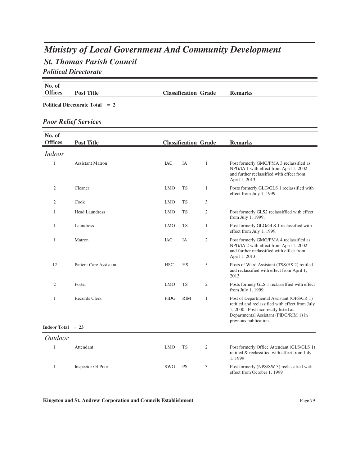## *St. Thomas Parish Council Ministry of Local Government And Community Development Political Directorate*

**No. of Post Title Classification Grade Remarks** 

**Political Directorate Total = 2**

### *Poor Relief Services*

| No. of<br><b>Offices</b> | <b>Post Title</b>             |            |            | <b>Classification Grade</b> | <b>Remarks</b>                                                                                                                                                                                         |
|--------------------------|-------------------------------|------------|------------|-----------------------------|--------------------------------------------------------------------------------------------------------------------------------------------------------------------------------------------------------|
| <i>Indoor</i>            |                               |            |            |                             |                                                                                                                                                                                                        |
| $\mathbf{1}$             | <b>Assistant Matron</b>       | <b>IAC</b> | IA         | 1                           | Post formerly GMG/PMA 3 reclassified as<br>NPG/IA 1 with effect from April 1, 2002<br>and further reclassified with effect from<br>April 1, 2013.                                                      |
| $\mathfrak{2}$           | Cleaner                       | <b>LMO</b> | <b>TS</b>  | $\mathbf{1}$                | Posts formerly GLG/GLS 1 reclassified with<br>effect from July 1, 1999.                                                                                                                                |
| $\mathfrak{2}$           | Cook                          | <b>LMO</b> | <b>TS</b>  | 3                           |                                                                                                                                                                                                        |
| $\mathbf{1}$             | <b>Head Laundress</b>         | <b>LMO</b> | TS         | $\mathfrak{2}$              | Post formerly GLS2 reclassiffied with effect<br>from July 1, 1999.                                                                                                                                     |
| $\mathbf{1}$             | Laundress                     | <b>LMO</b> | <b>TS</b>  | $\mathbf{1}$                | Post formerly GLG/GLS 1 reclassified with<br>effect from July 1, 1999.                                                                                                                                 |
| $\mathbf{1}$             | Matron                        | <b>IAC</b> | IA         | $\mathfrak{2}$              | Post formerly GMG/PMA 4 reclassified as<br>NPG/IA 2 with effect from April 1, 2002<br>and further reclassified with effect from<br>April 1, 2013.                                                      |
| 12                       | <b>Patient Care Assistant</b> | <b>HSC</b> | <b>HS</b>  | 5                           | Posts of Ward Assistant (TSS/HS 2) retitled<br>and reclassified with effect from April 1,<br>2013                                                                                                      |
| $\overline{2}$           | Porter                        | <b>LMO</b> | <b>TS</b>  | $\mathfrak{2}$              | Posts formely GLS 1 reclassiffied with effect<br>from July 1, 1999.                                                                                                                                    |
| $\mathbf{1}$             | Records Clerk                 | PIDG       | <b>RIM</b> | $\mathbf{1}$                | Post of Departmental Assistant (OPS/CR 1)<br>retitled and reclassified with effect from July<br>1, 2000. Post incorrectly listed as<br>Departmental Assistant (PIDG/RIM 1) in<br>previous publication. |
| Indoor Total $= 23$      |                               |            |            |                             |                                                                                                                                                                                                        |
| <b>Outdoor</b>           |                               |            |            |                             |                                                                                                                                                                                                        |
| $\mathbf{1}$             | Attendant                     | <b>LMO</b> | TS         | $\mathfrak{2}$              | Post formerly Office Attendant (GLS/GLS 1)<br>retitled & reclassified with effect from July<br>1,1999                                                                                                  |
| $\mathbf{1}$             | Inspector Of Poor             | SWG        | <b>PS</b>  | 3                           | Post formerly (NPS/SW 3) reclassified with<br>effect from October 1, 1999                                                                                                                              |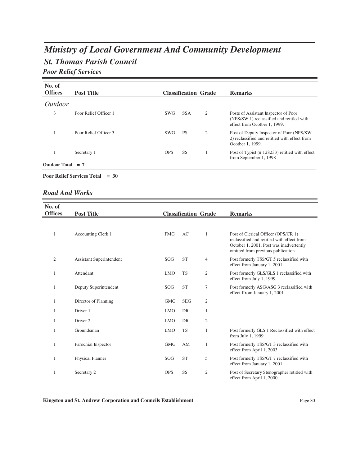# *St. Thomas Parish Council Ministry of Local Government And Community Development Poor Relief Services*

| No. of<br><b>Offices</b> | <b>Post Title</b>     |            | <b>Classification Grade</b> |                | <b>Remarks</b>                                                                                                    |
|--------------------------|-----------------------|------------|-----------------------------|----------------|-------------------------------------------------------------------------------------------------------------------|
| <i>Outdoor</i>           |                       |            |                             |                |                                                                                                                   |
| 3                        | Poor Relief Officer 1 | <b>SWG</b> | <b>SSA</b>                  | 2              | Posts of Assistant Inspector of Poor<br>(NPS/SW 1) reclassified and retitled with<br>effect from Ocotber 1, 1999. |
|                          | Poor Relief Officer 3 | SWG        | <b>PS</b>                   | $\overline{2}$ | Post of Deputy Inspector of Poor (NPS/SW)<br>2) reclassified and retitled with effect from<br>Ocotber 1, 1999.    |
|                          | Secretary 1           | <b>OPS</b> | <b>SS</b>                   |                | Post of Typist (#128233) retitled with effect<br>from September 1, 1998                                           |
| <b>Outdoor Total</b>     | $= 7$                 |            |                             |                |                                                                                                                   |

**Poor Relief Services Total = 30**

#### *Road And Works*

| No. of         |                                 |            |                             |                |                                                                                                                                                                   |
|----------------|---------------------------------|------------|-----------------------------|----------------|-------------------------------------------------------------------------------------------------------------------------------------------------------------------|
| <b>Offices</b> | <b>Post Title</b>               |            | <b>Classification Grade</b> |                | <b>Remarks</b>                                                                                                                                                    |
|                |                                 |            |                             |                |                                                                                                                                                                   |
| $\mathbf{1}$   | <b>Accounting Clerk 1</b>       | <b>FMG</b> | AC                          | 1              | Post of Clerical Officer (OPS/CR 1)<br>reclassified and retitled with effect from<br>October 1, 2001. Post was inadvertently<br>omitted from previous publication |
| $\overline{c}$ | <b>Assistant Superintendent</b> | <b>SOG</b> | <b>ST</b>                   | 4              | Post formerly TSS/GT 5 reclassified with<br>effect from January 1, 2001                                                                                           |
|                | Attendant                       | <b>LMO</b> | <b>TS</b>                   | 2              | Post formerly GLS/GLS 1 reclassified with<br>effect from July 1, 1999                                                                                             |
| 1              | Deputy Superintendent           | <b>SOG</b> | <b>ST</b>                   | 7              | Post formerly ASG/ASG 3 reclassified with<br>effect ffrom January 1, 2001                                                                                         |
| 1              | Director of Planning            | <b>GMG</b> | <b>SEG</b>                  | 2              |                                                                                                                                                                   |
|                | Driver 1                        | <b>LMO</b> | DR                          | 1              |                                                                                                                                                                   |
|                | Driver 2                        | <b>LMO</b> | DR                          | 2              |                                                                                                                                                                   |
|                | Groundsman                      | <b>LMO</b> | <b>TS</b>                   | 1              | Post formerly GLS 1 Reclassified with effect<br>from July 1, 1999                                                                                                 |
| 1              | Parochial Inspector             | <b>GMG</b> | AM                          | 1              | Post formerly TSS/GT 3 reclassified with<br>effect from April 1, 2003                                                                                             |
| 1              | Physical Planner                | SOG        | <b>ST</b>                   | 5              | Post formerly TSS/GT 7 reclassified with<br>effect from January 1, 2001                                                                                           |
| 1              | Secretary 2                     | <b>OPS</b> | SS                          | $\mathfrak{2}$ | Post of Secretary Stenographer retitled with<br>effect from April 1, 2000                                                                                         |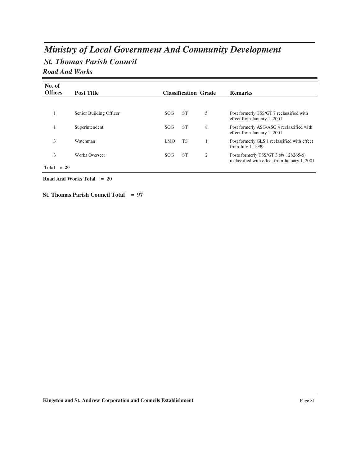# *St. Thomas Parish Council Ministry of Local Government And Community Development Road And Works*

| No. of<br><b>Offices</b> | <b>Post Title</b>       |                  |           | <b>Classification Grade</b> | <b>Remarks</b>                                                                         |
|--------------------------|-------------------------|------------------|-----------|-----------------------------|----------------------------------------------------------------------------------------|
|                          |                         |                  |           |                             |                                                                                        |
|                          | Senior Building Officer | <b>SOG</b>       | <b>ST</b> | 5                           | Post formerly TSS/GT 7 reclassified with<br>effect from January 1, 2001                |
|                          | Superintendent          | <b>SOG</b>       | <b>ST</b> | 8                           | Post formerly ASG/ASG 4 reclassified with<br>effect from January 1, 2001               |
| 3                        | Watchman                | LMO <sub>1</sub> | <b>TS</b> |                             | Post formerly GLS 1 reclassified with effect<br>from July 1, 1999                      |
| 3                        | Works Overseer          | <b>SOG</b>       | <b>ST</b> | 2                           | Posts formerly TSS/GT 3 (#s 128265-6)<br>reclassified with effect from January 1, 2001 |
| Total                    | $= 20$                  |                  |           |                             |                                                                                        |

#### **Road And Works Total = 20**

**St. Thomas Parish Council Total = 97**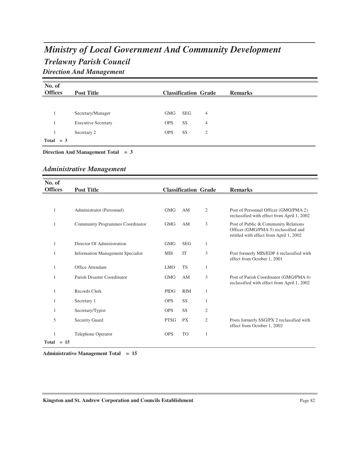# *Trelawny Parish Council Ministry of Local Government And Community Development Direction And Management*

| No. of<br><b>Offices</b> | <b>Post Title</b>          |            |            | <b>Classification Grade</b> | <b>Remarks</b> |
|--------------------------|----------------------------|------------|------------|-----------------------------|----------------|
|                          |                            |            |            |                             |                |
|                          | Secretary/Manager          | GMG        | <b>SEG</b> | $\overline{4}$              |                |
|                          | <b>Executive Secretary</b> | <b>OPS</b> | <b>SS</b>  | $\overline{4}$              |                |
|                          | Secretary 2                | <b>OPS</b> | SS         | 2                           |                |
| Total $= 3$              |                            |            |            |                             |                |

**Direction And Management Total = 3**

### *Administrative Management*

| No. of            |                                          |             |            |                             |                                                                                                                         |
|-------------------|------------------------------------------|-------------|------------|-----------------------------|-------------------------------------------------------------------------------------------------------------------------|
| <b>Offices</b>    | <b>Post Title</b>                        |             |            | <b>Classification Grade</b> | <b>Remarks</b>                                                                                                          |
|                   |                                          |             |            |                             |                                                                                                                         |
| $\mathbf{1}$      | Administrator (Personnel)                | <b>GMG</b>  | AM         | 2                           | Post of Personnel Officer (GMG/PMA 2)<br>reclassified with effect from April 1, 2002                                    |
| 1                 | Community Programmes Coordinator         | <b>GMG</b>  | AM         | 3                           | Post of Public & Community Relations<br>Officer (GMG/PMA 5) reclassified and<br>retitled with effect from April 1, 2002 |
| 1                 | Director Of Administration               | <b>GMG</b>  | <b>SEG</b> | $\mathbf{1}$                |                                                                                                                         |
| 1                 | <b>Information Management Specialist</b> | <b>MIS</b>  | <b>IT</b>  | 3                           | Post formerly MIS/EDP 4 reclassified with<br>effect from October 1, 2001                                                |
| $\mathbf{1}$      | Office Attendant                         | <b>LMO</b>  | <b>TS</b>  | 1                           |                                                                                                                         |
|                   | Parish Disaster Coordinator              | <b>GMG</b>  | AM         | 3                           | Post of Parish Coordinator (GMG/PMA 4)<br>reclassified with effect from April 1, 2002                                   |
| $\mathbf{1}$      | Records Clerk                            | <b>PIDG</b> | <b>RIM</b> | 1                           |                                                                                                                         |
| 1                 | Secretary 1                              | <b>OPS</b>  | SS         | 1                           |                                                                                                                         |
| 1                 | Secretary/Typist                         | <b>OPS</b>  | SS         | 2                           |                                                                                                                         |
| 5                 | <b>Security Guard</b>                    | <b>PTSG</b> | <b>PX</b>  | 2                           | Posts formerly SSG/PX 2 reclassified with<br>effect from October 1, 2002                                                |
| 1<br>$Total = 15$ | Telephone Operator                       | <b>OPS</b>  | <b>TO</b>  | 1                           |                                                                                                                         |

**Administrative Management Total = 15**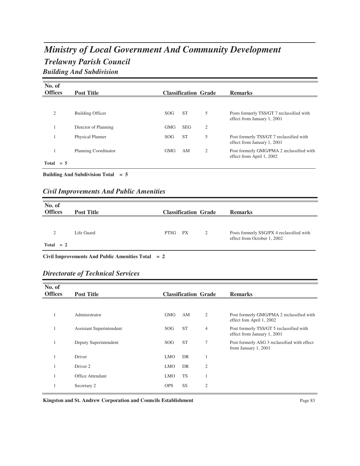# *Trelawny Parish Council Ministry of Local Government And Community Development Building And Subdivision*

| No. of         |                         |                 |                             |   |                                                                          |
|----------------|-------------------------|-----------------|-----------------------------|---|--------------------------------------------------------------------------|
| <b>Offices</b> | <b>Post Title</b>       |                 | <b>Classification Grade</b> |   | <b>Remarks</b>                                                           |
|                |                         |                 |                             |   |                                                                          |
| $\overline{c}$ | <b>Building Officer</b> | SOG <sub></sub> | <b>ST</b>                   | 5 | Posts formerly TSS/GT 7 reclassified with<br>effect from January 1, 2001 |
|                | Director of Planning    | <b>GMG</b>      | <b>SEG</b>                  | 2 |                                                                          |
|                | <b>Physical Planner</b> | <b>SOG</b>      | <b>ST</b>                   | 5 | Post formerly TSS/GT 7 reclassified with<br>effect from January 1, 2001  |
|                | Planning Coordinator    | <b>GMG</b>      | AΜ                          | 2 | Post formerly GMG/PMA 2 reclassified with<br>effect from April 1, 2002   |
| Total<br>$=$ 5 |                         |                 |                             |   |                                                                          |

**Building And Subdivision Total = 5**

### *Civil Improvements And Public Amenities*

| No. of<br><b>Offices</b> | <b>Post Title</b> | <b>Classification Grade</b> |   | <b>Remarks</b>                                                           |
|--------------------------|-------------------|-----------------------------|---|--------------------------------------------------------------------------|
| $\bigcap$                | Life Guard        | <b>PTSG</b><br><b>PX</b>    | 2 | Posts formerly SSG/PX 4 reclassified with<br>effect from October 1, 2002 |
| $Total = 2$              |                   |                             |   |                                                                          |

**Civil Improvements And Public Amenities Total = 2**

| <b>Directorate of Technical Services</b> |  |  |  |
|------------------------------------------|--|--|--|
|------------------------------------------|--|--|--|

| No. of<br><b>Offices</b> | <b>Post Title</b>               |            |           | <b>Classification Grade</b> | <b>Remarks</b>                                                          |
|--------------------------|---------------------------------|------------|-----------|-----------------------------|-------------------------------------------------------------------------|
|                          |                                 |            |           |                             |                                                                         |
|                          | Administrator                   | GMG        | AM        | 2                           | Post formerly GMG/PMA 2 reclassified with<br>effect fom April 1, 2002   |
|                          | <b>Assistant Superintendent</b> | SOG.       | <b>ST</b> | 4                           | Post formerly TSS/GT 5 reclassified with<br>effect from January 1, 2001 |
|                          | Deputy Superintendent           | SOG.       | <b>ST</b> | 7                           | Post formerly ASG 3 reclassified with effect<br>from January 1, 2001    |
|                          | Driver                          | <b>LMO</b> | DR        |                             |                                                                         |
|                          | Driver 2                        | <b>LMO</b> | DR        | 2                           |                                                                         |
|                          | Office Attendant                | <b>LMO</b> | <b>TS</b> |                             |                                                                         |
|                          | Secretary 2                     | <b>OPS</b> | <b>SS</b> | $\overline{2}$              |                                                                         |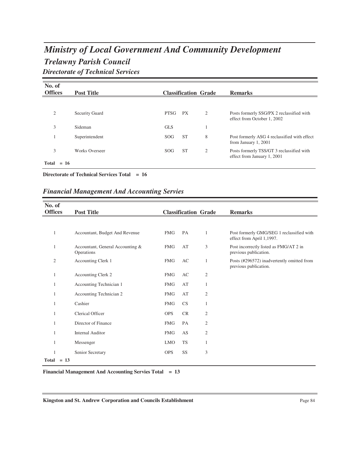# *Trelawny Parish Council Ministry of Local Government And Community Development Directorate of Technical Services*

| No. of<br><b>Offices</b> | <b>Post Title</b> |             | <b>Classification Grade</b> | <b>Remarks</b>                                                           |
|--------------------------|-------------------|-------------|-----------------------------|--------------------------------------------------------------------------|
|                          |                   |             |                             |                                                                          |
| $\overline{2}$           | Security Guard    | <b>PTSG</b> | <b>PX</b><br>2              | Posts formerly SSG/PX 2 reclassified with<br>effect from October 1, 2002 |
| 3                        | Sideman           | <b>GLS</b>  |                             |                                                                          |
|                          | Superintendent    | <b>SOG</b>  | <b>ST</b><br>8              | Post formerly ASG 4 reclassified with effect<br>from January 1, 2001     |
| 3                        | Works Overseer    | <b>SOG</b>  | <b>ST</b><br>2              | Posts formerly TSS/GT 3 reclassified with<br>effect from January 1, 2001 |
| Total                    | $= 16$            |             |                             |                                                                          |

**Directorate of Technical Services Total = 16**

### *Financial Management And Accounting Servies*

| No. of         |                                                |            |                             |                |                                                                        |
|----------------|------------------------------------------------|------------|-----------------------------|----------------|------------------------------------------------------------------------|
| <b>Offices</b> | <b>Post Title</b>                              |            | <b>Classification Grade</b> |                | <b>Remarks</b>                                                         |
|                |                                                |            |                             |                |                                                                        |
| $\mathbf{1}$   | Accountant, Budget And Revenue                 | <b>FMG</b> | PA                          | 1              | Post formerly GMG/SEG 1 reclassified with<br>effect from April 1,1997. |
| $\mathbf{1}$   | Accountant, General Accounting &<br>Operations | <b>FMG</b> | AT                          | 3              | Post incorrectly listed as FMG/AT 2 in<br>previous publication.        |
| $\mathfrak{2}$ | Accounting Clerk 1                             | <b>FMG</b> | AC                          | 1              | Posts (#296572) inadvertently omitted from<br>previous publication.    |
| $\mathbf{1}$   | <b>Accounting Clerk 2</b>                      | <b>FMG</b> | AC                          | $\mathfrak{2}$ |                                                                        |
| $\mathbf{1}$   | Accounting Technician 1                        | <b>FMG</b> | AT                          | 1              |                                                                        |
| 1              | Accounting Technician 2                        | <b>FMG</b> | AT                          | $\mathfrak{2}$ |                                                                        |
| 1              | Cashier                                        | <b>FMG</b> | <b>CS</b>                   | $\mathbf{1}$   |                                                                        |
| 1              | Clerical Officer                               | <b>OPS</b> | <b>CR</b>                   | $\mathfrak{2}$ |                                                                        |
| $\mathbf{1}$   | Director of Finance                            | <b>FMG</b> | PA                          | $\overline{2}$ |                                                                        |
| 1              | Internal Auditor                               | <b>FMG</b> | AS                          | $\mathfrak{2}$ |                                                                        |
| 1              | Messenger                                      | <b>LMO</b> | <b>TS</b>                   | 1              |                                                                        |
| 1              | Senior Secretary                               | <b>OPS</b> | SS                          | 3              |                                                                        |
| $Total = 13$   |                                                |            |                             |                |                                                                        |

**Financial Management And Accounting Servies Total = 13**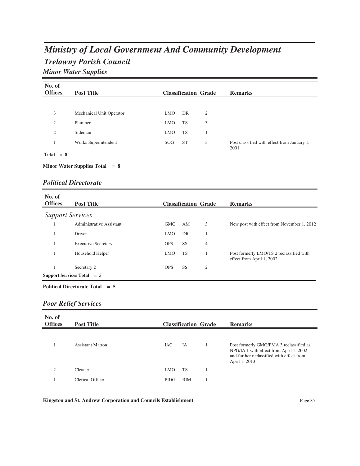# *Trelawny Parish Council Ministry of Local Government And Community Development Minor Water Supplies*

| No. of<br><b>Offices</b> | <b>Post Title</b>        |                 |           | <b>Classification Grade</b> | <b>Remarks</b>                                       |
|--------------------------|--------------------------|-----------------|-----------|-----------------------------|------------------------------------------------------|
|                          |                          |                 |           |                             |                                                      |
| 3                        | Mechanical Unit Operator | <b>LMO</b>      | DR        | 2                           |                                                      |
| $\overline{2}$           | Plumber                  | <b>LMO</b>      | TS        | 3                           |                                                      |
| $\overline{2}$           | Sideman                  | <b>LMO</b>      | <b>TS</b> |                             |                                                      |
|                          | Works Superintendent     | SOG <sub></sub> | <b>ST</b> | 3                           | Post classified with effect from January 1,<br>2001. |
| $Total = 8$              |                          |                 |           |                             |                                                      |

#### **Minor Water Supplies Total = 8**

### *Political Directorate*

| No. of<br><b>Offices</b> | <b>Post Title</b>            |            |           | <b>Classification Grade</b> | <b>Remarks</b>                                                        |
|--------------------------|------------------------------|------------|-----------|-----------------------------|-----------------------------------------------------------------------|
|                          | <b>Support Services</b>      |            |           |                             |                                                                       |
|                          | Administrative Assistant     | <b>GMG</b> | AM        | 3                           | New post with effect from November 1, 2012                            |
|                          | Driver                       | <b>LMO</b> | DR        |                             |                                                                       |
|                          | <b>Executive Secretary</b>   | <b>OPS</b> | <b>SS</b> | $\overline{4}$              |                                                                       |
|                          | Household Helper             | <b>LMO</b> | <b>TS</b> |                             | Post formerly LMO/TS 2 reclassified with<br>effect from April 1, 2002 |
|                          | Secretary 2                  | <b>OPS</b> | <b>SS</b> | 2                           |                                                                       |
|                          | Support Services Total $= 5$ |            |           |                             |                                                                       |

**Political Directorate Total = 5**

### *Poor Relief Services*

| No. of<br><b>Offices</b> | <b>Post Title</b>       |             | <b>Classification Grade</b> | <b>Remarks</b>                                                                                                                                   |
|--------------------------|-------------------------|-------------|-----------------------------|--------------------------------------------------------------------------------------------------------------------------------------------------|
|                          | <b>Assistant Matron</b> | <b>IAC</b>  | IA                          | Post formerly GMG/PMA 3 reclassified as<br>NPG/IA 1 with effect from April 1, 2002<br>and further reclassified with effect from<br>April 1, 2013 |
| $\mathfrak{D}$           | Cleaner                 | <b>LMO</b>  | <b>TS</b>                   |                                                                                                                                                  |
|                          | Clerical Officer        | <b>PIDG</b> | <b>RIM</b>                  |                                                                                                                                                  |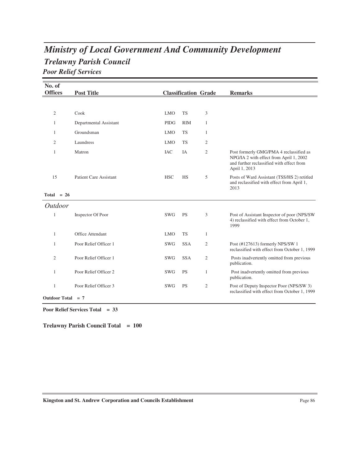# *Trelawny Parish Council Ministry of Local Government And Community Development Poor Relief Services*

| No. of<br><b>Offices</b> | <b>Post Title</b>             |             | <b>Classification Grade</b> |                | <b>Remarks</b>                                                                                                                                   |
|--------------------------|-------------------------------|-------------|-----------------------------|----------------|--------------------------------------------------------------------------------------------------------------------------------------------------|
|                          |                               |             |                             |                |                                                                                                                                                  |
| 2                        | Cook                          | <b>LMO</b>  | <b>TS</b>                   | 3              |                                                                                                                                                  |
| 1                        | Departmental Assistant        | <b>PIDG</b> | <b>RIM</b>                  | 1              |                                                                                                                                                  |
| 1                        | Groundsman                    | <b>LMO</b>  | <b>TS</b>                   | $\mathbf{1}$   |                                                                                                                                                  |
| $\overline{2}$           | Laundress                     | <b>LMO</b>  | <b>TS</b>                   | 2              |                                                                                                                                                  |
| 1                        | Matron                        | <b>IAC</b>  | IA                          | 2              | Post formerly GMG/PMA 4 reclassified as<br>NPG/IA 2 with effect from April 1, 2002<br>and further reclassified with effect from<br>April 1, 2013 |
| 15                       | <b>Patient Care Assistant</b> | <b>HSC</b>  | <b>HS</b>                   | 5              | Posts of Ward Assistant (TSS/HS 2) retitled<br>and reclassified with effect from April 1,<br>2013                                                |
| Total $= 26$             |                               |             |                             |                |                                                                                                                                                  |
| <i>Outdoor</i>           |                               |             |                             |                |                                                                                                                                                  |
| 1                        | Inspector Of Poor             | <b>SWG</b>  | <b>PS</b>                   | 3              | Post of Assistant Inspector of poor (NPS/SW)<br>4) reclassified with effect from October 1,<br>1999                                              |
| 1                        | Office Attendant              | <b>LMO</b>  | <b>TS</b>                   | 1              |                                                                                                                                                  |
| 1                        | Poor Relief Officer 1         | <b>SWG</b>  | <b>SSA</b>                  | $\mathfrak{2}$ | Post (#127613) formerly NPS/SW 1<br>reclassified with effect from October 1, 1999                                                                |
| $\overline{2}$           | Poor Relief Officer 1         | <b>SWG</b>  | <b>SSA</b>                  | $\overline{2}$ | Posts inadvertently omitted from previous<br>publication.                                                                                        |
| 1                        | Poor Relief Officer 2         | <b>SWG</b>  | <b>PS</b>                   | $\mathbf{1}$   | Post inadvertently omitted from previous<br>publication.                                                                                         |
| 1                        | Poor Relief Officer 3         | <b>SWG</b>  | <b>PS</b>                   | $\mathfrak{2}$ | Post of Deputy Inspector Poor (NPS/SW 3)<br>reclassified with effect from October 1, 1999                                                        |
| Outdoor Total $= 7$      |                               |             |                             |                |                                                                                                                                                  |

**Poor Relief Services Total = 33**

**Trelawny Parish Council Total = 100**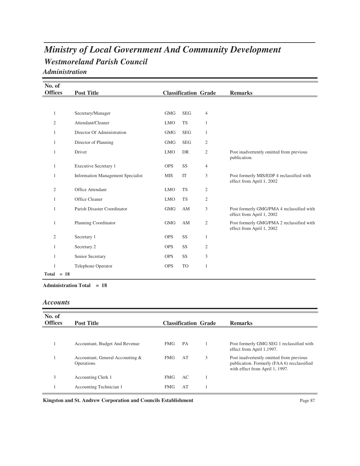# *Westmoreland Parish Council Ministry of Local Government And Community Development Administration*

| No. of         |                                          |            |                             |                |                                                                        |
|----------------|------------------------------------------|------------|-----------------------------|----------------|------------------------------------------------------------------------|
| <b>Offices</b> | <b>Post Title</b>                        |            | <b>Classification Grade</b> |                | <b>Remarks</b>                                                         |
|                |                                          |            |                             |                |                                                                        |
| 1              | Secretary/Manager                        | <b>GMG</b> | <b>SEG</b>                  | 4              |                                                                        |
| 2              | Attendant/Cleaner                        | <b>LMO</b> | <b>TS</b>                   | $\mathbf{1}$   |                                                                        |
| $\mathbf{1}$   | Director Of Administration               | <b>GMG</b> | <b>SEG</b>                  | $\mathbf{1}$   |                                                                        |
| $\mathbf{1}$   | Director of Planning                     | <b>GMG</b> | <b>SEG</b>                  | $\mathfrak{2}$ |                                                                        |
| 1              | Driver                                   | <b>LMO</b> | DR                          | $\mathfrak{2}$ | Post inadvertently omitted from previous<br>publication.               |
| $\mathbf{1}$   | <b>Executive Secretary 1</b>             | <b>OPS</b> | <b>SS</b>                   | 4              |                                                                        |
| 1              | <b>Information Management Specialist</b> | <b>MIS</b> | IT                          | 3              | Post formerly MIS/EDP 4 reclassified with<br>effect from April 1, 2002 |
| $\overline{2}$ | Office Attendant                         | <b>LMO</b> | <b>TS</b>                   | $\mathfrak{2}$ |                                                                        |
| 1              | Office Cleaner                           | <b>LMO</b> | <b>TS</b>                   | $\mathfrak{2}$ |                                                                        |
| 1              | Parish Disaster Coordinator              | <b>GMG</b> | AM                          | 3              | Post formerly GMG/PMA 4 reclassified with<br>effect from April 1, 2002 |
| 1              | <b>Planning Coordinator</b>              | <b>GMG</b> | AM                          | $\mathfrak{2}$ | Post formerly GMG/PMA 2 reclassified with<br>effect from April 1, 2002 |
| $\overline{2}$ | Secretary 1                              | <b>OPS</b> | SS                          | 1              |                                                                        |
| 1              | Secretary 2                              | <b>OPS</b> | SS                          | $\mathfrak{2}$ |                                                                        |
| 1              | Senior Secretary                         | <b>OPS</b> | SS                          | 3              |                                                                        |
| 1              | Telephone Operator                       | <b>OPS</b> | <b>TO</b>                   | $\mathbf{1}$   |                                                                        |
| $Total = 18$   |                                          |            |                             |                |                                                                        |

**Administration Total = 18**

### *Accounts*

| No. of<br><b>Offices</b> | <b>Post Title</b>                              |            |    | <b>Classification Grade</b> | <b>Remarks</b>                                                                                                             |
|--------------------------|------------------------------------------------|------------|----|-----------------------------|----------------------------------------------------------------------------------------------------------------------------|
|                          |                                                |            |    |                             |                                                                                                                            |
|                          | Accountant, Budget And Revenue                 | <b>FMG</b> | PA |                             | Post formerly GMG SEG 1 reclassified with<br>effect from April 1,1997.                                                     |
|                          | Accountant, General Accounting &<br>Operations | <b>FMG</b> | AT | 3                           | Post inadvertently omitted from previous<br>publication. Formerly (FAA 6) recclassified<br>with effect from April 1, 1997. |
| 3                        | <b>Accounting Clerk 1</b>                      | <b>FMG</b> | AC |                             |                                                                                                                            |
|                          | Accounting Technician 1                        | <b>FMG</b> | AT |                             |                                                                                                                            |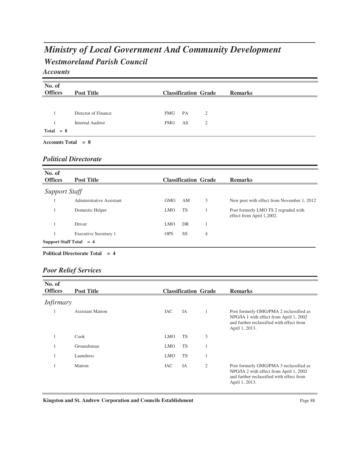# *Westmoreland Parish Council Ministry of Local Government And Community Development*

### *Accounts*

| No. of         | <b>Post Title</b>       |                             | <b>Remarks</b> |
|----------------|-------------------------|-----------------------------|----------------|
| <b>Offices</b> |                         | <b>Classification Grade</b> |                |
|                |                         |                             |                |
|                | Director of Finance     | PA<br>FMG<br>2              |                |
|                | <b>Internal Auditor</b> | FMG<br>AS<br>$\overline{2}$ |                |
| $Total = 8$    |                         |                             |                |

### *Political Directorate*

| No. of                              |                              |                  |                             |   |                                                                   |  |
|-------------------------------------|------------------------------|------------------|-----------------------------|---|-------------------------------------------------------------------|--|
| <b>Offices</b>                      | <b>Post Title</b>            |                  | <b>Classification Grade</b> |   | <b>Remarks</b>                                                    |  |
| <b>Support Staff</b>                |                              |                  |                             |   |                                                                   |  |
|                                     | Administrative Assistant     | <b>GMG</b>       | AM                          | 3 | New post with effect from November 1, 2012                        |  |
|                                     | Domestic Helper              | <b>LMO</b>       | <b>TS</b>                   |   | Post formerly LMO TS 2 regraded with<br>effect from April 1,2002. |  |
|                                     | Driver                       | LMO <sub>1</sub> | DR                          |   |                                                                   |  |
|                                     | <b>Executive Secretary 1</b> | <b>OPS</b>       | <b>SS</b>                   | 4 |                                                                   |  |
| <b>Support Staff Total</b><br>$= 4$ |                              |                  |                             |   |                                                                   |  |

#### **Political Directorate Total = 4**

### *Poor Relief Services*

| No. of           |                         |            |                             |   |                                                                                                                                                   |
|------------------|-------------------------|------------|-----------------------------|---|---------------------------------------------------------------------------------------------------------------------------------------------------|
| <b>Offices</b>   | <b>Post Title</b>       |            | <b>Classification Grade</b> |   | <b>Remarks</b>                                                                                                                                    |
| <i>Infirmary</i> |                         |            |                             |   |                                                                                                                                                   |
|                  | <b>Assistant Matron</b> | IAC        | IA                          |   | Post formerly GMG/PMA 2 reclassified as<br>NPG/IA 1 with effect from April 1, 2002<br>and further reclassified with effect from<br>April 1, 2013. |
|                  | Cook                    | <b>LMO</b> | <b>TS</b>                   | 3 |                                                                                                                                                   |
|                  | Groundsman              | <b>LMO</b> | <b>TS</b>                   |   |                                                                                                                                                   |
|                  | Laundress               | <b>LMO</b> | <b>TS</b>                   |   |                                                                                                                                                   |
|                  | Matron                  | <b>IAC</b> | IA                          | 2 | Post formerly GMG/PMA 3 reclassified as<br>NPG/IA 2 with effect from April 1, 2002<br>and further reclassified with effect from<br>April 1, 2013. |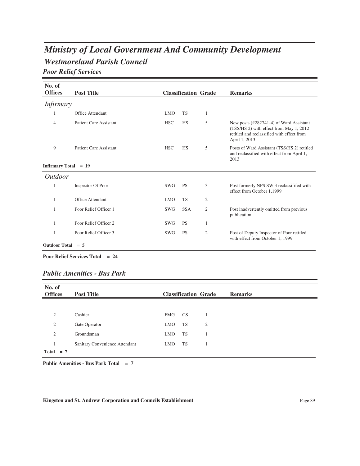# *Westmoreland Parish Council Ministry of Local Government And Community Development*

*Poor Relief Services*

| No. of                 |                               |            |                             |                |                                                                                                                                                   |
|------------------------|-------------------------------|------------|-----------------------------|----------------|---------------------------------------------------------------------------------------------------------------------------------------------------|
| <b>Offices</b>         | <b>Post Title</b>             |            | <b>Classification Grade</b> |                | <b>Remarks</b>                                                                                                                                    |
| <i>Infirmary</i>       |                               |            |                             |                |                                                                                                                                                   |
| 1                      | Office Attendant              | <b>LMO</b> | <b>TS</b>                   | 1              |                                                                                                                                                   |
| $\overline{4}$         | <b>Patient Care Assistant</b> | <b>HSC</b> | <b>HS</b>                   | 5              | New posts (#282741-4) of Ward Assistant<br>(TSS/HS 2) with effect from May 1, 2012<br>retitled and reclassified with effect from<br>April 1, 2013 |
| 9                      | <b>Patient Care Assistant</b> | <b>HSC</b> | <b>HS</b>                   | 5              | Posts of Ward Assistant (TSS/HS 2) retitled<br>and reclassified with effect from April 1,<br>2013                                                 |
| Infirmary Total $= 19$ |                               |            |                             |                |                                                                                                                                                   |
| <i>Outdoor</i>         |                               |            |                             |                |                                                                                                                                                   |
| 1                      | Inspector Of Poor             | <b>SWG</b> | <b>PS</b>                   | 3              | Post formerly NPS SW 3 reclassififed with<br>effect from October 1,1999                                                                           |
| 1                      | <b>Office Attendant</b>       | <b>LMO</b> | <b>TS</b>                   | $\overline{2}$ |                                                                                                                                                   |
| 1                      | Poor Relief Officer 1         | SWG        | <b>SSA</b>                  | 2              | Post inadvertently omitted from previous<br>publication                                                                                           |
| 1                      | Poor Relief Officer 2         | <b>SWG</b> | <b>PS</b>                   | 1              |                                                                                                                                                   |
| 1                      | Poor Relief Officer 3         | <b>SWG</b> | <b>PS</b>                   | 2              | Post of Deputy Inspector of Poor retitled<br>with effect from October 1, 1999.                                                                    |
| Outdoor Total $= 5$    |                               |            |                             |                |                                                                                                                                                   |

**Poor Relief Services Total = 24**

### *Public Amenities - Bus Park*

| No. of<br><b>Offices</b> | <b>Post Title</b>              | <b>Classification Grade</b> | <b>Remarks</b> |  |
|--------------------------|--------------------------------|-----------------------------|----------------|--|
|                          |                                |                             |                |  |
| $\overline{c}$           | Cashier                        | FMG<br><b>CS</b>            |                |  |
| $\overline{2}$           | Gate Operator                  | TS<br><b>LMO</b>            | $\overline{2}$ |  |
| $\overline{c}$           | Groundsman                     | <b>TS</b><br><b>LMO</b>     |                |  |
|                          | Sanitary Convenience Attendant | TS<br><b>LMO</b>            |                |  |
| Total $= 7$              |                                |                             |                |  |

**Public Amenities - Bus Park Total = 7**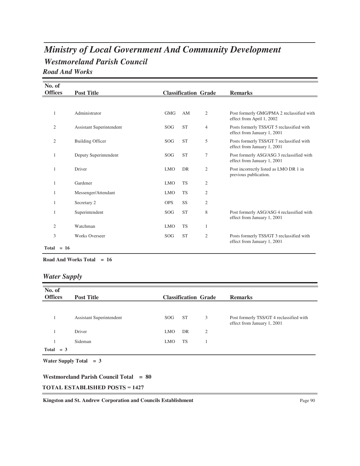## *Westmoreland Parish Council Ministry of Local Government And Community Development Road And Works*

| No. of         |                                 |            |           |                             |                                                                          |
|----------------|---------------------------------|------------|-----------|-----------------------------|--------------------------------------------------------------------------|
| <b>Offices</b> | <b>Post Title</b>               |            |           | <b>Classification Grade</b> | <b>Remarks</b>                                                           |
|                |                                 |            |           |                             |                                                                          |
| 1              | Administrator                   | <b>GMG</b> | AM        | 2                           | Post formerly GMG/PMA 2 reclassified with<br>effect from April 1, 2002   |
| $\mathfrak{2}$ | <b>Assistant Superintendent</b> | SOG        | <b>ST</b> | $\overline{4}$              | Posts formerly TSS/GT 5 reclassified with<br>effect from January 1, 2001 |
| 2              | <b>Building Officer</b>         | SOG        | <b>ST</b> | 5                           | Posts formerly TSS/GT 7 reclassified with<br>effect from January 1, 2001 |
| 1              | Deputy Superintendent           | SOG        | <b>ST</b> | $\tau$                      | Post formerly ASG/ASG 3 reclassified with<br>effect from January 1, 2001 |
| 1              | Driver                          | <b>LMO</b> | DR        | $\overline{2}$              | Post incorrectly listed as LMO DR 1 in<br>previous publication.          |
| 1              | Gardener                        | <b>LMO</b> | <b>TS</b> | $\mathfrak{2}$              |                                                                          |
|                | Messenger/Attendant             | <b>LMO</b> | <b>TS</b> | $\overline{2}$              |                                                                          |
|                | Secretary 2                     | <b>OPS</b> | SS        | 2                           |                                                                          |
|                | Superintendent                  | SOG        | <b>ST</b> | 8                           | Post formerly ASG/ASG 4 reclassified with<br>effect from January 1, 2001 |
| 2              | Watchman                        | <b>LMO</b> | <b>TS</b> | 1                           |                                                                          |
| 3              | <b>Works Overseer</b>           | SOG        | <b>ST</b> | $\overline{2}$              | Posts formerly TSS/GT 3 reclassified with<br>effect from January 1, 2001 |
| $Total = 16$   |                                 |            |           |                             |                                                                          |

#### **Road And Works Total = 16**

### *Water Supply*

| No. of<br><b>Offices</b> | <b>Post Title</b>        |            |           | <b>Classification Grade</b> | <b>Remarks</b>                                                          |
|--------------------------|--------------------------|------------|-----------|-----------------------------|-------------------------------------------------------------------------|
|                          |                          |            |           |                             |                                                                         |
|                          | Assistant Superintendent | SOG.       | <b>ST</b> | 3                           | Post formerly TSS/GT 4 reclassified with<br>effect from January 1, 2001 |
|                          | Driver                   | <b>LMO</b> | DR        | 2                           |                                                                         |
|                          | Sideman                  | <b>LMO</b> | <b>TS</b> |                             |                                                                         |
| Total $= 3$              |                          |            |           |                             |                                                                         |

**Water Supply Total = 3**

#### **Westmoreland Parish Council Total = 80**

#### $\textbf{TOTAL ESTABLISHED POSTS} = 1427$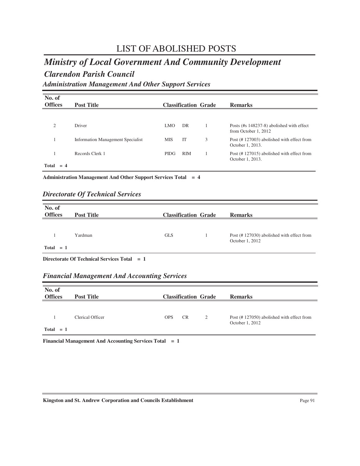### *Ministry of Local Government And Community Development*

### *Clarendon Parish Council*

*Administration Management And Other Support Services*

| No. of<br><b>Offices</b> | <b>Post Title</b>                        |             |            | <b>Classification Grade</b> | <b>Remarks</b>                                                    |
|--------------------------|------------------------------------------|-------------|------------|-----------------------------|-------------------------------------------------------------------|
| $\overline{c}$           | Driver                                   | LMO.        | DR         |                             | Posts (#s 148237-8) abolished with effect<br>from October 1, 2012 |
|                          | <b>Information Management Specialist</b> | <b>MIS</b>  | <b>IT</b>  | 3                           | Post (#127003) abolished with effect from<br>October 1, 2013.     |
| Total<br>$= 4$           | Records Clerk 1                          | <b>PIDG</b> | <b>RIM</b> |                             | Post (#127015) abolished with effect from<br>October 1, 2013.     |

**Administration Management And Other Support Services Total = 4**

### *Directorate Of Technical Services*

| No. of<br><b>Offices</b> | <b>Post Title</b> | <b>Classification Grade</b> | <b>Remarks</b>                                               |
|--------------------------|-------------------|-----------------------------|--------------------------------------------------------------|
|                          | Yardman           | <b>GLS</b>                  | Post (#127030) abolished with effect from<br>October 1, 2012 |
| $Total = 1$              |                   |                             |                                                              |

**Directorate Of Technical Services Total = 1**

### *Financial Management And Accounting Services*

| No. of<br><b>Offices</b> | <b>Post Title</b> |            |           | <b>Classification Grade</b> | <b>Remarks</b>                                               |
|--------------------------|-------------------|------------|-----------|-----------------------------|--------------------------------------------------------------|
| $Total = 1$              | Clerical Officer  | <b>OPS</b> | <b>CR</b> | 2                           | Post (#127050) abolished with effect from<br>October 1, 2012 |

**Financial Management And Accounting Services Total = 1**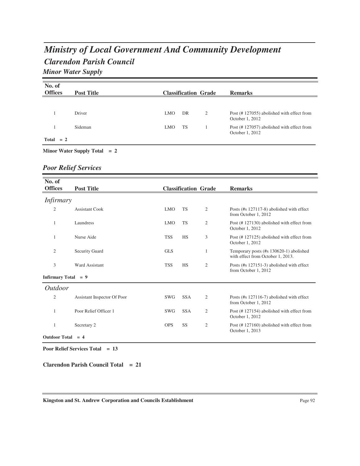# *Clarendon Parish Council Ministry of Local Government And Community Development Minor Water Supply*

| No. of<br><b>Offices</b> | <b>Post Title</b>              |            |    | <b>Classification Grade</b> | <b>Remarks</b>                                               |
|--------------------------|--------------------------------|------------|----|-----------------------------|--------------------------------------------------------------|
|                          |                                |            |    |                             |                                                              |
|                          | Driver                         | <b>LMO</b> | DR | 2                           | Post (#127055) abolished with effect from<br>October 1, 2012 |
|                          | Sideman                        | <b>LMO</b> | TS |                             | Post (#127057) abolished with effect from<br>October 1, 2012 |
| $Total = 2$              |                                |            |    |                             |                                                              |
|                          | Minor Water Supply Total $= 2$ |            |    |                             |                                                              |

### *Poor Relief Services*

| No. of                |                             |            |                             |                |                                                                              |
|-----------------------|-----------------------------|------------|-----------------------------|----------------|------------------------------------------------------------------------------|
| <b>Offices</b>        | <b>Post Title</b>           |            | <b>Classification Grade</b> |                | <b>Remarks</b>                                                               |
| <i>Infirmary</i>      |                             |            |                             |                |                                                                              |
| $\overline{2}$        | <b>Assistant Cook</b>       | <b>LMO</b> | <b>TS</b>                   | 2              | Posts (#s 127117-8) abolished with effect<br>from October 1, 2012            |
| 1                     | Laundress                   | <b>LMO</b> | <b>TS</b>                   | 2              | Post (#127130) abolished with effect from<br>October 1, 2012                 |
| 1                     | Nurse Aide                  | <b>TSS</b> | <b>HS</b>                   | 3              | Post (#127125) abolished with effect from<br>October 1, 2012                 |
| $\mathfrak{2}$        | <b>Security Guard</b>       | <b>GLS</b> |                             | 1              | Temporary posts (#s 130620-1) abolished<br>with effect from October 1, 2013. |
| 3                     | <b>Ward Assistant</b>       | <b>TSS</b> | <b>HS</b>                   | $\mathfrak{2}$ | Posts (#s 127151-3) abolished with effect<br>from October 1, 2012            |
| Infirmary Total $= 9$ |                             |            |                             |                |                                                                              |
| <i>Outdoor</i>        |                             |            |                             |                |                                                                              |
| $\mathfrak{2}$        | Assistant Inspector Of Poor | <b>SWG</b> | <b>SSA</b>                  | $\mathfrak{2}$ | Posts (#s 127116-7) abolished with effect<br>from October 1, 2012            |
| $\mathbf{1}$          | Poor Relief Officer 1       | <b>SWG</b> | <b>SSA</b>                  | 2              | Post (#127154) abolished with effect from<br>October 1, 2012                 |
| 1                     | Secretary 2                 | <b>OPS</b> | SS                          | 2              | Post (#127160) abolished with effect from<br>October 1, 2013                 |
| <b>Outdoor Total</b>  | $= 4$                       |            |                             |                |                                                                              |

**Poor Relief Services Total = 13**

**Clarendon Parish Council Total = 21**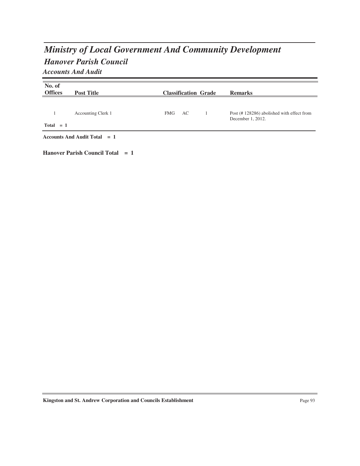# *Hanover Parish Council Ministry of Local Government And Community Development Accounts And Audit*

**No. of Post Title Classification Grade Remarks** 1 Accounting Clerk 1 FMG AC 1 Post (# 128286) abolished with effect from December 1, 2012.  ${\rm FMG}$  **Total = 1 Accounts And Audit Total = 1 Hanover Parish Council Total = 1**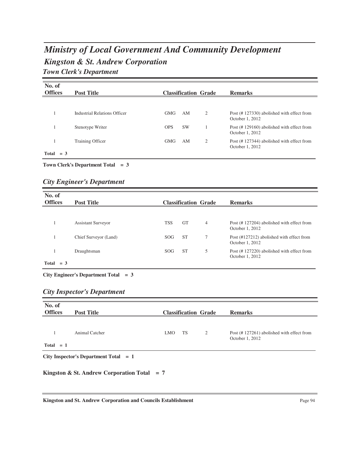# *Kingston & St. Andrew Corporation Ministry of Local Government And Community Development Town Clerk's Department*

| No. of<br><b>Offices</b> | <b>Post Title</b>            |            | <b>Classification Grade</b> |   | <b>Remarks</b>                                               |
|--------------------------|------------------------------|------------|-----------------------------|---|--------------------------------------------------------------|
|                          |                              |            |                             |   |                                                              |
|                          | Industrial Relations Officer | <b>GMG</b> | AM                          | 2 | Post (#127330) abolished with effect from<br>October 1, 2012 |
|                          | Stenotype Writer             | <b>OPS</b> | <b>SW</b>                   |   | Post (#129160) abolished with effect from<br>October 1, 2012 |
|                          | Training Officer             | <b>GMG</b> | AM                          | 2 | Post (#127344) abolished with effect from<br>October 1, 2012 |
| Total<br>$=$ 3           |                              |            |                             |   |                                                              |

**Town Clerk's Department Total = 3**

### *City Engineer's Department*

| No. of<br><b>Offices</b> | <b>Post Title</b>         |                 |           | <b>Classification Grade</b> | <b>Remarks</b>                                               |
|--------------------------|---------------------------|-----------------|-----------|-----------------------------|--------------------------------------------------------------|
|                          |                           |                 |           |                             |                                                              |
|                          | <b>Assistant Surveyor</b> | <b>TSS</b>      | <b>GT</b> | $\overline{4}$              | Post (#127204) abolished with effect from<br>October 1, 2012 |
|                          | Chief Surveyor (Land)     | SOG <sub></sub> | <b>ST</b> | 7                           | Post (#127212) abolished with effect from<br>October 1, 2012 |
|                          | Draughtsman               | SOG <sub></sub> | <b>ST</b> | 5                           | Post (#127220) abolished with effect from<br>October 1, 2012 |
| Total<br>$=$ 3           |                           |                 |           |                             |                                                              |

**City Engineer's Department Total = 3**

### *City Inspector's Department*

| No. of<br><b>Offices</b> | <b>Post Title</b>                             | <b>Classification Grade</b> | <b>Remarks</b> |                |                                                              |
|--------------------------|-----------------------------------------------|-----------------------------|----------------|----------------|--------------------------------------------------------------|
| $Total = 1$              | Animal Catcher                                | <b>LMO</b>                  | TS             | $\overline{2}$ | Post (#127261) abolished with effect from<br>October 1, 2012 |
|                          | City Inspector's Department Total $= 1$       |                             |                |                |                                                              |
|                          | Kingston & St. Andrew Corporation Total = $7$ |                             |                |                |                                                              |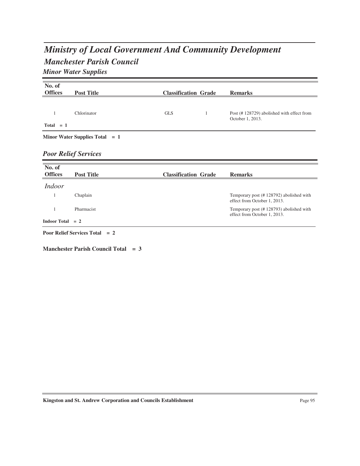# *Manchester Parish Council Ministry of Local Government And Community Development Minor Water Supplies*

| No. of             |                                   |                             |                                           |
|--------------------|-----------------------------------|-----------------------------|-------------------------------------------|
| <b>Offices</b>     | <b>Post Title</b>                 | <b>Classification Grade</b> | <b>Remarks</b>                            |
|                    |                                   |                             |                                           |
|                    |                                   |                             |                                           |
| 1                  | Chlorinator                       | <b>GLS</b><br>1             | Post (#128729) abolished with effect from |
| $Total = 1$        |                                   |                             | October 1, 2013.                          |
|                    |                                   |                             |                                           |
|                    | Minor Water Supplies Total $= 1$  |                             |                                           |
|                    |                                   |                             |                                           |
|                    |                                   |                             |                                           |
|                    | <b>Poor Relief Services</b>       |                             |                                           |
| No. of             |                                   |                             |                                           |
| <b>Offices</b>     |                                   |                             | <b>Remarks</b>                            |
|                    | <b>Post Title</b>                 | <b>Classification Grade</b> |                                           |
| <i>Indoor</i>      |                                   |                             |                                           |
| $\mathbf{1}$       | Chaplain                          |                             | Temporary post (#128792) abolished with   |
|                    |                                   |                             | effect from October 1, 2013.              |
| 1                  | Pharmacist                        |                             | Temporary post (#128793) abolished with   |
|                    |                                   |                             | effect from October 1, 2013.              |
| Indoor Total $= 2$ |                                   |                             |                                           |
|                    | <b>Poor Relief Services Total</b> |                             |                                           |
|                    | $= 2$                             |                             |                                           |

**Manchester Parish Council Total = 3**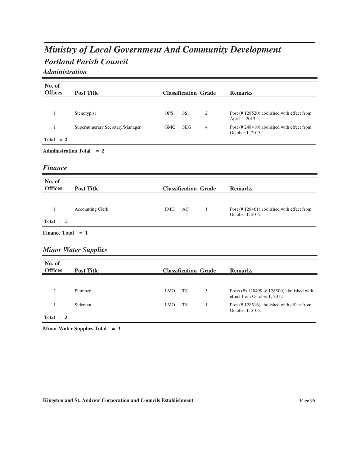# *Portland Parish Council Ministry of Local Government And Community Development*

### *Administration*

| No. of              |                                 |            |                             |                |                                                                          |
|---------------------|---------------------------------|------------|-----------------------------|----------------|--------------------------------------------------------------------------|
| <b>Offices</b>      | <b>Post Title</b>               |            | <b>Classification Grade</b> |                | <b>Remarks</b>                                                           |
|                     |                                 |            |                             |                |                                                                          |
| $\mathbf{1}$        | Stenotypist                     | <b>OPS</b> | SS                          | $\mathfrak{2}$ | Post (#128520) abolished with effect from<br>April 1, 2013.              |
| $\mathbf{1}$        | Supernumerary Secretary/Manager | <b>GMG</b> | <b>SEG</b>                  | $\overline{4}$ | Post (#248410) abolished with effect from<br>October 1, 2013.            |
| Total $= 2$         |                                 |            |                             |                |                                                                          |
|                     | <b>Administration Total = 2</b> |            |                             |                |                                                                          |
| <b>Finance</b>      |                                 |            |                             |                |                                                                          |
| No. of              |                                 |            |                             |                |                                                                          |
| <b>Offices</b>      | <b>Post Title</b>               |            | <b>Classification Grade</b> |                | <b>Remarks</b>                                                           |
|                     |                                 |            |                             |                |                                                                          |
| $\mathbf{1}$        | <b>Accounting Clerk</b>         | <b>FMG</b> | AC                          | $\mathbf{1}$   | Post (#128461) abolished with effect from<br>October 1, 2012             |
| $Total = 1$         |                                 |            |                             |                |                                                                          |
| Finance Total $= 1$ |                                 |            |                             |                |                                                                          |
|                     | <b>Minor Water Supplies</b>     |            |                             |                |                                                                          |
| No. of              |                                 |            |                             |                |                                                                          |
| <b>Offices</b>      | <b>Post Title</b>               |            | <b>Classification Grade</b> |                | <b>Remarks</b>                                                           |
|                     |                                 |            |                             |                |                                                                          |
| $\overline{c}$      | Plumber                         | <b>LMO</b> | <b>TS</b>                   | 3              | Posts (#s 128499 & 128500) abolished with<br>effect from October 1, 2012 |
| $\mathbf{1}$        | Sideman                         | <b>LMO</b> | <b>TS</b>                   | $\mathbf{1}$   | Post (#128516) abolished with effect from<br>October 1, 2012             |
| Total $= 3$         |                                 |            |                             |                |                                                                          |

**Minor Water Supplies Total = 3**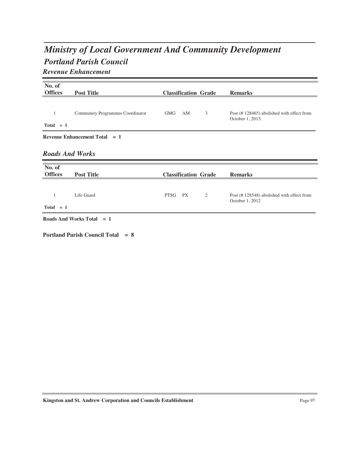# *Portland Parish Council Ministry of Local Government And Community Development Revenue Enhancement*

| No. of<br><b>Offices</b> | <b>Post Title</b>                    | <b>Classification Grade</b> | <b>Remarks</b>                                                |
|--------------------------|--------------------------------------|-----------------------------|---------------------------------------------------------------|
| 1<br>$Total = 1$         | Community Programmes Coordinator     | <b>GMG</b><br>3<br>AM       | Post (#128465) abolished with effect from<br>October 1, 2013. |
|                          | <b>Revenue Enhancement Total = 1</b> |                             |                                                               |
| <b>Roads And Works</b>   |                                      |                             |                                                               |
| No. of<br><b>Offices</b> | <b>Post Title</b>                    | <b>Classification Grade</b> | <b>Remarks</b>                                                |
|                          |                                      |                             |                                                               |
| $\mathbf{1}$             | Life Guard                           | PTSG<br><b>PX</b><br>2      | Post (#128548) abolished with effect from<br>October 1, 2012  |
| $Total = 1$              |                                      |                             |                                                               |
|                          | Roads And Works Total $= 1$          |                             |                                                               |

**Portland Parish Council Total = 8**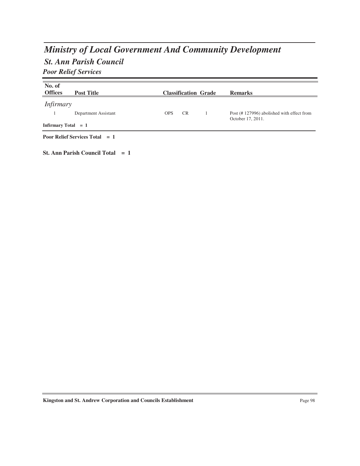# *Ministry of Local Government And Community Development*

## *St. Ann Parish Council*

*Poor Relief Services*

| No. of<br><b>Offices</b> | <b>Post Title</b>                       |            |           | <b>Classification Grade</b> | <b>Remarks</b>                                                 |
|--------------------------|-----------------------------------------|------------|-----------|-----------------------------|----------------------------------------------------------------|
| <i>Infirmary</i>         | Department Assistant                    | <b>OPS</b> | <b>CR</b> |                             | Post (#127996) abolished with effect from<br>October 17, 2011. |
| Infirmary Total $= 1$    |                                         |            |           |                             |                                                                |
|                          | <b>Poor Relief Services Total</b> $= 1$ |            |           |                             |                                                                |

**St. Ann Parish Council Total = 1**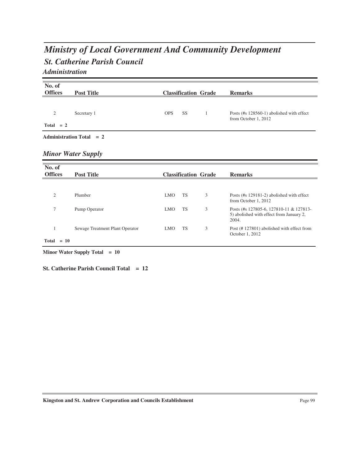## *St. Catherine Parish Council Ministry of Local Government And Community Development Administration*

| No. of         |                                 |            |                             |                                                                                              |
|----------------|---------------------------------|------------|-----------------------------|----------------------------------------------------------------------------------------------|
| <b>Offices</b> | <b>Post Title</b>               |            | <b>Classification Grade</b> | <b>Remarks</b>                                                                               |
| $\mathfrak{2}$ | Secretary 1                     | <b>OPS</b> | <b>SS</b><br>1              | Posts (#s 128560-1) abolished with effect                                                    |
| $Total = 2$    |                                 |            |                             | from October 1, 2012                                                                         |
|                | Administration Total $= 2$      |            |                             |                                                                                              |
|                | <b>Minor Water Supply</b>       |            |                             |                                                                                              |
| No. of         |                                 |            |                             |                                                                                              |
| <b>Offices</b> | <b>Post Title</b>               |            |                             |                                                                                              |
|                |                                 |            | <b>Classification Grade</b> | <b>Remarks</b>                                                                               |
|                |                                 |            |                             |                                                                                              |
| $\overline{2}$ | Plumber                         | <b>LMO</b> | 3<br><b>TS</b>              | Posts (#s 129181-2) abolished with effect<br>from October 1, 2012                            |
| 7              | Pump Operator                   | <b>LMO</b> | 3<br><b>TS</b>              | Posts (#s 127805-6, 127810-11 & 127813-<br>5) abolished with effect from January 2,<br>2004. |
| 1              | Sewage Treatment Plant Operator | <b>LMO</b> | 3<br>TS                     | Post (#127801) abolished with effect from<br>October 1, 2012                                 |

**Minor Water Supply Total = 10**

**St. Catherine Parish Council Total = 12**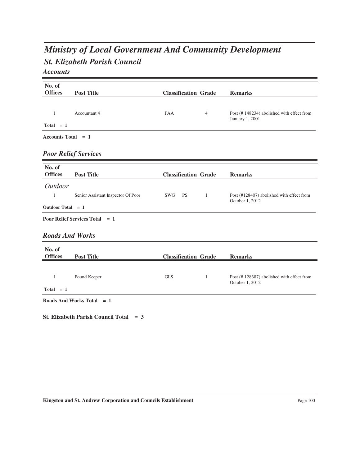# *St. Elizabeth Parish Council Ministry of Local Government And Community Development*

*Accounts*

| No. of<br><b>Offices</b> | <b>Post Title</b>                        | <b>Classification Grade</b> |                | <b>Remarks</b>                                               |
|--------------------------|------------------------------------------|-----------------------------|----------------|--------------------------------------------------------------|
|                          |                                          |                             |                |                                                              |
| 1                        | Accountant 4                             | <b>FAA</b>                  | $\overline{4}$ | Post (#148234) abolished with effect from<br>January 1, 2001 |
| $Total = 1$              |                                          |                             |                |                                                              |
| Accounts Total $= 1$     |                                          |                             |                |                                                              |
|                          | <b>Poor Relief Services</b>              |                             |                |                                                              |
| No. of<br><b>Offices</b> | <b>Post Title</b>                        | <b>Classification Grade</b> |                | <b>Remarks</b>                                               |
| <b>Outdoor</b>           |                                          |                             |                |                                                              |
| 1                        | Senior Assistant Inspector Of Poor       | <b>PS</b><br>SWG            | -1             | Post (#128407) abolished with effect from<br>October 1, 2012 |
| Outdoor Total = 1        |                                          |                             |                |                                                              |
|                          | <b>Poor Relief Services Total = 1</b>    |                             |                |                                                              |
| <b>Roads And Works</b>   |                                          |                             |                |                                                              |
| No. of                   |                                          |                             |                |                                                              |
| <b>Offices</b>           | <b>Post Title</b>                        | <b>Classification Grade</b> |                | <b>Remarks</b>                                               |
| 1                        | Pound Keeper                             | <b>GLS</b>                  | $\mathbf{1}$   | Post (#128387) abolished with effect from<br>October 1, 2012 |
| $Total = 1$              |                                          |                             |                |                                                              |
|                          | Roads And Works Total $= 1$              |                             |                |                                                              |
|                          | St. Elizabeth Parish Council Total $= 3$ |                             |                |                                                              |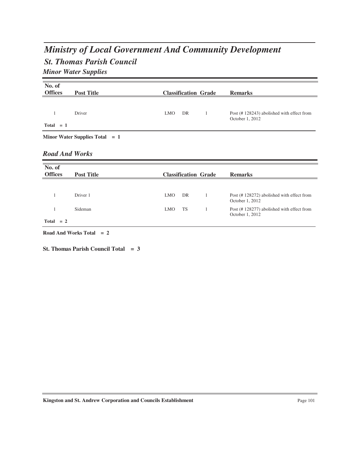# *St. Thomas Parish Council Ministry of Local Government And Community Development Minor Water Supplies*

| No. of                |                                      |            |                             |                                                              |
|-----------------------|--------------------------------------|------------|-----------------------------|--------------------------------------------------------------|
| <b>Offices</b>        | <b>Post Title</b>                    |            | <b>Classification Grade</b> | <b>Remarks</b>                                               |
|                       |                                      |            |                             |                                                              |
| $\mathbf{1}$          | Driver                               | <b>LMO</b> | DR<br>$\mathbf{1}$          | Post (#128243) abolished with effect from<br>October 1, 2012 |
| $Total = 1$           |                                      |            |                             |                                                              |
|                       | Minor Water Supplies Total $= 1$     |            |                             |                                                              |
| <b>Road And Works</b> |                                      |            |                             |                                                              |
| No. of                |                                      |            |                             |                                                              |
| <b>Offices</b>        | <b>Post Title</b>                    |            | <b>Classification Grade</b> | <b>Remarks</b>                                               |
|                       |                                      |            |                             |                                                              |
| 1                     | Driver 1                             | <b>LMO</b> | DR<br>$\mathbf{1}$          | Post (#128272) abolished with effect from<br>October 1, 2012 |
| 1                     | Sideman                              | <b>LMO</b> | <b>TS</b><br>$\mathbf{1}$   | Post (#128277) abolished with effect from<br>October 1, 2012 |
| $Total = 2$           |                                      |            |                             |                                                              |
|                       | <b>Road And Works Total</b><br>$= 2$ |            |                             |                                                              |

**St. Thomas Parish Council Total = 3**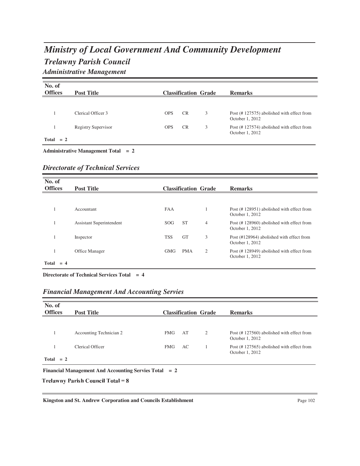## *Trelawny Parish Council Ministry of Local Government And Community Development Administrative Management*

| No. of<br><b>Offices</b> | <b>Post Title</b>                     |            |           | <b>Classification Grade</b> | <b>Remarks</b>                                               |
|--------------------------|---------------------------------------|------------|-----------|-----------------------------|--------------------------------------------------------------|
|                          |                                       |            |           |                             |                                                              |
|                          | Clerical Officer 3                    | <b>OPS</b> | <b>CR</b> | 3                           | Post (#127575) abolished with effect from<br>October 1, 2012 |
|                          | <b>Registry Supervisor</b>            | <b>OPS</b> | <b>CR</b> | 3                           | Post (#127574) abolished with effect from<br>October 1, 2012 |
| $Total = 2$              |                                       |            |           |                             |                                                              |
|                          | Administrative Management Total $= 2$ |            |           |                             |                                                              |

*Directorate of Technical Services*

| No. of<br><b>Offices</b> | <b>Post Title</b>        |            |            | <b>Classification Grade</b> | <b>Remarks</b>                                               |
|--------------------------|--------------------------|------------|------------|-----------------------------|--------------------------------------------------------------|
|                          |                          |            |            |                             |                                                              |
|                          | Accountant               | <b>FAA</b> |            |                             | Post (#128951) abolished with effect from<br>October 1, 2012 |
|                          | Assistant Superintendent | SOG.       | <b>ST</b>  | $\overline{4}$              | Post (#128960) abolished with effect from<br>October 1, 2012 |
|                          | Inspector                | <b>TSS</b> | <b>GT</b>  | 3                           | Post (#128964) abolished with effect from<br>October 1, 2012 |
|                          | Office Manager           | <b>GMG</b> | <b>PMA</b> | 2                           | Post (#128949) abolished with effect from<br>October 1, 2012 |
| Total<br>$= 4$           |                          |            |            |                             |                                                              |

**Directorate of Technical Services Total = 4**

| No. of<br><b>Offices</b>                                | <b>Post Title</b>       |            |     | <b>Classification Grade</b> | <b>Remarks</b>                                               |  |
|---------------------------------------------------------|-------------------------|------------|-----|-----------------------------|--------------------------------------------------------------|--|
|                                                         |                         |            |     |                             |                                                              |  |
|                                                         | Accounting Technician 2 | <b>FMG</b> | AT  | 2                           | Post (#127560) abolished with effect from<br>October 1, 2012 |  |
|                                                         | Clerical Officer        | <b>FMG</b> | AC. |                             | Post (#127565) abolished with effect from<br>October 1, 2012 |  |
| $Total = 2$                                             |                         |            |     |                             |                                                              |  |
| Financial Management And Accounting Servies Total $= 2$ |                         |            |     |                             |                                                              |  |

*Financial Management And Accounting Servies*

Trelawny Parish Council Total  $= 8$ 

Kingston and St. Andrew Corporation and Councils Establishment Page 102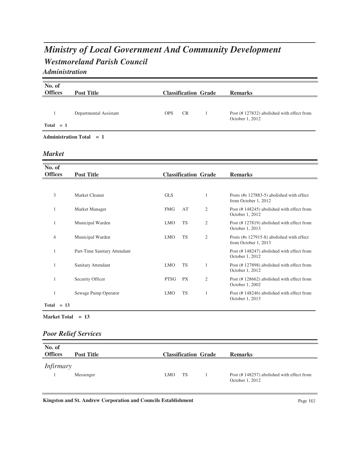## *Westmoreland Parish Council Ministry of Local Government And Community Development Administration*

**No. of Offices Post Title Classification Grade Remarks** 1 Departmental Assistant Post (# 127832) abolished with effect from October 1, 2012 OPS  $Total = 1$ **Administration Total = 1** *Market* **No. of Offices Post Title Classification Grade Remarks** 3 Market Cleaner GLS GLS 1 Posts (#s 127883-5) abolished with effect from October 1, 2012  $GLS$ 1 Market Manager FMG AT 2 Post (# 148245) abolished with effect from October 1, 2012  $FMG$ 1 Municipal Warden 1 Municipal Warden 2 Municipal Warden Post (# 127819) abolished with effect from October 1, 2013  ${\rm LMO}$ 4 Municipal Warden **Posts (#s 127915-8)** abolished with effect from October 1, 2013  $LMO$ 1 Part-Time Sanitary Attendant Post (# 148247) abolished with effect from October 1, 2012 1 Sanitary Attendant 1 MO TS 1 Post (# 127898) abolished with effect from October 1, 2012  $LMO$ 1 Security Officer PTSG PX 2 Post (# 128662) abolished with effect from October 1, 2002 PTSG 1 Sewage Pump Operator 1 MO TS 1 Post (# 148246) abolished with effect from October 1, 2013  $LMO$  **Total = 13**

## *Poor Relief Services*

| No. of<br><b>Offices</b> | <b>Post Title</b> |     | <b>Classification Grade</b> | <b>Remarks</b>                                               |
|--------------------------|-------------------|-----|-----------------------------|--------------------------------------------------------------|
| <i>Infirmary</i>         |                   |     |                             |                                                              |
|                          | Messenger         | LMO | <b>TS</b>                   | Post (#148257) abolished with effect from<br>October 1, 2012 |

**Kingston and St. Andrew Corporation and Councils Establishment** Page 103 **Page 103** 

**Market Total = 13**